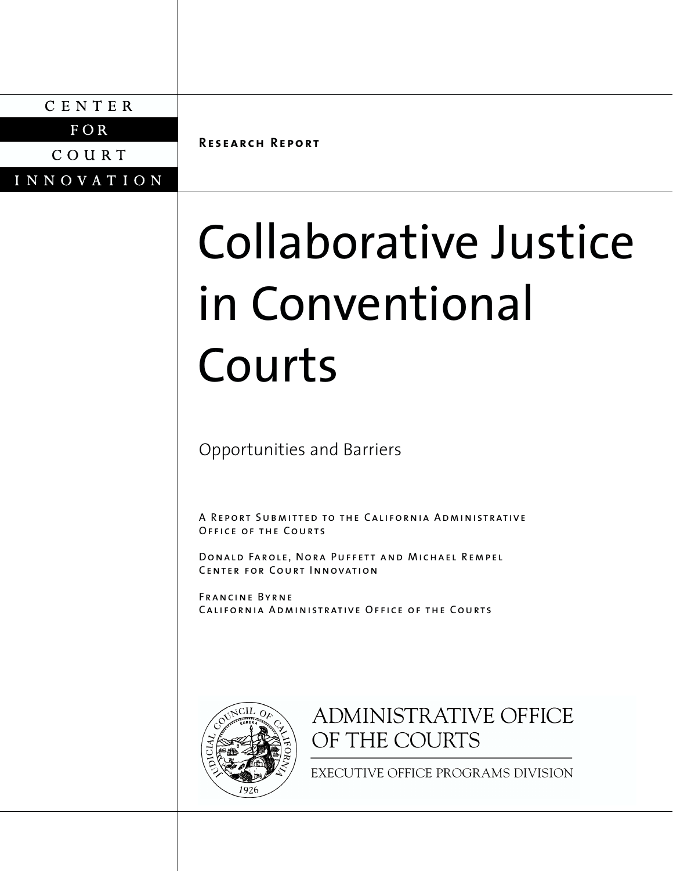CENTER

 $FOR$ 

COURT

**INNOVATION** 

**Research Report**

# Collaborative Justice in Conventional Courts

Opportunities and Barriers

A Report Submitted to the California AdministrativeOffice of the Courts

Donald Farole, Nora Puffett and Michael Rempel Center for Court Innovation

Francine ByrneCalifornia Administrative Office of the Courts



# **ADMINISTRATIVE OFFICE** OF THE COURTS

EXECUTIVE OFFICE PROGRAMS DIVISION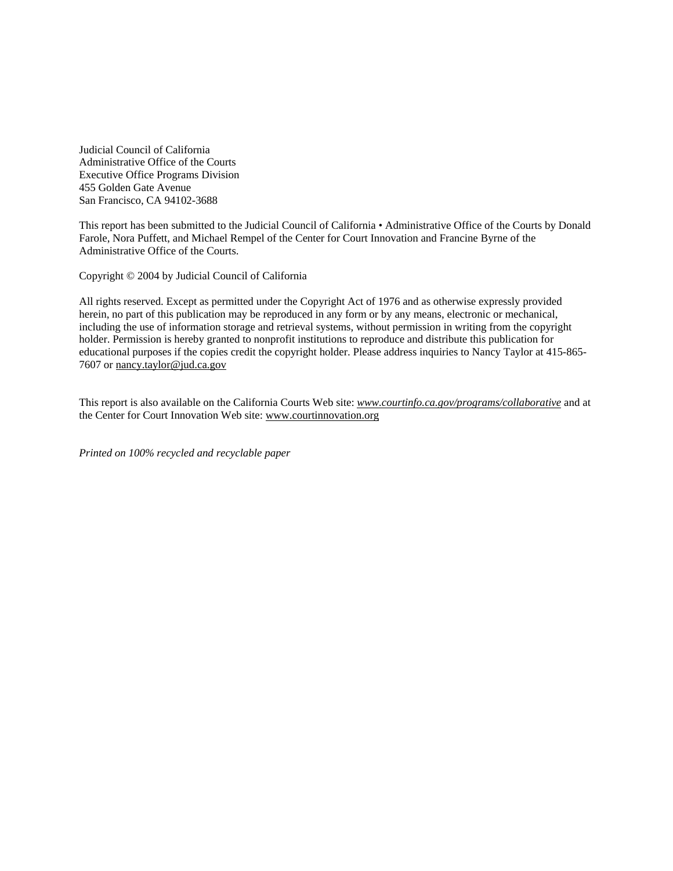Judicial Council of California Administrative Office of the Courts Executive Office Programs Division 455 Golden Gate Avenue San Francisco, CA 94102-3688

This report has been submitted to the Judicial Council of California • Administrative Office of the Courts by Donald Farole, Nora Puffett, and Michael Rempel of the Center for Court Innovation and Francine Byrne of the Administrative Office of the Courts.

Copyright © 2004 by Judicial Council of California

All rights reserved. Except as permitted under the Copyright Act of 1976 and as otherwise expressly provided herein, no part of this publication may be reproduced in any form or by any means, electronic or mechanical, including the use of information storage and retrieval systems, without permission in writing from the copyright holder. Permission is hereby granted to nonprofit institutions to reproduce and distribute this publication for educational purposes if the copies credit the copyright holder. Please address inquiries to Nancy Taylor at 415-865- 7607 or nancy.taylor@jud.ca.gov

This report is also available on the California Courts Web site: *www.courtinfo.ca.gov/programs/collaborative* and at the Center for Court Innovation Web site: www.courtinnovation.org

*Printed on 100% recycled and recyclable paper*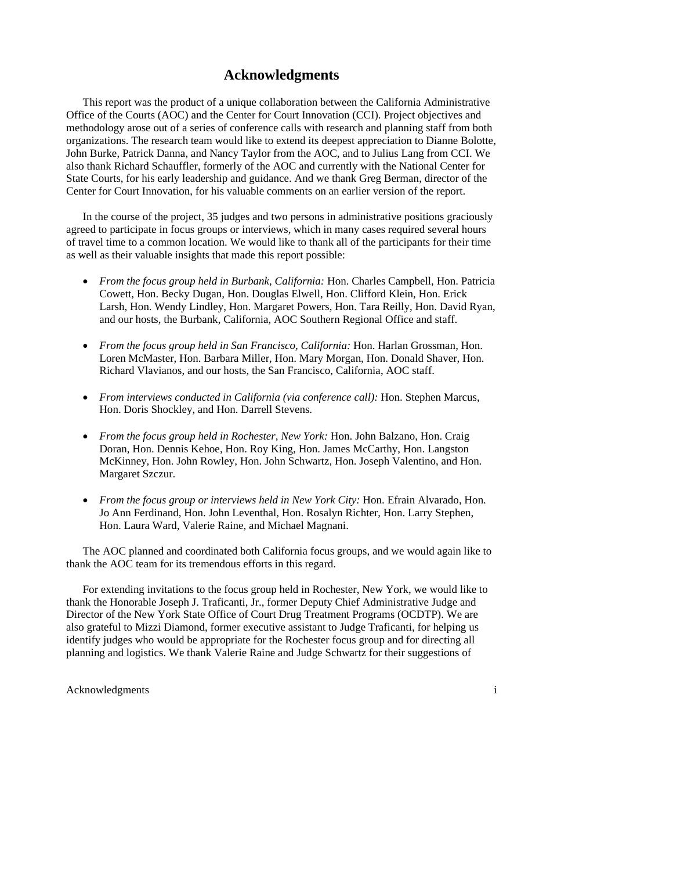## **Acknowledgments**

This report was the product of a unique collaboration between the California Administrative Office of the Courts (AOC) and the Center for Court Innovation (CCI). Project objectives and methodology arose out of a series of conference calls with research and planning staff from both organizations. The research team would like to extend its deepest appreciation to Dianne Bolotte, John Burke, Patrick Danna, and Nancy Taylor from the AOC, and to Julius Lang from CCI. We also thank Richard Schauffler, formerly of the AOC and currently with the National Center for State Courts, for his early leadership and guidance. And we thank Greg Berman, director of the Center for Court Innovation, for his valuable comments on an earlier version of the report.

In the course of the project, 35 judges and two persons in administrative positions graciously agreed to participate in focus groups or interviews, which in many cases required several hours of travel time to a common location. We would like to thank all of the participants for their time as well as their valuable insights that made this report possible:

- *From the focus group held in Burbank, California:* Hon. Charles Campbell, Hon. Patricia Cowett, Hon. Becky Dugan, Hon. Douglas Elwell, Hon. Clifford Klein, Hon. Erick Larsh, Hon. Wendy Lindley, Hon. Margaret Powers, Hon. Tara Reilly, Hon. David Ryan, and our hosts, the Burbank, California, AOC Southern Regional Office and staff.
- *From the focus group held in San Francisco, California:* Hon. Harlan Grossman, Hon. Loren McMaster, Hon. Barbara Miller, Hon. Mary Morgan, Hon. Donald Shaver, Hon. Richard Vlavianos, and our hosts, the San Francisco, California, AOC staff.
- *From interviews conducted in California (via conference call):* Hon. Stephen Marcus, Hon. Doris Shockley, and Hon. Darrell Stevens.
- *From the focus group held in Rochester, New York:* Hon. John Balzano, Hon. Craig Doran, Hon. Dennis Kehoe, Hon. Roy King, Hon. James McCarthy, Hon. Langston McKinney, Hon. John Rowley, Hon. John Schwartz, Hon. Joseph Valentino, and Hon. Margaret Szczur.
- *From the focus group or interviews held in New York City:* Hon. Efrain Alvarado, Hon. Jo Ann Ferdinand, Hon. John Leventhal, Hon. Rosalyn Richter, Hon. Larry Stephen, Hon. Laura Ward, Valerie Raine, and Michael Magnani.

 The AOC planned and coordinated both California focus groups, and we would again like to thank the AOC team for its tremendous efforts in this regard.

 For extending invitations to the focus group held in Rochester, New York, we would like to thank the Honorable Joseph J. Traficanti, Jr., former Deputy Chief Administrative Judge and Director of the New York State Office of Court Drug Treatment Programs (OCDTP). We are also grateful to Mizzi Diamond, former executive assistant to Judge Traficanti, for helping us identify judges who would be appropriate for the Rochester focus group and for directing all planning and logistics. We thank Valerie Raine and Judge Schwartz for their suggestions of

Acknowledgments in the set of the set of the set of the set of the set of the set of the set of the set of the set of the set of the set of the set of the set of the set of the set of the set of the set of the set of the s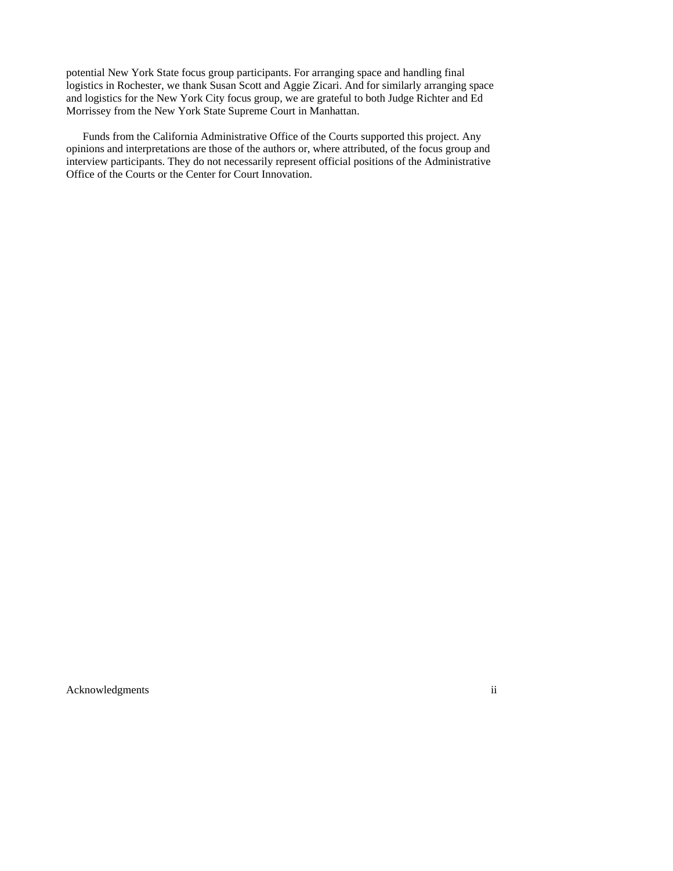potential New York State focus group participants. For arranging space and handling final logistics in Rochester, we thank Susan Scott and Aggie Zicari. And for similarly arranging space and logistics for the New York City focus group, we are grateful to both Judge Richter and Ed Morrissey from the New York State Supreme Court in Manhattan.

 Funds from the California Administrative Office of the Courts supported this project. Any opinions and interpretations are those of the authors or, where attributed, of the focus group and interview participants. They do not necessarily represent official positions of the Administrative Office of the Courts or the Center for Court Innovation.

Acknowledgments ii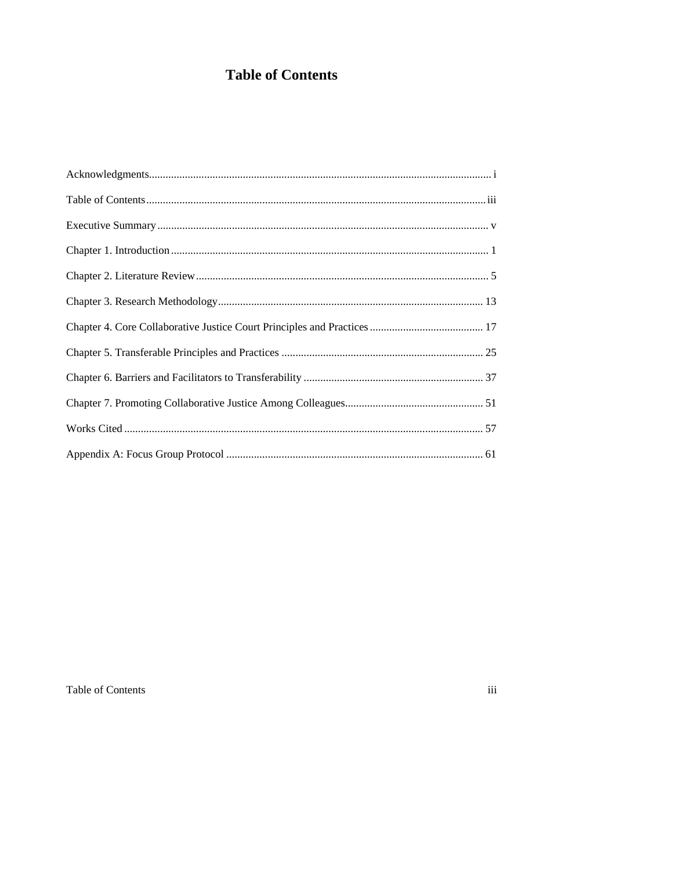## **Table of Contents**

Table of Contents

 $iii$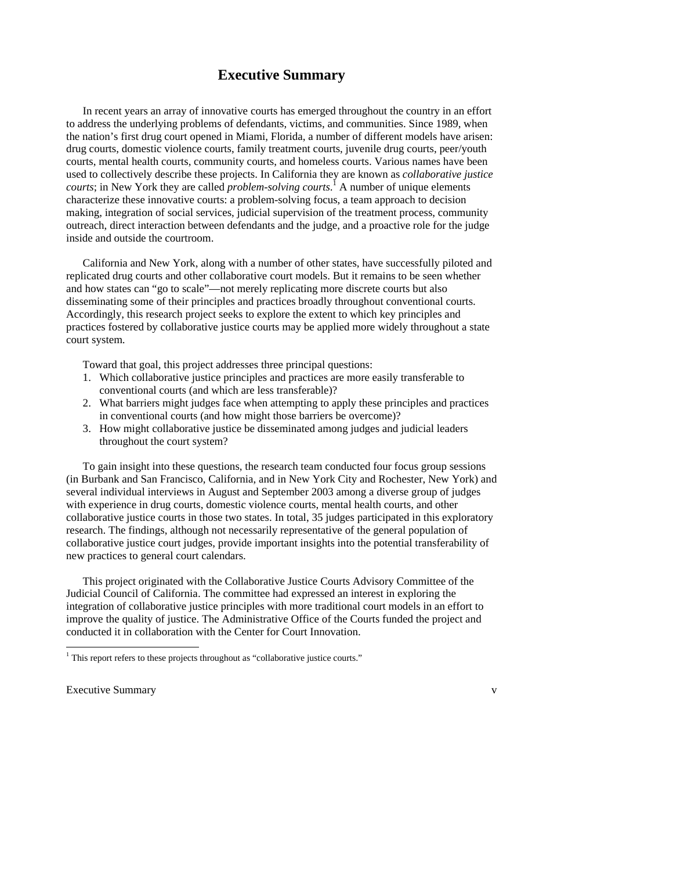## **Executive Summary**

 In recent years an array of innovative courts has emerged throughout the country in an effort to address the underlying problems of defendants, victims, and communities. Since 1989, when the nation's first drug court opened in Miami, Florida, a number of different models have arisen: drug courts, domestic violence courts, family treatment courts, juvenile drug courts, peer/youth courts, mental health courts, community courts, and homeless courts. Various names have been used to collectively describe these projects. In California they are known as *collaborative justice courts*; in New York they are called *problem-solving courts*. 1 A number of unique elements characterize these innovative courts: a problem-solving focus, a team approach to decision making, integration of social services, judicial supervision of the treatment process, community outreach, direct interaction between defendants and the judge, and a proactive role for the judge inside and outside the courtroom.

California and New York, along with a number of other states, have successfully piloted and replicated drug courts and other collaborative court models. But it remains to be seen whether and how states can "go to scale"—not merely replicating more discrete courts but also disseminating some of their principles and practices broadly throughout conventional courts. Accordingly, this research project seeks to explore the extent to which key principles and practices fostered by collaborative justice courts may be applied more widely throughout a state court system.

Toward that goal, this project addresses three principal questions:

- 1. Which collaborative justice principles and practices are more easily transferable to conventional courts (and which are less transferable)?
- 2. What barriers might judges face when attempting to apply these principles and practices in conventional courts (and how might those barriers be overcome)?
- 3. How might collaborative justice be disseminated among judges and judicial leaders throughout the court system?

 To gain insight into these questions, the research team conducted four focus group sessions (in Burbank and San Francisco, California, and in New York City and Rochester, New York) and several individual interviews in August and September 2003 among a diverse group of judges with experience in drug courts, domestic violence courts, mental health courts, and other collaborative justice courts in those two states. In total, 35 judges participated in this exploratory research. The findings, although not necessarily representative of the general population of collaborative justice court judges, provide important insights into the potential transferability of new practices to general court calendars.

 This project originated with the Collaborative Justice Courts Advisory Committee of the Judicial Council of California. The committee had expressed an interest in exploring the integration of collaborative justice principles with more traditional court models in an effort to improve the quality of justice. The Administrative Office of the Courts funded the project and conducted it in collaboration with the Center for Court Innovation.

Executive Summary v

 1 This report refers to these projects throughout as "collaborative justice courts."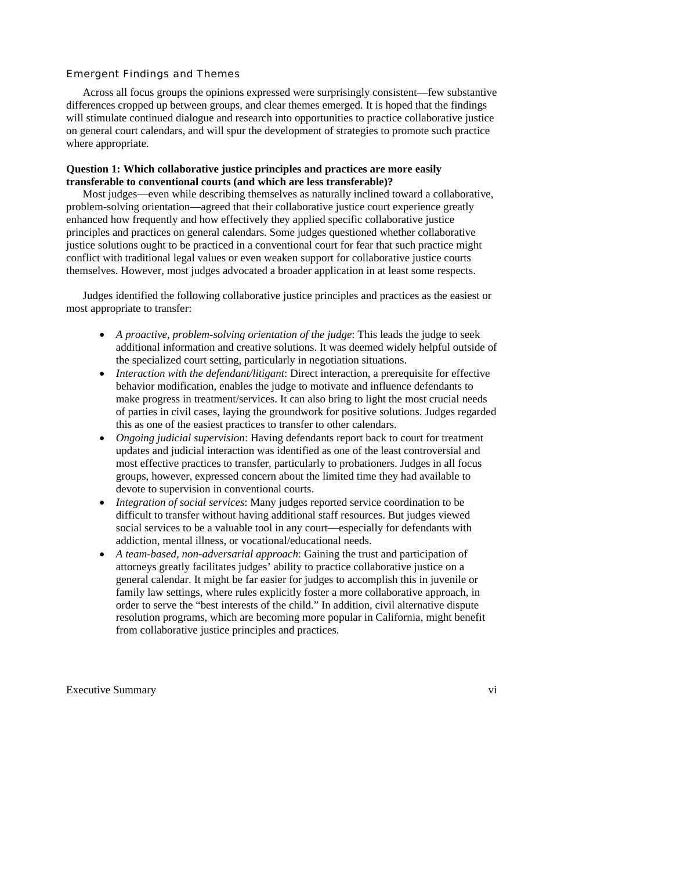#### Emergent Findings and Themes

 Across all focus groups the opinions expressed were surprisingly consistent—few substantive differences cropped up between groups, and clear themes emerged. It is hoped that the findings will stimulate continued dialogue and research into opportunities to practice collaborative justice on general court calendars, and will spur the development of strategies to promote such practice where appropriate.

#### **Question 1: Which collaborative justice principles and practices are more easily transferable to conventional courts (and which are less transferable)?**

 Most judges—even while describing themselves as naturally inclined toward a collaborative, problem-solving orientation—agreed that their collaborative justice court experience greatly enhanced how frequently and how effectively they applied specific collaborative justice principles and practices on general calendars. Some judges questioned whether collaborative justice solutions ought to be practiced in a conventional court for fear that such practice might conflict with traditional legal values or even weaken support for collaborative justice courts themselves. However, most judges advocated a broader application in at least some respects.

 Judges identified the following collaborative justice principles and practices as the easiest or most appropriate to transfer:

- *A proactive, problem-solving orientation of the judge*: This leads the judge to seek additional information and creative solutions. It was deemed widely helpful outside of the specialized court setting, particularly in negotiation situations.
- *Interaction with the defendant/litigant*: Direct interaction, a prerequisite for effective behavior modification, enables the judge to motivate and influence defendants to make progress in treatment/services. It can also bring to light the most crucial needs of parties in civil cases, laying the groundwork for positive solutions. Judges regarded this as one of the easiest practices to transfer to other calendars.
- *Ongoing judicial supervision*: Having defendants report back to court for treatment updates and judicial interaction was identified as one of the least controversial and most effective practices to transfer, particularly to probationers. Judges in all focus groups, however, expressed concern about the limited time they had available to devote to supervision in conventional courts.
- *Integration of social services*: Many judges reported service coordination to be difficult to transfer without having additional staff resources. But judges viewed social services to be a valuable tool in any court—especially for defendants with addiction, mental illness, or vocational/educational needs.
- *A team-based, non-adversarial approach*: Gaining the trust and participation of attorneys greatly facilitates judges' ability to practice collaborative justice on a general calendar. It might be far easier for judges to accomplish this in juvenile or family law settings, where rules explicitly foster a more collaborative approach, in order to serve the "best interests of the child." In addition, civil alternative dispute resolution programs, which are becoming more popular in California, might benefit from collaborative justice principles and practices.

Executive Summary vi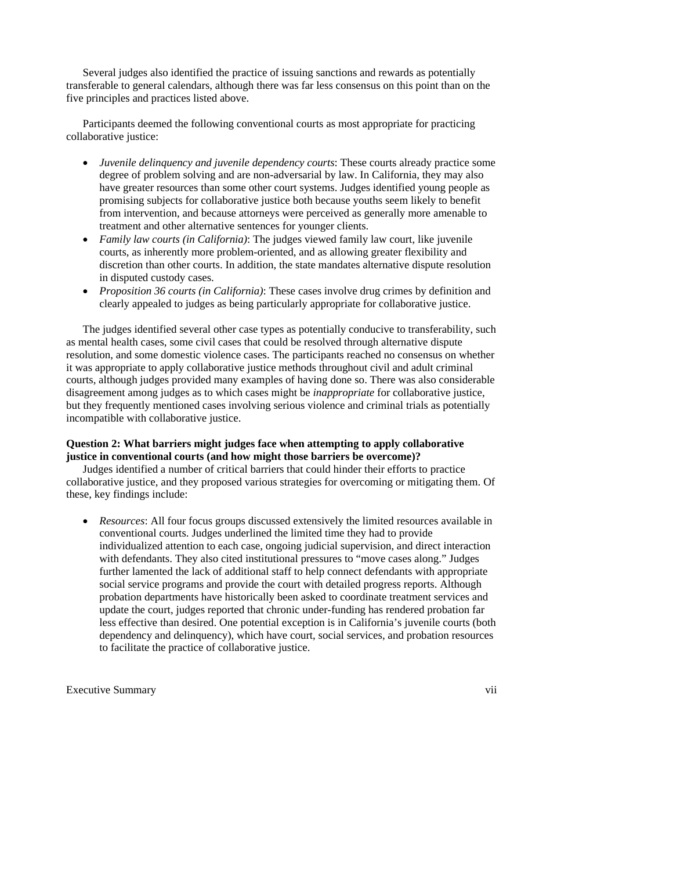Several judges also identified the practice of issuing sanctions and rewards as potentially transferable to general calendars, although there was far less consensus on this point than on the five principles and practices listed above.

 Participants deemed the following conventional courts as most appropriate for practicing collaborative justice:

- *Juvenile delinquency and juvenile dependency courts*: These courts already practice some degree of problem solving and are non-adversarial by law. In California, they may also have greater resources than some other court systems. Judges identified young people as promising subjects for collaborative justice both because youths seem likely to benefit from intervention, and because attorneys were perceived as generally more amenable to treatment and other alternative sentences for younger clients.
- *Family law courts (in California)*: The judges viewed family law court, like juvenile courts, as inherently more problem-oriented, and as allowing greater flexibility and discretion than other courts. In addition, the state mandates alternative dispute resolution in disputed custody cases.
- *Proposition 36 courts (in California)*: These cases involve drug crimes by definition and clearly appealed to judges as being particularly appropriate for collaborative justice.

 The judges identified several other case types as potentially conducive to transferability, such as mental health cases, some civil cases that could be resolved through alternative dispute resolution, and some domestic violence cases. The participants reached no consensus on whether it was appropriate to apply collaborative justice methods throughout civil and adult criminal courts, although judges provided many examples of having done so. There was also considerable disagreement among judges as to which cases might be *inappropriate* for collaborative justice, but they frequently mentioned cases involving serious violence and criminal trials as potentially incompatible with collaborative justice.

#### **Question 2: What barriers might judges face when attempting to apply collaborative justice in conventional courts (and how might those barriers be overcome)?**

 Judges identified a number of critical barriers that could hinder their efforts to practice collaborative justice, and they proposed various strategies for overcoming or mitigating them. Of these, key findings include:

• *Resources*: All four focus groups discussed extensively the limited resources available in conventional courts. Judges underlined the limited time they had to provide individualized attention to each case, ongoing judicial supervision, and direct interaction with defendants. They also cited institutional pressures to "move cases along." Judges further lamented the lack of additional staff to help connect defendants with appropriate social service programs and provide the court with detailed progress reports. Although probation departments have historically been asked to coordinate treatment services and update the court, judges reported that chronic under-funding has rendered probation far less effective than desired. One potential exception is in California's juvenile courts (both dependency and delinquency), which have court, social services, and probation resources to facilitate the practice of collaborative justice.

Executive Summary vii vii and the state of the state of the state of the state of the state of the state of the state of the state of the state of the state of the state of the state of the state of the state of the state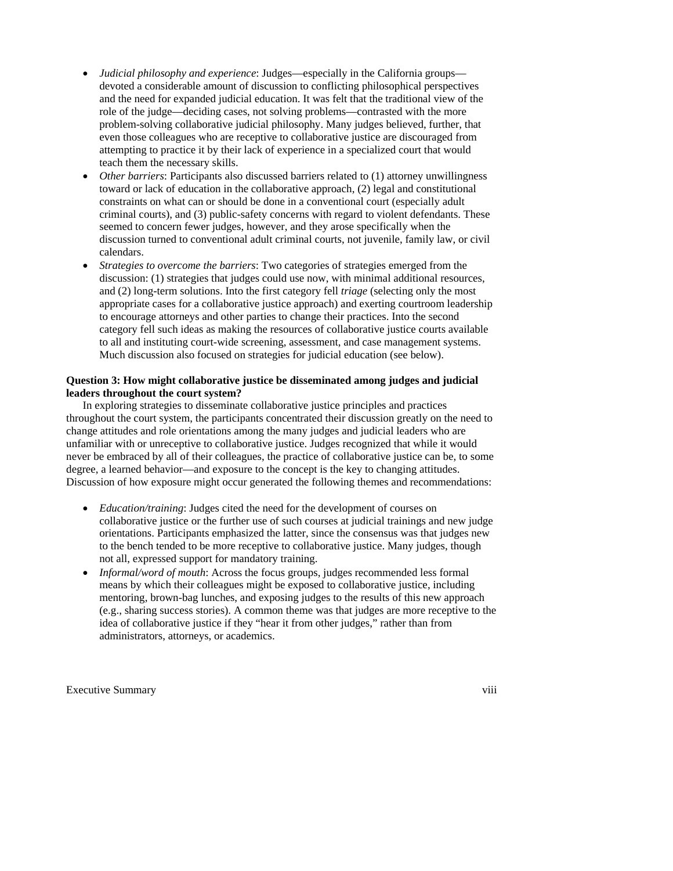- *Judicial philosophy and experience*: Judges—especially in the California groups devoted a considerable amount of discussion to conflicting philosophical perspectives and the need for expanded judicial education. It was felt that the traditional view of the role of the judge—deciding cases, not solving problems—contrasted with the more problem-solving collaborative judicial philosophy. Many judges believed, further, that even those colleagues who are receptive to collaborative justice are discouraged from attempting to practice it by their lack of experience in a specialized court that would teach them the necessary skills.
- *Other barriers*: Participants also discussed barriers related to (1) attorney unwillingness toward or lack of education in the collaborative approach, (2) legal and constitutional constraints on what can or should be done in a conventional court (especially adult criminal courts), and (3) public-safety concerns with regard to violent defendants. These seemed to concern fewer judges, however, and they arose specifically when the discussion turned to conventional adult criminal courts, not juvenile, family law, or civil calendars.
- *Strategies to overcome the barriers*: Two categories of strategies emerged from the discussion: (1) strategies that judges could use now, with minimal additional resources, and (2) long-term solutions. Into the first category fell *triage* (selecting only the most appropriate cases for a collaborative justice approach) and exerting courtroom leadership to encourage attorneys and other parties to change their practices. Into the second category fell such ideas as making the resources of collaborative justice courts available to all and instituting court-wide screening, assessment, and case management systems. Much discussion also focused on strategies for judicial education (see below).

#### **Question 3: How might collaborative justice be disseminated among judges and judicial leaders throughout the court system?**

In exploring strategies to disseminate collaborative justice principles and practices throughout the court system, the participants concentrated their discussion greatly on the need to change attitudes and role orientations among the many judges and judicial leaders who are unfamiliar with or unreceptive to collaborative justice. Judges recognized that while it would never be embraced by all of their colleagues, the practice of collaborative justice can be, to some degree, a learned behavior—and exposure to the concept is the key to changing attitudes. Discussion of how exposure might occur generated the following themes and recommendations:

- *Education/training*: Judges cited the need for the development of courses on collaborative justice or the further use of such courses at judicial trainings and new judge orientations. Participants emphasized the latter, since the consensus was that judges new to the bench tended to be more receptive to collaborative justice. Many judges, though not all, expressed support for mandatory training.
- *Informal/word of mouth*: Across the focus groups, judges recommended less formal means by which their colleagues might be exposed to collaborative justice, including mentoring, brown-bag lunches, and exposing judges to the results of this new approach (e.g., sharing success stories). A common theme was that judges are more receptive to the idea of collaborative justice if they "hear it from other judges," rather than from administrators, attorneys, or academics.

Executive Summary viii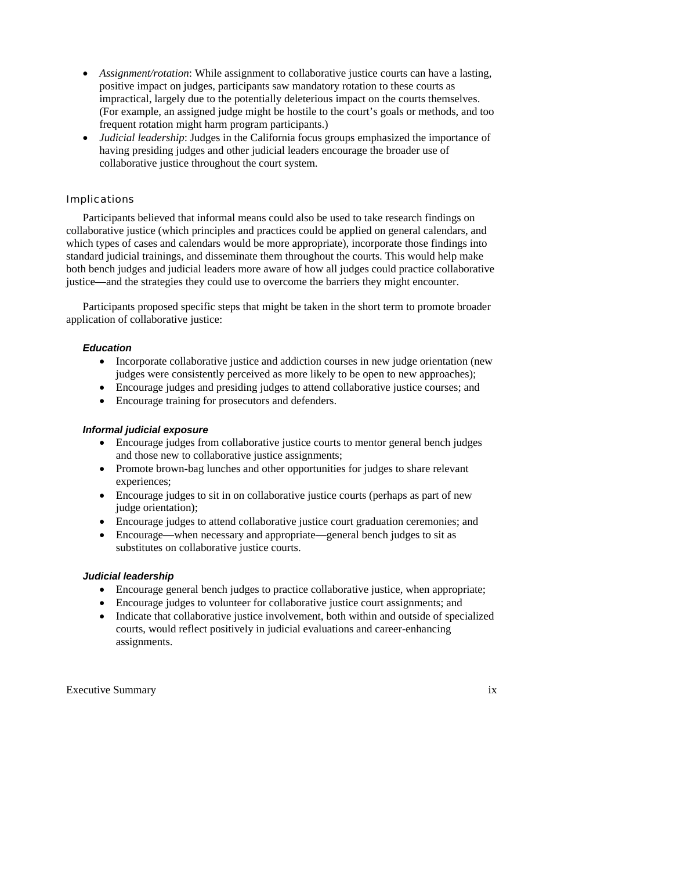- *Assignment/rotation*: While assignment to collaborative justice courts can have a lasting, positive impact on judges, participants saw mandatory rotation to these courts as impractical, largely due to the potentially deleterious impact on the courts themselves. (For example, an assigned judge might be hostile to the court's goals or methods, and too frequent rotation might harm program participants.)
- *Judicial leadership*: Judges in the California focus groups emphasized the importance of having presiding judges and other judicial leaders encourage the broader use of collaborative justice throughout the court system.

#### Implications

 Participants believed that informal means could also be used to take research findings on collaborative justice (which principles and practices could be applied on general calendars, and which types of cases and calendars would be more appropriate), incorporate those findings into standard judicial trainings, and disseminate them throughout the courts. This would help make both bench judges and judicial leaders more aware of how all judges could practice collaborative justice—and the strategies they could use to overcome the barriers they might encounter.

Participants proposed specific steps that might be taken in the short term to promote broader application of collaborative justice:

#### *Education*

- Incorporate collaborative justice and addiction courses in new judge orientation (new judges were consistently perceived as more likely to be open to new approaches);
- Encourage judges and presiding judges to attend collaborative justice courses; and
- Encourage training for prosecutors and defenders.

#### *Informal judicial exposure*

- Encourage judges from collaborative justice courts to mentor general bench judges and those new to collaborative justice assignments;
- Promote brown-bag lunches and other opportunities for judges to share relevant experiences;
- Encourage judges to sit in on collaborative justice courts (perhaps as part of new judge orientation);
- Encourage judges to attend collaborative justice court graduation ceremonies; and
- Encourage—when necessary and appropriate—general bench judges to sit as substitutes on collaborative justice courts.

#### *Judicial leadership*

- Encourage general bench judges to practice collaborative justice, when appropriate;
- Encourage judges to volunteer for collaborative justice court assignments; and
- Indicate that collaborative justice involvement, both within and outside of specialized courts, would reflect positively in judicial evaluations and career-enhancing assignments.

Executive Summary ix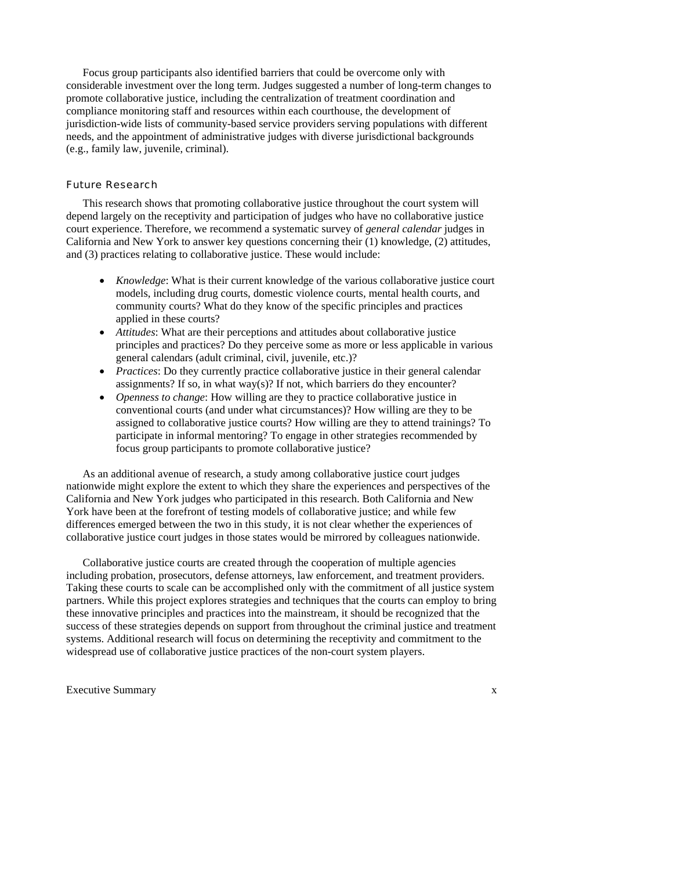Focus group participants also identified barriers that could be overcome only with considerable investment over the long term. Judges suggested a number of long-term changes to promote collaborative justice, including the centralization of treatment coordination and compliance monitoring staff and resources within each courthouse, the development of jurisdiction-wide lists of community-based service providers serving populations with different needs, and the appointment of administrative judges with diverse jurisdictional backgrounds (e.g., family law, juvenile, criminal).

#### Future Research

This research shows that promoting collaborative justice throughout the court system will depend largely on the receptivity and participation of judges who have no collaborative justice court experience. Therefore, we recommend a systematic survey of *general calendar* judges in California and New York to answer key questions concerning their (1) knowledge, (2) attitudes, and (3) practices relating to collaborative justice. These would include:

- *Knowledge*: What is their current knowledge of the various collaborative justice court models, including drug courts, domestic violence courts, mental health courts, and community courts? What do they know of the specific principles and practices applied in these courts?
- *Attitudes*: What are their perceptions and attitudes about collaborative justice principles and practices? Do they perceive some as more or less applicable in various general calendars (adult criminal, civil, juvenile, etc.)?
- *Practices*: Do they currently practice collaborative justice in their general calendar assignments? If so, in what way(s)? If not, which barriers do they encounter?
- *Openness to change*: How willing are they to practice collaborative justice in conventional courts (and under what circumstances)? How willing are they to be assigned to collaborative justice courts? How willing are they to attend trainings? To participate in informal mentoring? To engage in other strategies recommended by focus group participants to promote collaborative justice?

As an additional avenue of research, a study among collaborative justice court judges nationwide might explore the extent to which they share the experiences and perspectives of the California and New York judges who participated in this research. Both California and New York have been at the forefront of testing models of collaborative justice; and while few differences emerged between the two in this study, it is not clear whether the experiences of collaborative justice court judges in those states would be mirrored by colleagues nationwide.

 Collaborative justice courts are created through the cooperation of multiple agencies including probation, prosecutors, defense attorneys, law enforcement, and treatment providers. Taking these courts to scale can be accomplished only with the commitment of all justice system partners. While this project explores strategies and techniques that the courts can employ to bring these innovative principles and practices into the mainstream, it should be recognized that the success of these strategies depends on support from throughout the criminal justice and treatment systems. Additional research will focus on determining the receptivity and commitment to the widespread use of collaborative justice practices of the non-court system players.

Executive Summary x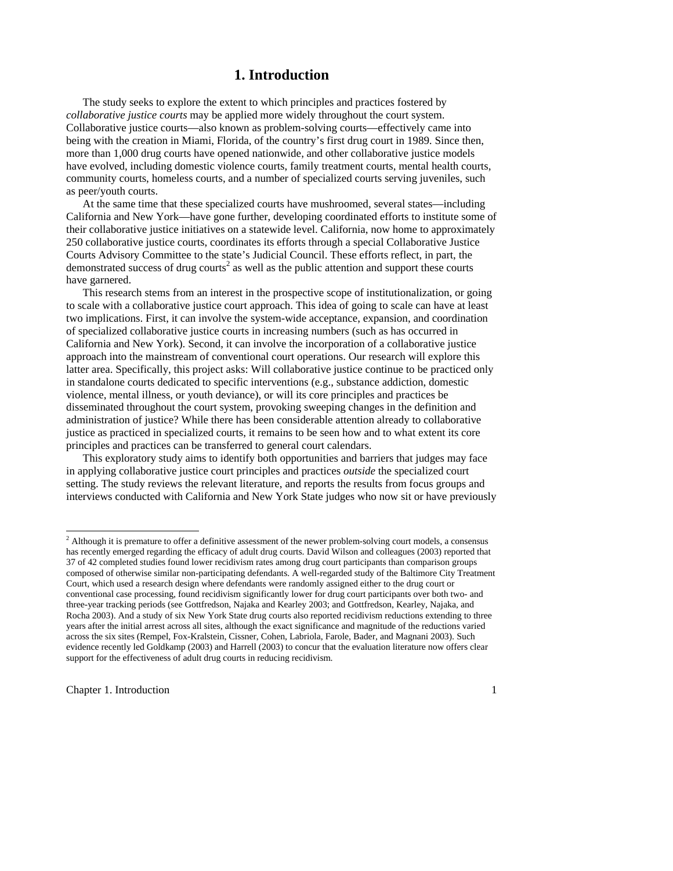## **1. Introduction**

 The study seeks to explore the extent to which principles and practices fostered by *collaborative justice courts* may be applied more widely throughout the court system. Collaborative justice courts—also known as problem-solving courts—effectively came into being with the creation in Miami, Florida, of the country's first drug court in 1989. Since then, more than 1,000 drug courts have opened nationwide, and other collaborative justice models have evolved, including domestic violence courts, family treatment courts, mental health courts, community courts, homeless courts, and a number of specialized courts serving juveniles, such as peer/youth courts.

 At the same time that these specialized courts have mushroomed, several states—including California and New York—have gone further, developing coordinated efforts to institute some of their collaborative justice initiatives on a statewide level. California, now home to approximately 250 collaborative justice courts, coordinates its efforts through a special Collaborative Justice Courts Advisory Committee to the state's Judicial Council. These efforts reflect, in part, the demonstrated success of drug courts<sup>2</sup> as well as the public attention and support these courts have garnered.

This research stems from an interest in the prospective scope of institutionalization, or going to scale with a collaborative justice court approach. This idea of going to scale can have at least two implications. First, it can involve the system-wide acceptance, expansion, and coordination of specialized collaborative justice courts in increasing numbers (such as has occurred in California and New York). Second, it can involve the incorporation of a collaborative justice approach into the mainstream of conventional court operations. Our research will explore this latter area. Specifically, this project asks: Will collaborative justice continue to be practiced only in standalone courts dedicated to specific interventions (e.g., substance addiction, domestic violence, mental illness, or youth deviance), or will its core principles and practices be disseminated throughout the court system, provoking sweeping changes in the definition and administration of justice? While there has been considerable attention already to collaborative justice as practiced in specialized courts, it remains to be seen how and to what extent its core principles and practices can be transferred to general court calendars.

 This exploratory study aims to identify both opportunities and barriers that judges may face in applying collaborative justice court principles and practices *outside* the specialized court setting. The study reviews the relevant literature, and reports the results from focus groups and interviews conducted with California and New York State judges who now sit or have previously

Chapter 1. Introduction 1

<sup>&</sup>lt;sup>2</sup> Although it is premature to offer a definitive assessment of the newer problem-solving court models, a consensus has recently emerged regarding the efficacy of adult drug courts. David Wilson and colleagues (2003) reported that 37 of 42 completed studies found lower recidivism rates among drug court participants than comparison groups composed of otherwise similar non-participating defendants. A well-regarded study of the Baltimore City Treatment Court, which used a research design where defendants were randomly assigned either to the drug court or conventional case processing, found recidivism significantly lower for drug court participants over both two- and three-year tracking periods (see Gottfredson, Najaka and Kearley 2003; and Gottfredson, Kearley, Najaka, and Rocha 2003). And a study of six New York State drug courts also reported recidivism reductions extending to three years after the initial arrest across all sites, although the exact significance and magnitude of the reductions varied across the six sites (Rempel, Fox-Kralstein, Cissner, Cohen, Labriola, Farole, Bader, and Magnani 2003). Such evidence recently led Goldkamp (2003) and Harrell (2003) to concur that the evaluation literature now offers clear support for the effectiveness of adult drug courts in reducing recidivism.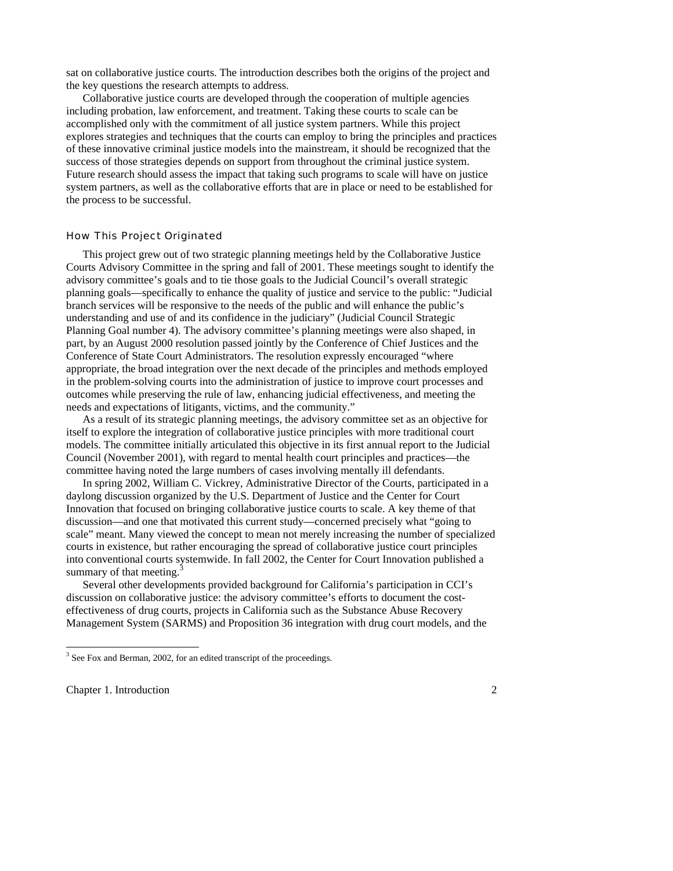sat on collaborative justice courts. The introduction describes both the origins of the project and the key questions the research attempts to address.

 Collaborative justice courts are developed through the cooperation of multiple agencies including probation, law enforcement, and treatment. Taking these courts to scale can be accomplished only with the commitment of all justice system partners. While this project explores strategies and techniques that the courts can employ to bring the principles and practices of these innovative criminal justice models into the mainstream, it should be recognized that the success of those strategies depends on support from throughout the criminal justice system. Future research should assess the impact that taking such programs to scale will have on justice system partners, as well as the collaborative efforts that are in place or need to be established for the process to be successful.

#### How This Project Originated

 This project grew out of two strategic planning meetings held by the Collaborative Justice Courts Advisory Committee in the spring and fall of 2001. These meetings sought to identify the advisory committee's goals and to tie those goals to the Judicial Council's overall strategic planning goals—specifically to enhance the quality of justice and service to the public: "Judicial branch services will be responsive to the needs of the public and will enhance the public's understanding and use of and its confidence in the judiciary" (Judicial Council Strategic Planning Goal number 4). The advisory committee's planning meetings were also shaped, in part, by an August 2000 resolution passed jointly by the Conference of Chief Justices and the Conference of State Court Administrators. The resolution expressly encouraged "where appropriate, the broad integration over the next decade of the principles and methods employed in the problem-solving courts into the administration of justice to improve court processes and outcomes while preserving the rule of law, enhancing judicial effectiveness, and meeting the needs and expectations of litigants, victims, and the community."

 As a result of its strategic planning meetings, the advisory committee set as an objective for itself to explore the integration of collaborative justice principles with more traditional court models. The committee initially articulated this objective in its first annual report to the Judicial Council (November 2001), with regard to mental health court principles and practices—the committee having noted the large numbers of cases involving mentally ill defendants.

 In spring 2002, William C. Vickrey, Administrative Director of the Courts, participated in a daylong discussion organized by the U.S. Department of Justice and the Center for Court Innovation that focused on bringing collaborative justice courts to scale. A key theme of that discussion—and one that motivated this current study—concerned precisely what "going to scale" meant. Many viewed the concept to mean not merely increasing the number of specialized courts in existence, but rather encouraging the spread of collaborative justice court principles into conventional courts systemwide. In fall 2002, the Center for Court Innovation published a summary of that meeting.<sup>3</sup>

 Several other developments provided background for California's participation in CCI's discussion on collaborative justice: the advisory committee's efforts to document the costeffectiveness of drug courts, projects in California such as the Substance Abuse Recovery Management System (SARMS) and Proposition 36 integration with drug court models, and the

Chapter 1. Introduction 2

<sup>&</sup>lt;sup>3</sup> See Fox and Berman, 2002, for an edited transcript of the proceedings.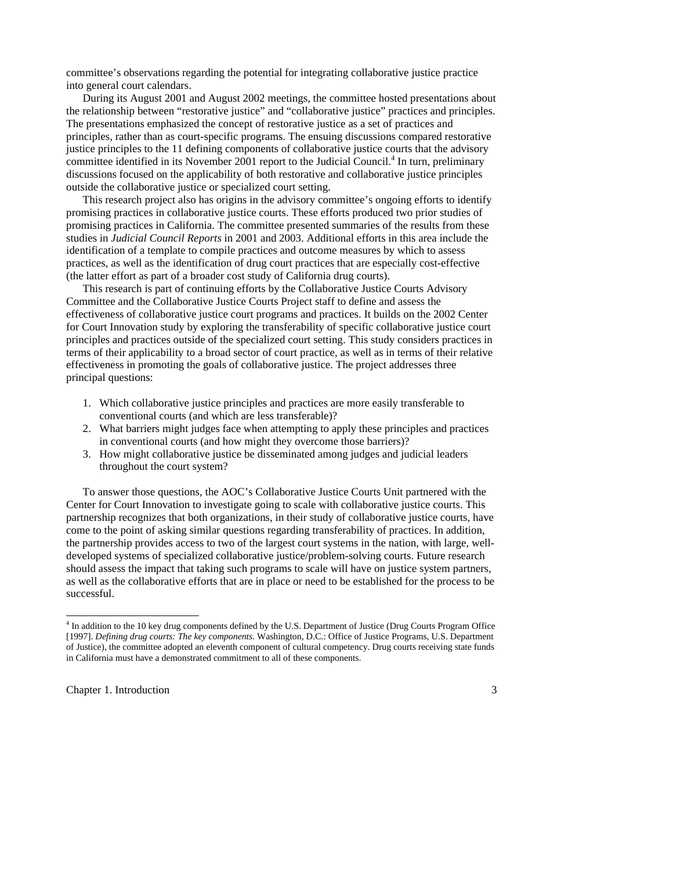committee's observations regarding the potential for integrating collaborative justice practice into general court calendars.

 During its August 2001 and August 2002 meetings, the committee hosted presentations about the relationship between "restorative justice" and "collaborative justice" practices and principles. The presentations emphasized the concept of restorative justice as a set of practices and principles, rather than as court-specific programs. The ensuing discussions compared restorative justice principles to the 11 defining components of collaborative justice courts that the advisory committee identified in its November 2001 report to the Judicial Council.<sup>4</sup> In turn, preliminary discussions focused on the applicability of both restorative and collaborative justice principles outside the collaborative justice or specialized court setting.

 This research project also has origins in the advisory committee's ongoing efforts to identify promising practices in collaborative justice courts. These efforts produced two prior studies of promising practices in California. The committee presented summaries of the results from these studies in *Judicial Council Reports* in 2001 and 2003. Additional efforts in this area include the identification of a template to compile practices and outcome measures by which to assess practices, as well as the identification of drug court practices that are especially cost-effective (the latter effort as part of a broader cost study of California drug courts).

 This research is part of continuing efforts by the Collaborative Justice Courts Advisory Committee and the Collaborative Justice Courts Project staff to define and assess the effectiveness of collaborative justice court programs and practices. It builds on the 2002 Center for Court Innovation study by exploring the transferability of specific collaborative justice court principles and practices outside of the specialized court setting. This study considers practices in terms of their applicability to a broad sector of court practice, as well as in terms of their relative effectiveness in promoting the goals of collaborative justice. The project addresses three principal questions:

- 1. Which collaborative justice principles and practices are more easily transferable to conventional courts (and which are less transferable)?
- 2. What barriers might judges face when attempting to apply these principles and practices in conventional courts (and how might they overcome those barriers)?
- 3. How might collaborative justice be disseminated among judges and judicial leaders throughout the court system?

 To answer those questions, the AOC's Collaborative Justice Courts Unit partnered with the Center for Court Innovation to investigate going to scale with collaborative justice courts. This partnership recognizes that both organizations, in their study of collaborative justice courts, have come to the point of asking similar questions regarding transferability of practices. In addition, the partnership provides access to two of the largest court systems in the nation, with large, welldeveloped systems of specialized collaborative justice/problem-solving courts. Future research should assess the impact that taking such programs to scale will have on justice system partners, as well as the collaborative efforts that are in place or need to be established for the process to be successful.

Chapter 1. Introduction 3

1

<sup>&</sup>lt;sup>4</sup> In addition to the 10 key drug components defined by the U.S. Department of Justice (Drug Courts Program Office [1997]. *Defining drug courts: The key components*. Washington, D.C.: Office of Justice Programs, U.S. Department of Justice), the committee adopted an eleventh component of cultural competency. Drug courts receiving state funds in California must have a demonstrated commitment to all of these components.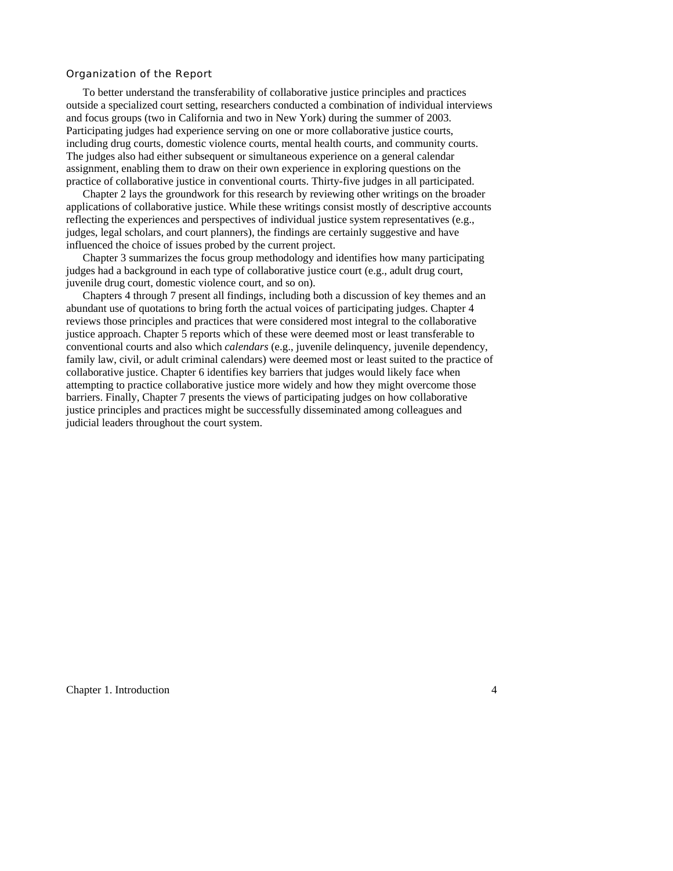#### Organization of the Report

 To better understand the transferability of collaborative justice principles and practices outside a specialized court setting, researchers conducted a combination of individual interviews and focus groups (two in California and two in New York) during the summer of 2003. Participating judges had experience serving on one or more collaborative justice courts, including drug courts, domestic violence courts, mental health courts, and community courts. The judges also had either subsequent or simultaneous experience on a general calendar assignment, enabling them to draw on their own experience in exploring questions on the practice of collaborative justice in conventional courts. Thirty-five judges in all participated.

 Chapter 2 lays the groundwork for this research by reviewing other writings on the broader applications of collaborative justice. While these writings consist mostly of descriptive accounts reflecting the experiences and perspectives of individual justice system representatives (e.g., judges, legal scholars, and court planners), the findings are certainly suggestive and have influenced the choice of issues probed by the current project.

 Chapter 3 summarizes the focus group methodology and identifies how many participating judges had a background in each type of collaborative justice court (e.g., adult drug court, juvenile drug court, domestic violence court, and so on).

 Chapters 4 through 7 present all findings, including both a discussion of key themes and an abundant use of quotations to bring forth the actual voices of participating judges. Chapter 4 reviews those principles and practices that were considered most integral to the collaborative justice approach. Chapter 5 reports which of these were deemed most or least transferable to conventional courts and also which *calendars* (e.g., juvenile delinquency, juvenile dependency, family law, civil, or adult criminal calendars) were deemed most or least suited to the practice of collaborative justice. Chapter 6 identifies key barriers that judges would likely face when attempting to practice collaborative justice more widely and how they might overcome those barriers. Finally, Chapter 7 presents the views of participating judges on how collaborative justice principles and practices might be successfully disseminated among colleagues and judicial leaders throughout the court system.

Chapter 1. Introduction 4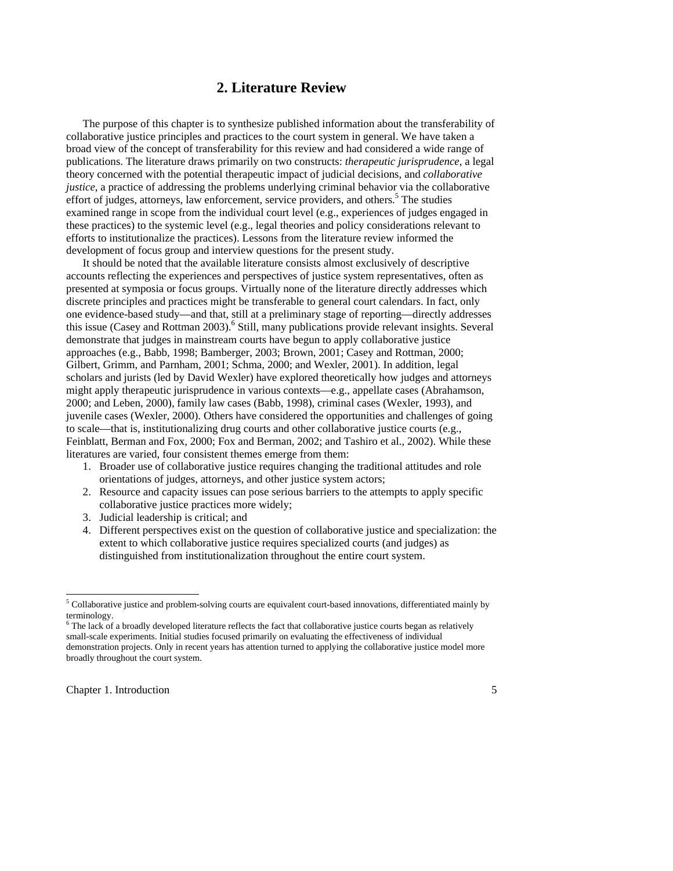## **2. Literature Review**

 The purpose of this chapter is to synthesize published information about the transferability of collaborative justice principles and practices to the court system in general. We have taken a broad view of the concept of transferability for this review and had considered a wide range of publications. The literature draws primarily on two constructs: *therapeutic jurisprudence*, a legal theory concerned with the potential therapeutic impact of judicial decisions, and *collaborative justice*, a practice of addressing the problems underlying criminal behavior via the collaborative effort of judges, attorneys, law enforcement, service providers, and others.<sup>5</sup> The studies examined range in scope from the individual court level (e.g., experiences of judges engaged in these practices) to the systemic level (e.g., legal theories and policy considerations relevant to efforts to institutionalize the practices). Lessons from the literature review informed the development of focus group and interview questions for the present study.

 It should be noted that the available literature consists almost exclusively of descriptive accounts reflecting the experiences and perspectives of justice system representatives, often as presented at symposia or focus groups. Virtually none of the literature directly addresses which discrete principles and practices might be transferable to general court calendars. In fact, only one evidence-based study—and that, still at a preliminary stage of reporting—directly addresses this issue (Casey and Rottman 2003).<sup>6</sup> Still, many publications provide relevant insights. Several demonstrate that judges in mainstream courts have begun to apply collaborative justice approaches (e.g., Babb, 1998; Bamberger, 2003; Brown, 2001; Casey and Rottman, 2000; Gilbert, Grimm, and Parnham, 2001; Schma, 2000; and Wexler, 2001). In addition, legal scholars and jurists (led by David Wexler) have explored theoretically how judges and attorneys might apply therapeutic jurisprudence in various contexts—e.g., appellate cases (Abrahamson, 2000; and Leben, 2000), family law cases (Babb, 1998), criminal cases (Wexler, 1993), and juvenile cases (Wexler, 2000). Others have considered the opportunities and challenges of going to scale—that is, institutionalizing drug courts and other collaborative justice courts (e.g., Feinblatt, Berman and Fox, 2000; Fox and Berman, 2002; and Tashiro et al., 2002). While these literatures are varied, four consistent themes emerge from them:

- 1. Broader use of collaborative justice requires changing the traditional attitudes and role orientations of judges, attorneys, and other justice system actors;
- 2. Resource and capacity issues can pose serious barriers to the attempts to apply specific collaborative justice practices more widely;
- 3. Judicial leadership is critical; and
- 4. Different perspectives exist on the question of collaborative justice and specialization: the extent to which collaborative justice requires specialized courts (and judges) as distinguished from institutionalization throughout the entire court system.

Chapter 1. Introduction 5

<sup>&</sup>lt;sup>5</sup> Collaborative justice and problem-solving courts are equivalent court-based innovations, differentiated mainly by terminology.

<sup>&</sup>lt;sup>6</sup> The lack of a broadly developed literature reflects the fact that collaborative justice courts began as relatively small-scale experiments. Initial studies focused primarily on evaluating the effectiveness of individual demonstration projects. Only in recent years has attention turned to applying the collaborative justice model more broadly throughout the court system.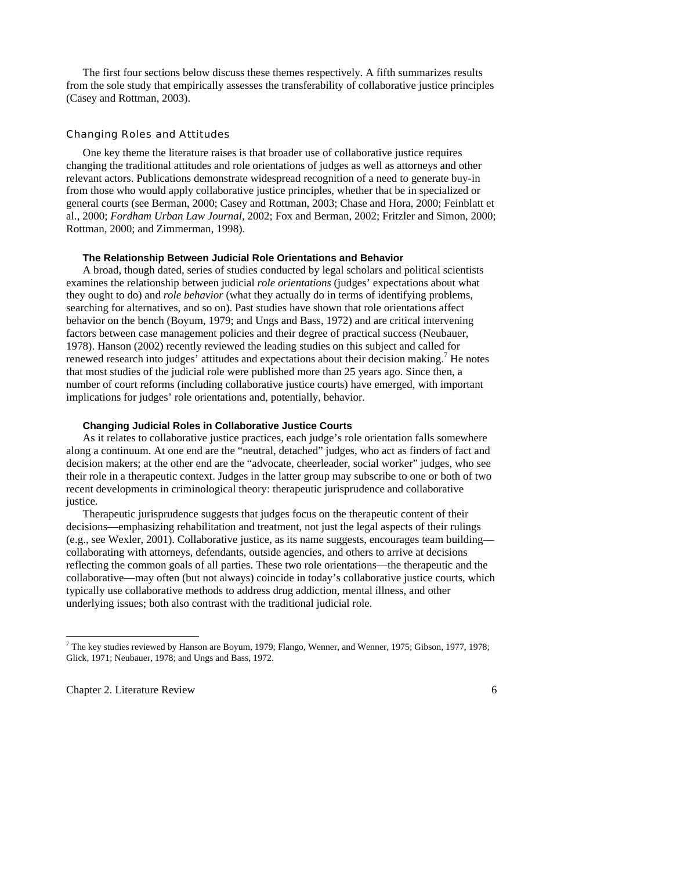The first four sections below discuss these themes respectively. A fifth summarizes results from the sole study that empirically assesses the transferability of collaborative justice principles (Casey and Rottman, 2003).

#### Changing Roles and Attitudes

 One key theme the literature raises is that broader use of collaborative justice requires changing the traditional attitudes and role orientations of judges as well as attorneys and other relevant actors. Publications demonstrate widespread recognition of a need to generate buy-in from those who would apply collaborative justice principles, whether that be in specialized or general courts (see Berman, 2000; Casey and Rottman, 2003; Chase and Hora, 2000; Feinblatt et al., 2000; *Fordham Urban Law Journal,* 2002; Fox and Berman, 2002; Fritzler and Simon, 2000; Rottman, 2000; and Zimmerman, 1998).

#### **The Relationship Between Judicial Role Orientations and Behavior**

 A broad, though dated, series of studies conducted by legal scholars and political scientists examines the relationship between judicial *role orientations* (judges' expectations about what they ought to do) and *role behavior* (what they actually do in terms of identifying problems, searching for alternatives, and so on). Past studies have shown that role orientations affect behavior on the bench (Boyum, 1979; and Ungs and Bass, 1972) and are critical intervening factors between case management policies and their degree of practical success (Neubauer, 1978). Hanson (2002) recently reviewed the leading studies on this subject and called for renewed research into judges' attitudes and expectations about their decision making.<sup>7</sup> He notes that most studies of the judicial role were published more than 25 years ago. Since then, a number of court reforms (including collaborative justice courts) have emerged, with important implications for judges' role orientations and, potentially, behavior.

#### **Changing Judicial Roles in Collaborative Justice Courts**

 As it relates to collaborative justice practices, each judge's role orientation falls somewhere along a continuum. At one end are the "neutral, detached" judges, who act as finders of fact and decision makers; at the other end are the "advocate, cheerleader, social worker" judges, who see their role in a therapeutic context. Judges in the latter group may subscribe to one or both of two recent developments in criminological theory: therapeutic jurisprudence and collaborative justice.

 Therapeutic jurisprudence suggests that judges focus on the therapeutic content of their decisions—emphasizing rehabilitation and treatment, not just the legal aspects of their rulings (e.g., see Wexler, 2001). Collaborative justice, as its name suggests, encourages team building collaborating with attorneys, defendants, outside agencies, and others to arrive at decisions reflecting the common goals of all parties. These two role orientations—the therapeutic and the collaborative—may often (but not always) coincide in today's collaborative justice courts, which typically use collaborative methods to address drug addiction, mental illness, and other underlying issues; both also contrast with the traditional judicial role.

Chapter 2. Literature Review 6

<sup>7</sup> The key studies reviewed by Hanson are Boyum, 1979; Flango, Wenner, and Wenner, 1975; Gibson, 1977, 1978; Glick, 1971; Neubauer, 1978; and Ungs and Bass, 1972.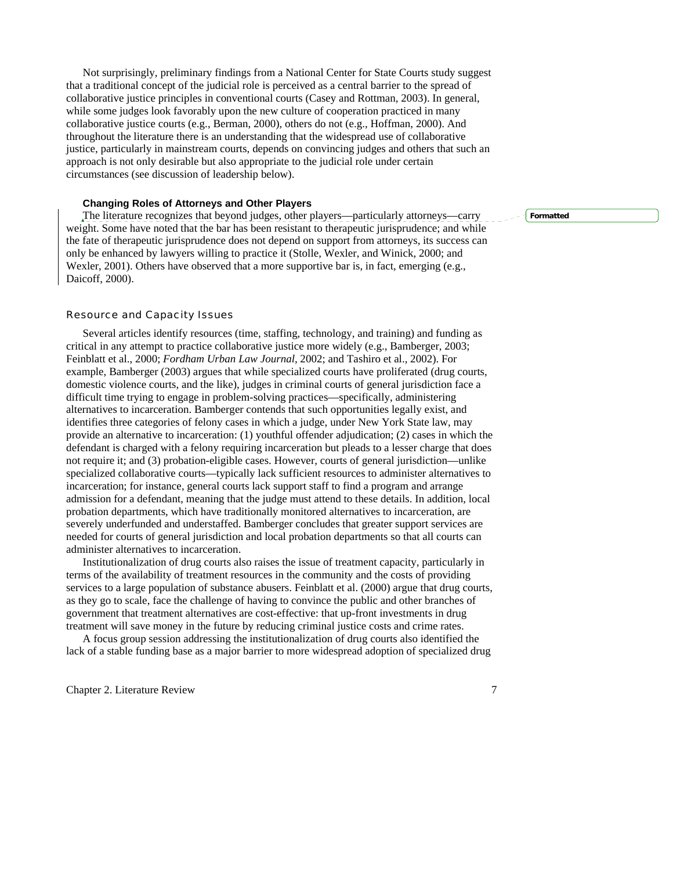Not surprisingly, preliminary findings from a National Center for State Courts study suggest that a traditional concept of the judicial role is perceived as a central barrier to the spread of collaborative justice principles in conventional courts (Casey and Rottman, 2003). In general, while some judges look favorably upon the new culture of cooperation practiced in many collaborative justice courts (e.g., Berman, 2000), others do not (e.g., Hoffman, 2000). And throughout the literature there is an understanding that the widespread use of collaborative justice, particularly in mainstream courts, depends on convincing judges and others that such an approach is not only desirable but also appropriate to the judicial role under certain circumstances (see discussion of leadership below).

#### **Changing Roles of Attorneys and Other Players**

The literature recognizes that beyond judges, other players—particularly attorneys—carry weight. Some have noted that the bar has been resistant to therapeutic jurisprudence; and while the fate of therapeutic jurisprudence does not depend on support from attorneys, its success can only be enhanced by lawyers willing to practice it (Stolle, Wexler, and Winick, 2000; and Wexler, 2001). Others have observed that a more supportive bar is, in fact, emerging (e.g., Daicoff, 2000).

#### Resource and Capacity Issues

 Several articles identify resources (time, staffing, technology, and training) and funding as critical in any attempt to practice collaborative justice more widely (e.g., Bamberger, 2003; Feinblatt et al., 2000; *Fordham Urban Law Journal,* 2002; and Tashiro et al., 2002). For example, Bamberger (2003) argues that while specialized courts have proliferated (drug courts, domestic violence courts, and the like), judges in criminal courts of general jurisdiction face a difficult time trying to engage in problem-solving practices—specifically, administering alternatives to incarceration. Bamberger contends that such opportunities legally exist, and identifies three categories of felony cases in which a judge, under New York State law, may provide an alternative to incarceration: (1) youthful offender adjudication; (2) cases in which the defendant is charged with a felony requiring incarceration but pleads to a lesser charge that does not require it; and (3) probation-eligible cases. However, courts of general jurisdiction—unlike specialized collaborative courts—typically lack sufficient resources to administer alternatives to incarceration; for instance, general courts lack support staff to find a program and arrange admission for a defendant, meaning that the judge must attend to these details. In addition, local probation departments, which have traditionally monitored alternatives to incarceration, are severely underfunded and understaffed. Bamberger concludes that greater support services are needed for courts of general jurisdiction and local probation departments so that all courts can administer alternatives to incarceration.

 Institutionalization of drug courts also raises the issue of treatment capacity, particularly in terms of the availability of treatment resources in the community and the costs of providing services to a large population of substance abusers. Feinblatt et al. (2000) argue that drug courts, as they go to scale, face the challenge of having to convince the public and other branches of government that treatment alternatives are cost-effective: that up-front investments in drug treatment will save money in the future by reducing criminal justice costs and crime rates.

 A focus group session addressing the institutionalization of drug courts also identified the lack of a stable funding base as a major barrier to more widespread adoption of specialized drug

Chapter 2. Literature Review 7

**Formatted**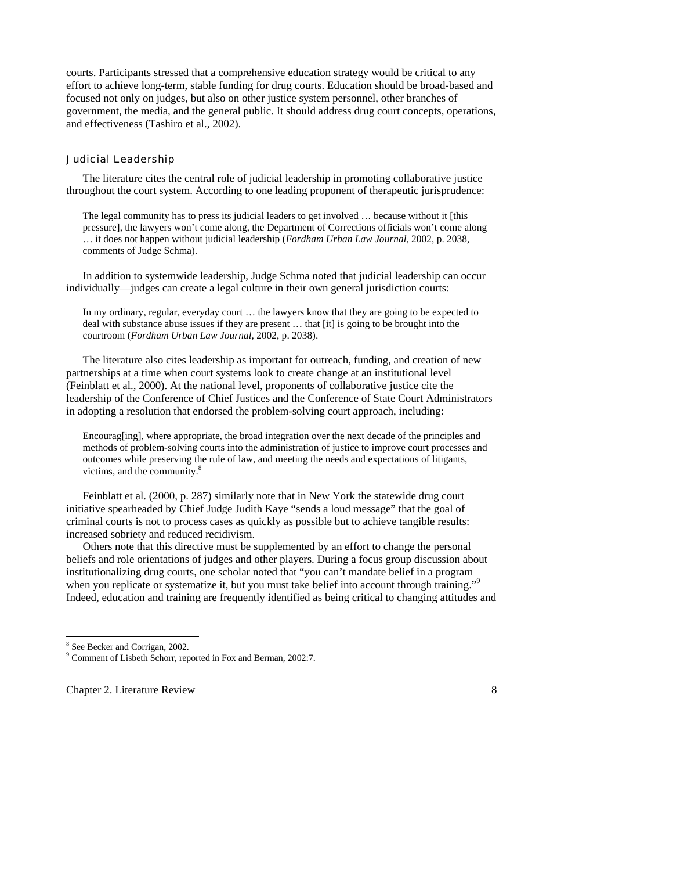courts. Participants stressed that a comprehensive education strategy would be critical to any effort to achieve long-term, stable funding for drug courts. Education should be broad-based and focused not only on judges, but also on other justice system personnel, other branches of government, the media, and the general public. It should address drug court concepts, operations, and effectiveness (Tashiro et al., 2002).

#### Judicial Leadership

 The literature cites the central role of judicial leadership in promoting collaborative justice throughout the court system. According to one leading proponent of therapeutic jurisprudence:

The legal community has to press its judicial leaders to get involved … because without it [this pressure], the lawyers won't come along, the Department of Corrections officials won't come along … it does not happen without judicial leadership (*Fordham Urban Law Journal,* 2002, p. 2038, comments of Judge Schma).

 In addition to systemwide leadership, Judge Schma noted that judicial leadership can occur individually—judges can create a legal culture in their own general jurisdiction courts:

In my ordinary, regular, everyday court … the lawyers know that they are going to be expected to deal with substance abuse issues if they are present … that [it] is going to be brought into the courtroom (*Fordham Urban Law Journal,* 2002, p. 2038).

 The literature also cites leadership as important for outreach, funding, and creation of new partnerships at a time when court systems look to create change at an institutional level (Feinblatt et al., 2000). At the national level, proponents of collaborative justice cite the leadership of the Conference of Chief Justices and the Conference of State Court Administrators in adopting a resolution that endorsed the problem-solving court approach, including:

Encourag[ing], where appropriate, the broad integration over the next decade of the principles and methods of problem-solving courts into the administration of justice to improve court processes and outcomes while preserving the rule of law, and meeting the needs and expectations of litigants, victims, and the community.<sup>8</sup>

 Feinblatt et al. (2000, p. 287) similarly note that in New York the statewide drug court initiative spearheaded by Chief Judge Judith Kaye "sends a loud message" that the goal of criminal courts is not to process cases as quickly as possible but to achieve tangible results: increased sobriety and reduced recidivism.

 Others note that this directive must be supplemented by an effort to change the personal beliefs and role orientations of judges and other players. During a focus group discussion about institutionalizing drug courts, one scholar noted that "you can't mandate belief in a program when you replicate or systematize it, but you must take belief into account through training."<sup>9</sup> Indeed, education and training are frequently identified as being critical to changing attitudes and

-

Chapter 2. Literature Review 8

<sup>8</sup> See Becker and Corrigan, 2002.

<sup>9</sup> Comment of Lisbeth Schorr, reported in Fox and Berman, 2002:7.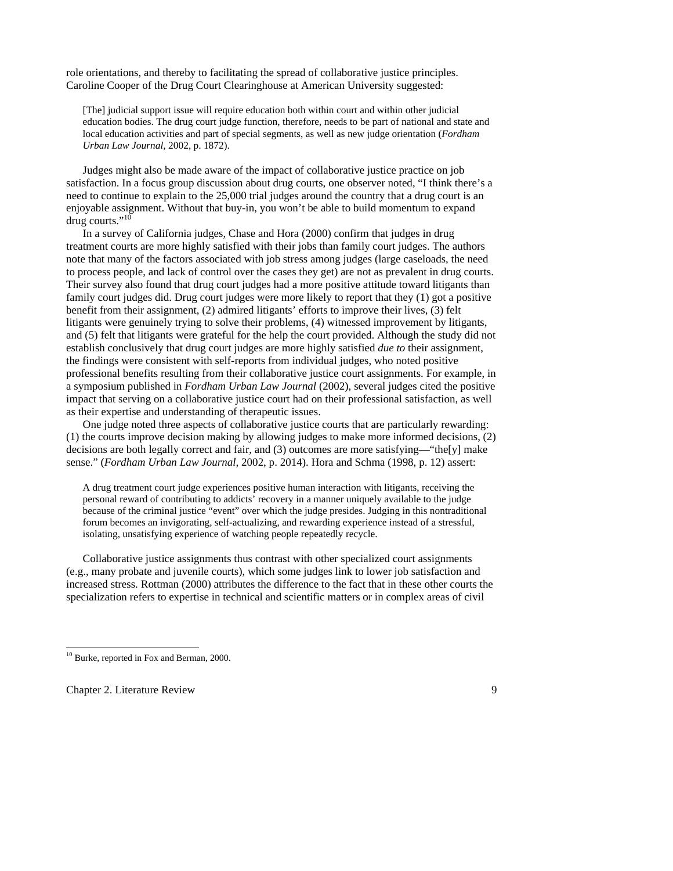role orientations, and thereby to facilitating the spread of collaborative justice principles. Caroline Cooper of the Drug Court Clearinghouse at American University suggested:

[The] judicial support issue will require education both within court and within other judicial education bodies. The drug court judge function, therefore, needs to be part of national and state and local education activities and part of special segments, as well as new judge orientation (*Fordham Urban Law Journal,* 2002, p. 1872).

 Judges might also be made aware of the impact of collaborative justice practice on job satisfaction. In a focus group discussion about drug courts, one observer noted, "I think there's a need to continue to explain to the 25,000 trial judges around the country that a drug court is an enjoyable assignment. Without that buy-in, you won't be able to build momentum to expand drug courts."<sup>10</sup>

 In a survey of California judges, Chase and Hora (2000) confirm that judges in drug treatment courts are more highly satisfied with their jobs than family court judges. The authors note that many of the factors associated with job stress among judges (large caseloads, the need to process people, and lack of control over the cases they get) are not as prevalent in drug courts. Their survey also found that drug court judges had a more positive attitude toward litigants than family court judges did. Drug court judges were more likely to report that they (1) got a positive benefit from their assignment, (2) admired litigants' efforts to improve their lives, (3) felt litigants were genuinely trying to solve their problems, (4) witnessed improvement by litigants, and (5) felt that litigants were grateful for the help the court provided. Although the study did not establish conclusively that drug court judges are more highly satisfied *due to* their assignment, the findings were consistent with self-reports from individual judges, who noted positive professional benefits resulting from their collaborative justice court assignments. For example, in a symposium published in *Fordham Urban Law Journal* (2002), several judges cited the positive impact that serving on a collaborative justice court had on their professional satisfaction, as well as their expertise and understanding of therapeutic issues.

 One judge noted three aspects of collaborative justice courts that are particularly rewarding: (1) the courts improve decision making by allowing judges to make more informed decisions, (2) decisions are both legally correct and fair, and (3) outcomes are more satisfying—"the[y] make sense." (*Fordham Urban Law Journal,* 2002, p. 2014). Hora and Schma (1998, p. 12) assert:

A drug treatment court judge experiences positive human interaction with litigants, receiving the personal reward of contributing to addicts' recovery in a manner uniquely available to the judge because of the criminal justice "event" over which the judge presides. Judging in this nontraditional forum becomes an invigorating, self-actualizing, and rewarding experience instead of a stressful, isolating, unsatisfying experience of watching people repeatedly recycle.

 Collaborative justice assignments thus contrast with other specialized court assignments (e.g., many probate and juvenile courts), which some judges link to lower job satisfaction and increased stress. Rottman (2000) attributes the difference to the fact that in these other courts the specialization refers to expertise in technical and scientific matters or in complex areas of civil

Chapter 2. Literature Review 9

<sup>&</sup>lt;sup>10</sup> Burke, reported in Fox and Berman, 2000.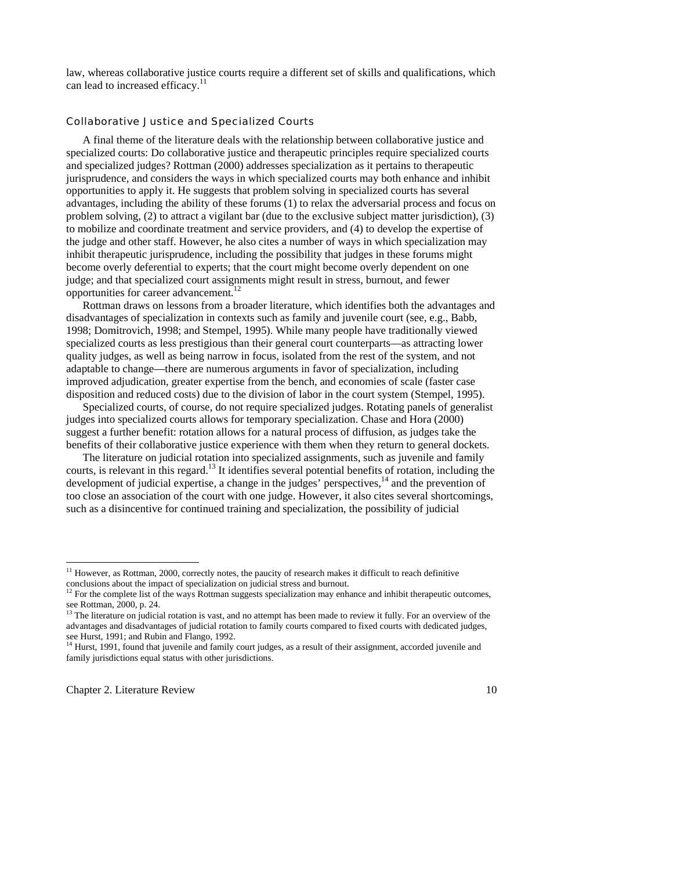law, whereas collaborative justice courts require a different set of skills and qualifications, which can lead to increased efficacy.<sup>11</sup>

#### Collaborative Justice and Specialized Courts

 A final theme of the literature deals with the relationship between collaborative justice and specialized courts: Do collaborative justice and therapeutic principles require specialized courts and specialized judges? Rottman (2000) addresses specialization as it pertains to therapeutic jurisprudence, and considers the ways in which specialized courts may both enhance and inhibit opportunities to apply it. He suggests that problem solving in specialized courts has several advantages, including the ability of these forums (1) to relax the adversarial process and focus on problem solving, (2) to attract a vigilant bar (due to the exclusive subject matter jurisdiction), (3) to mobilize and coordinate treatment and service providers, and (4) to develop the expertise of the judge and other staff. However, he also cites a number of ways in which specialization may inhibit therapeutic jurisprudence, including the possibility that judges in these forums might become overly deferential to experts; that the court might become overly dependent on one judge; and that specialized court assignments might result in stress, burnout, and fewer opportunities for career advancement.<sup>12</sup>

 Rottman draws on lessons from a broader literature, which identifies both the advantages and disadvantages of specialization in contexts such as family and juvenile court (see, e.g., Babb, 1998; Domitrovich, 1998; and Stempel, 1995). While many people have traditionally viewed specialized courts as less prestigious than their general court counterparts—as attracting lower quality judges, as well as being narrow in focus, isolated from the rest of the system, and not adaptable to change—there are numerous arguments in favor of specialization, including improved adjudication, greater expertise from the bench, and economies of scale (faster case disposition and reduced costs) due to the division of labor in the court system (Stempel, 1995).

 Specialized courts, of course, do not require specialized judges. Rotating panels of generalist judges into specialized courts allows for temporary specialization. Chase and Hora (2000) suggest a further benefit: rotation allows for a natural process of diffusion, as judges take the benefits of their collaborative justice experience with them when they return to general dockets.

 The literature on judicial rotation into specialized assignments, such as juvenile and family courts, is relevant in this regard.<sup>13</sup> It identifies several potential benefits of rotation, including the development of judicial expertise, a change in the judges' perspectives, $14$  and the prevention of too close an association of the court with one judge. However, it also cites several shortcomings, such as a disincentive for continued training and specialization, the possibility of judicial

Chapter 2. Literature Review 10

<sup>&</sup>lt;sup>11</sup> However, as Rottman, 2000, correctly notes, the paucity of research makes it difficult to reach definitive conclusions about the impact of specialization on judicial stress and burnout.

 $12$  For the complete list of the ways Rottman suggests specialization may enhance and inhibit therapeutic outcomes, see Rottman, 2000, p. 24.

<sup>&</sup>lt;sup>13</sup> The literature on judicial rotation is vast, and no attempt has been made to review it fully. For an overview of the advantages and disadvantages of judicial rotation to family courts compared to fixed courts with dedicated judges, see Hurst, 1991; and Rubin and Flango, 1992.

<sup>14</sup> Hurst, 1991, found that juvenile and family court judges, as a result of their assignment, accorded juvenile and family jurisdictions equal status with other jurisdictions.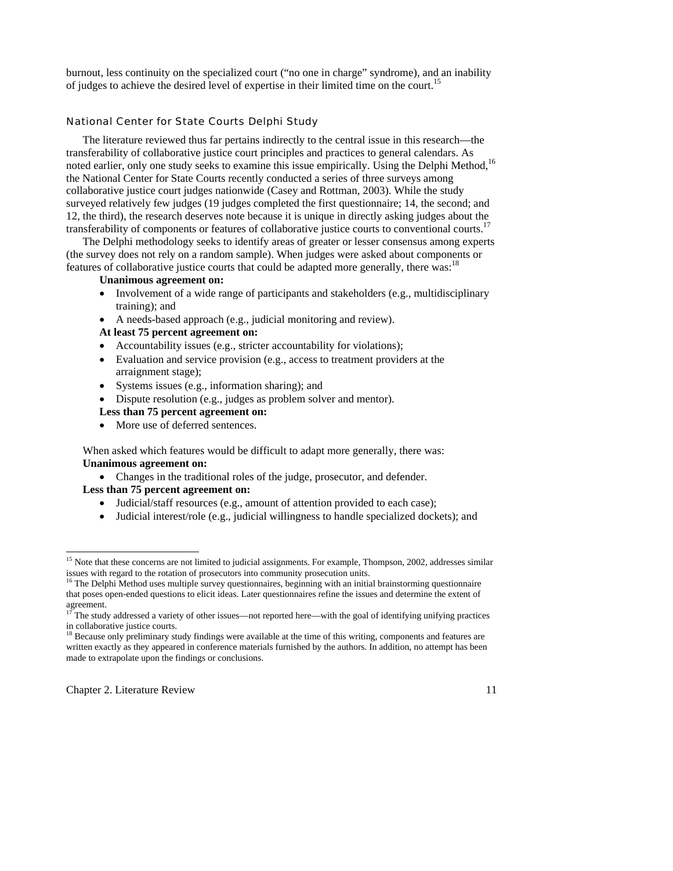burnout, less continuity on the specialized court ("no one in charge" syndrome), and an inability of judges to achieve the desired level of expertise in their limited time on the court.<sup>15</sup>

#### National Center for State Courts Delphi Study

 The literature reviewed thus far pertains indirectly to the central issue in this research—the transferability of collaborative justice court principles and practices to general calendars. As noted earlier, only one study seeks to examine this issue empirically. Using the Delphi Method.<sup>16</sup> the National Center for State Courts recently conducted a series of three surveys among collaborative justice court judges nationwide (Casey and Rottman, 2003). While the study surveyed relatively few judges (19 judges completed the first questionnaire; 14, the second; and 12, the third), the research deserves note because it is unique in directly asking judges about the transferability of components or features of collaborative justice courts to conventional courts.<sup>17</sup>

 The Delphi methodology seeks to identify areas of greater or lesser consensus among experts (the survey does not rely on a random sample). When judges were asked about components or features of collaborative justice courts that could be adapted more generally, there was:<sup>18</sup>

#### **Unanimous agreement on:**

- Involvement of a wide range of participants and stakeholders (e.g., multidisciplinary training); and
- A needs-based approach (e.g., judicial monitoring and review).

#### **At least 75 percent agreement on:**

- Accountability issues (e.g., stricter accountability for violations);
- Evaluation and service provision (e.g., access to treatment providers at the arraignment stage);
- Systems issues (e.g., information sharing); and
- Dispute resolution (e.g., judges as problem solver and mentor).

#### **Less than 75 percent agreement on:**

• More use of deferred sentences.

When asked which features would be difficult to adapt more generally, there was: **Unanimous agreement on:**

• Changes in the traditional roles of the judge, prosecutor, and defender.

### **Less than 75 percent agreement on:**

- Judicial/staff resources (e.g., amount of attention provided to each case);
- Judicial interest/role (e.g., judicial willingness to handle specialized dockets); and

Chapter 2. Literature Review 11

<sup>&</sup>lt;sup>15</sup> Note that these concerns are not limited to judicial assignments. For example, Thompson, 2002, addresses similar issues with regard to the rotation of prosecutors into community prosecution units.

<sup>&</sup>lt;sup>16</sup> The Delphi Method uses multiple survey questionnaires, beginning with an initial brainstorming questionnaire that poses open-ended questions to elicit ideas. Later questionnaires refine the issues and determine the extent of agreement.

<sup>17</sup> The study addressed a variety of other issues—not reported here—with the goal of identifying unifying practices in collaborative justice courts.

<sup>18</sup> Because only preliminary study findings were available at the time of this writing, components and features are written exactly as they appeared in conference materials furnished by the authors. In addition, no attempt has been made to extrapolate upon the findings or conclusions.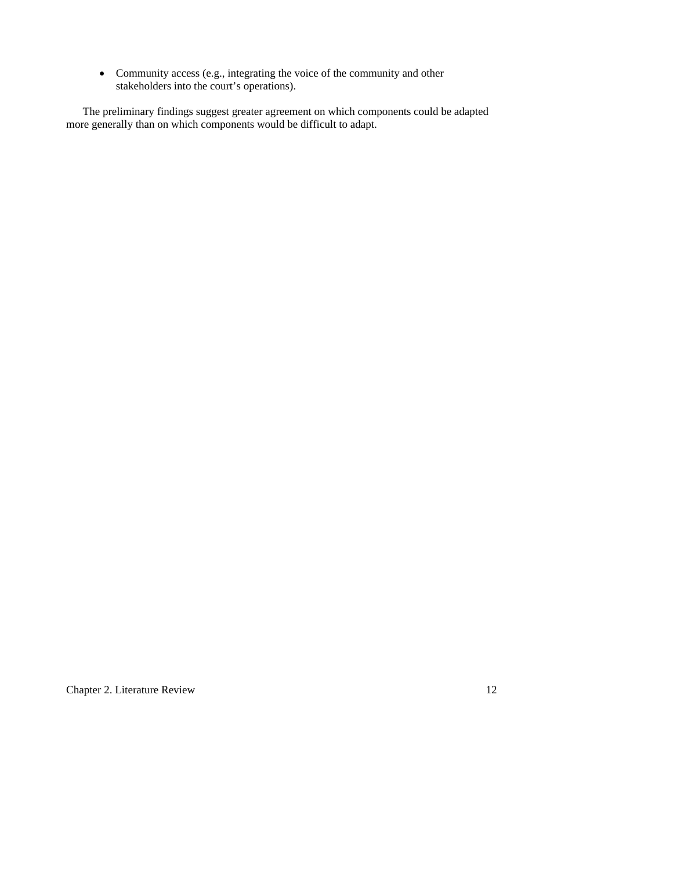• Community access (e.g., integrating the voice of the community and other stakeholders into the court's operations).

 The preliminary findings suggest greater agreement on which components could be adapted more generally than on which components would be difficult to adapt.

Chapter 2. Literature Review 12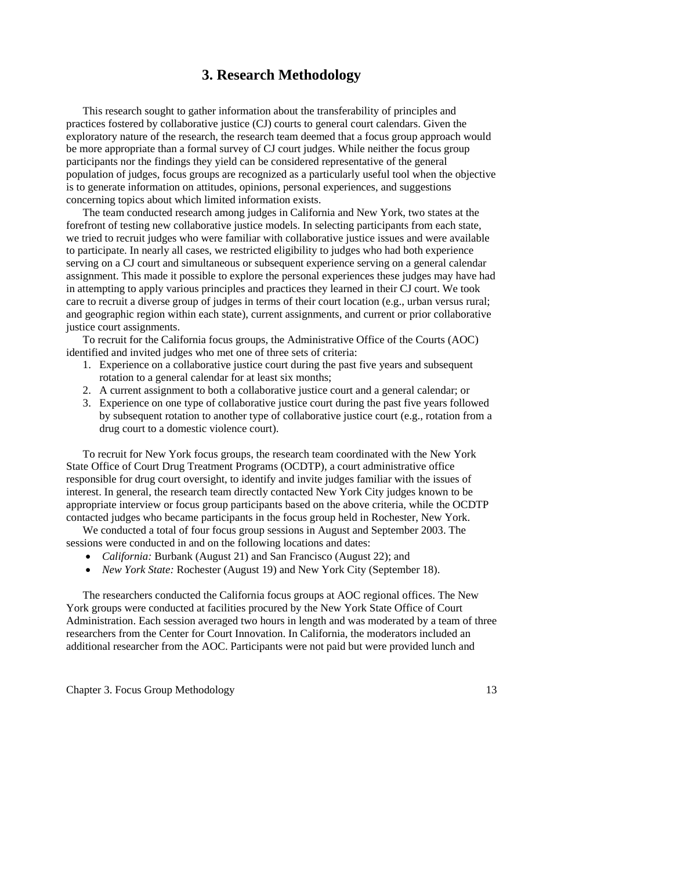## **3. Research Methodology**

 This research sought to gather information about the transferability of principles and practices fostered by collaborative justice (CJ) courts to general court calendars. Given the exploratory nature of the research, the research team deemed that a focus group approach would be more appropriate than a formal survey of CJ court judges. While neither the focus group participants nor the findings they yield can be considered representative of the general population of judges, focus groups are recognized as a particularly useful tool when the objective is to generate information on attitudes, opinions, personal experiences, and suggestions concerning topics about which limited information exists.

 The team conducted research among judges in California and New York, two states at the forefront of testing new collaborative justice models. In selecting participants from each state, we tried to recruit judges who were familiar with collaborative justice issues and were available to participate. In nearly all cases, we restricted eligibility to judges who had both experience serving on a CJ court and simultaneous or subsequent experience serving on a general calendar assignment. This made it possible to explore the personal experiences these judges may have had in attempting to apply various principles and practices they learned in their CJ court. We took care to recruit a diverse group of judges in terms of their court location (e.g., urban versus rural; and geographic region within each state), current assignments, and current or prior collaborative justice court assignments.

 To recruit for the California focus groups, the Administrative Office of the Courts (AOC) identified and invited judges who met one of three sets of criteria:

- 1. Experience on a collaborative justice court during the past five years and subsequent rotation to a general calendar for at least six months;
- 2. A current assignment to both a collaborative justice court and a general calendar; or
- 3. Experience on one type of collaborative justice court during the past five years followed by subsequent rotation to another type of collaborative justice court (e.g., rotation from a drug court to a domestic violence court).

 To recruit for New York focus groups, the research team coordinated with the New York State Office of Court Drug Treatment Programs (OCDTP), a court administrative office responsible for drug court oversight, to identify and invite judges familiar with the issues of interest. In general, the research team directly contacted New York City judges known to be appropriate interview or focus group participants based on the above criteria, while the OCDTP contacted judges who became participants in the focus group held in Rochester, New York.

 We conducted a total of four focus group sessions in August and September 2003. The sessions were conducted in and on the following locations and dates:

- *California:* Burbank (August 21) and San Francisco (August 22); and
- *New York State:* Rochester (August 19) and New York City (September 18).

 The researchers conducted the California focus groups at AOC regional offices. The New York groups were conducted at facilities procured by the New York State Office of Court Administration. Each session averaged two hours in length and was moderated by a team of three researchers from the Center for Court Innovation. In California, the moderators included an additional researcher from the AOC. Participants were not paid but were provided lunch and

Chapter 3. Focus Group Methodology 13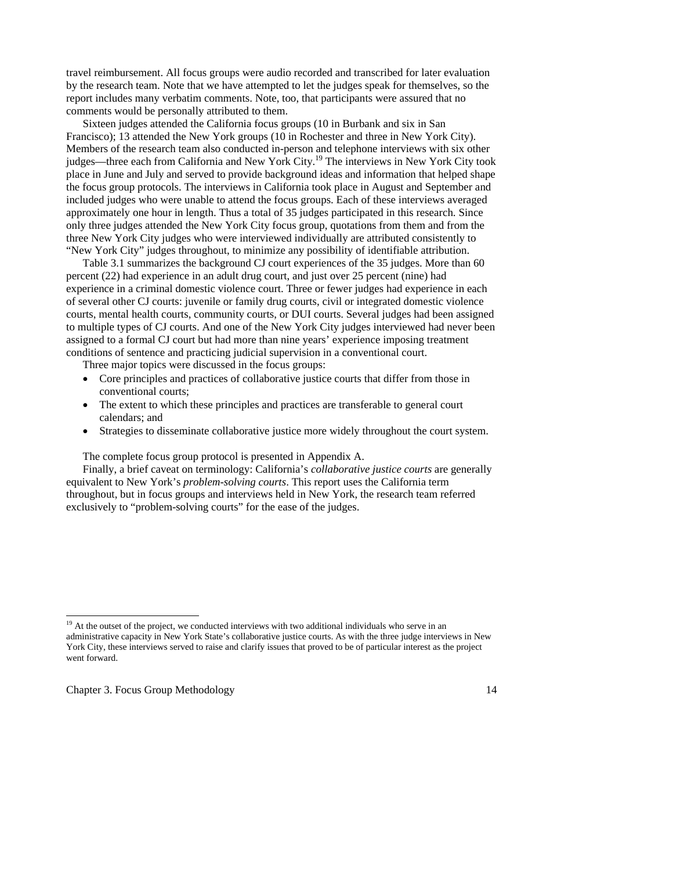travel reimbursement. All focus groups were audio recorded and transcribed for later evaluation by the research team. Note that we have attempted to let the judges speak for themselves, so the report includes many verbatim comments. Note, too, that participants were assured that no comments would be personally attributed to them.

 Sixteen judges attended the California focus groups (10 in Burbank and six in San Francisco); 13 attended the New York groups (10 in Rochester and three in New York City). Members of the research team also conducted in-person and telephone interviews with six other judges—three each from California and New York City.19 The interviews in New York City took place in June and July and served to provide background ideas and information that helped shape the focus group protocols. The interviews in California took place in August and September and included judges who were unable to attend the focus groups. Each of these interviews averaged approximately one hour in length. Thus a total of 35 judges participated in this research. Since only three judges attended the New York City focus group, quotations from them and from the three New York City judges who were interviewed individually are attributed consistently to "New York City" judges throughout, to minimize any possibility of identifiable attribution.

 Table 3.1 summarizes the background CJ court experiences of the 35 judges. More than 60 percent (22) had experience in an adult drug court, and just over 25 percent (nine) had experience in a criminal domestic violence court. Three or fewer judges had experience in each of several other CJ courts: juvenile or family drug courts, civil or integrated domestic violence courts, mental health courts, community courts, or DUI courts. Several judges had been assigned to multiple types of CJ courts. And one of the New York City judges interviewed had never been assigned to a formal CJ court but had more than nine years' experience imposing treatment conditions of sentence and practicing judicial supervision in a conventional court.

Three major topics were discussed in the focus groups:

- Core principles and practices of collaborative justice courts that differ from those in conventional courts;
- The extent to which these principles and practices are transferable to general court calendars; and
- Strategies to disseminate collaborative justice more widely throughout the court system.

The complete focus group protocol is presented in Appendix A.

 Finally, a brief caveat on terminology: California's *collaborative justice courts* are generally equivalent to New York's *problem-solving courts*. This report uses the California term throughout, but in focus groups and interviews held in New York, the research team referred exclusively to "problem-solving courts" for the ease of the judges.

Chapter 3. Focus Group Methodology 14

1

<sup>&</sup>lt;sup>19</sup> At the outset of the project, we conducted interviews with two additional individuals who serve in an administrative capacity in New York State's collaborative justice courts. As with the three judge interviews in New York City, these interviews served to raise and clarify issues that proved to be of particular interest as the project went forward.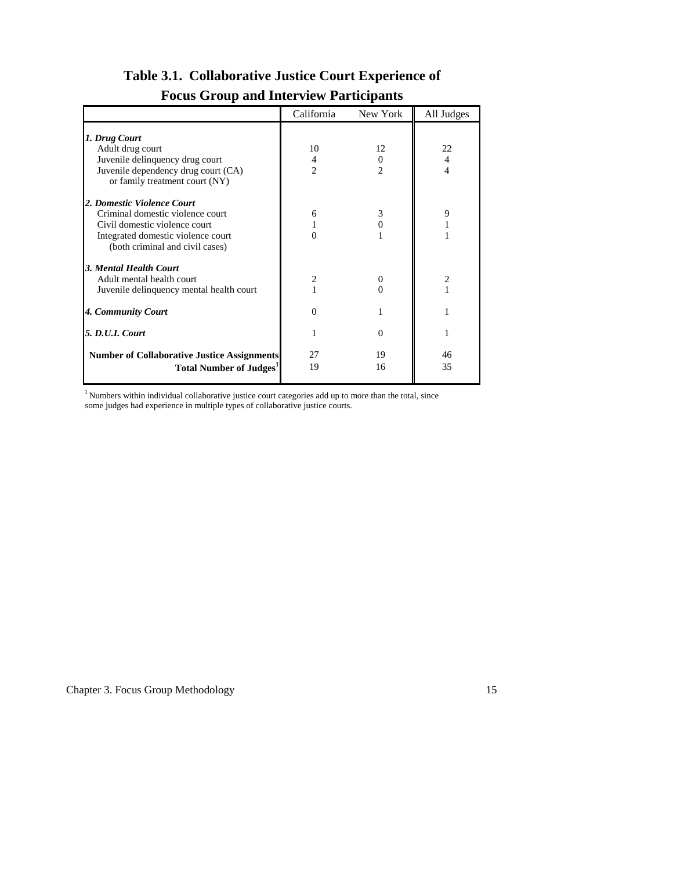|                                                                                                                                                                          | California                | New York            | All Judges                             |
|--------------------------------------------------------------------------------------------------------------------------------------------------------------------------|---------------------------|---------------------|----------------------------------------|
| 1. Drug Court<br>Adult drug court<br>Juvenile delinquency drug court<br>Juvenile dependency drug court (CA)<br>or family treatment court (NY)                            | 10<br>4<br>$\overline{c}$ | 12<br>$\Omega$<br>2 | 22<br>$\overline{4}$<br>$\overline{4}$ |
| 2. Domestic Violence Court<br>Criminal domestic violence court<br>Civil domestic violence court<br>Integrated domestic violence court<br>(both criminal and civil cases) | 6                         | 3<br>0              | 9                                      |
| 3. Mental Health Court<br>Adult mental health court<br>Juvenile delinquency mental health court                                                                          | 2                         | 0<br>0              | $\overline{2}$                         |
| 4. Community Court                                                                                                                                                       | $\Omega$                  |                     |                                        |
| <b>5. D.U.I. Court</b>                                                                                                                                                   |                           | 0                   |                                        |
| <b>Number of Collaborative Justice Assignments</b><br><b>Total Number of Judges</b>                                                                                      | 27<br>19                  | 19<br>16            | 46<br>35                               |

# **Table 3.1. Collaborative Justice Court Experience of Focus Group and Interview Participants**

 $1$  Numbers within individual collaborative justice court categories add up to more than the total, since some judges had experience in multiple types of collaborative justice courts.

Chapter 3. Focus Group Methodology 15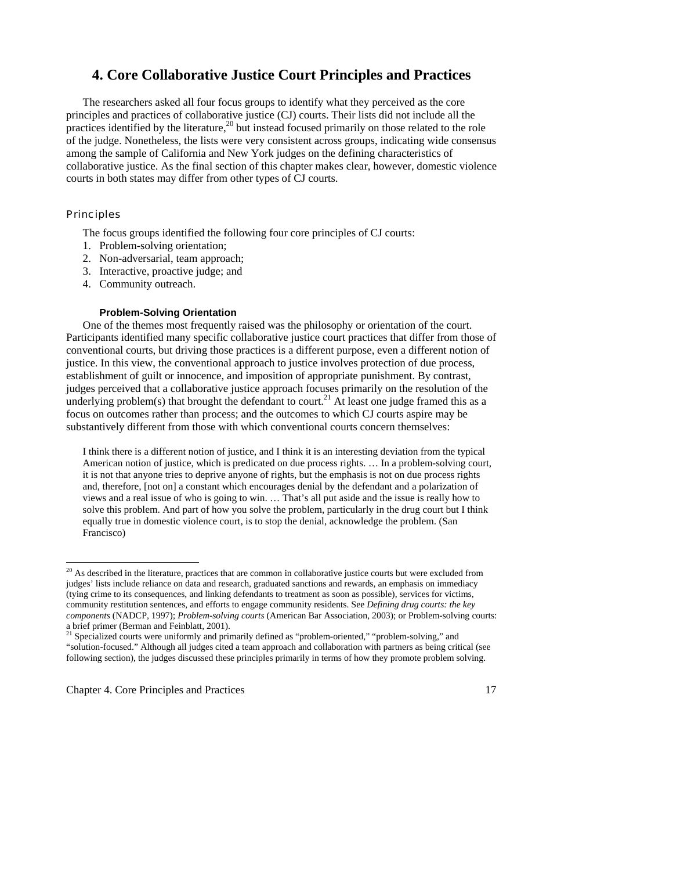## **4. Core Collaborative Justice Court Principles and Practices**

 The researchers asked all four focus groups to identify what they perceived as the core principles and practices of collaborative justice (CJ) courts. Their lists did not include all the practices identified by the literature,<sup>20</sup> but instead focused primarily on those related to the role of the judge. Nonetheless, the lists were very consistent across groups, indicating wide consensus among the sample of California and New York judges on the defining characteristics of collaborative justice. As the final section of this chapter makes clear, however, domestic violence courts in both states may differ from other types of CJ courts.

#### **Principles**

-

The focus groups identified the following four core principles of CJ courts:

- 1. Problem-solving orientation;
- 2. Non-adversarial, team approach;
- 3. Interactive, proactive judge; and
- 4. Community outreach.

#### **Problem-Solving Orientation**

 One of the themes most frequently raised was the philosophy or orientation of the court. Participants identified many specific collaborative justice court practices that differ from those of conventional courts, but driving those practices is a different purpose, even a different notion of justice. In this view, the conventional approach to justice involves protection of due process, establishment of guilt or innocence, and imposition of appropriate punishment. By contrast, judges perceived that a collaborative justice approach focuses primarily on the resolution of the underlying problem(s) that brought the defendant to court.<sup>21</sup> At least one judge framed this as a focus on outcomes rather than process; and the outcomes to which CJ courts aspire may be substantively different from those with which conventional courts concern themselves:

I think there is a different notion of justice, and I think it is an interesting deviation from the typical American notion of justice, which is predicated on due process rights. … In a problem-solving court, it is not that anyone tries to deprive anyone of rights, but the emphasis is not on due process rights and, therefore, [not on] a constant which encourages denial by the defendant and a polarization of views and a real issue of who is going to win. … That's all put aside and the issue is really how to solve this problem. And part of how you solve the problem, particularly in the drug court but I think equally true in domestic violence court, is to stop the denial, acknowledge the problem. (San Francisco)

 $20$  As described in the literature, practices that are common in collaborative justice courts but were excluded from judges' lists include reliance on data and research, graduated sanctions and rewards, an emphasis on immediacy (tying crime to its consequences, and linking defendants to treatment as soon as possible), services for victims, community restitution sentences, and efforts to engage community residents. See *Defining drug courts: the key components* (NADCP, 1997); *Problem-solving courts* (American Bar Association, 2003); or Problem-solving courts: a brief primer (Berman and Feinblatt, 2001).

Specialized courts were uniformly and primarily defined as "problem-oriented," "problem-solving," and "solution-focused." Although all judges cited a team approach and collaboration with partners as being critical (see following section), the judges discussed these principles primarily in terms of how they promote problem solving.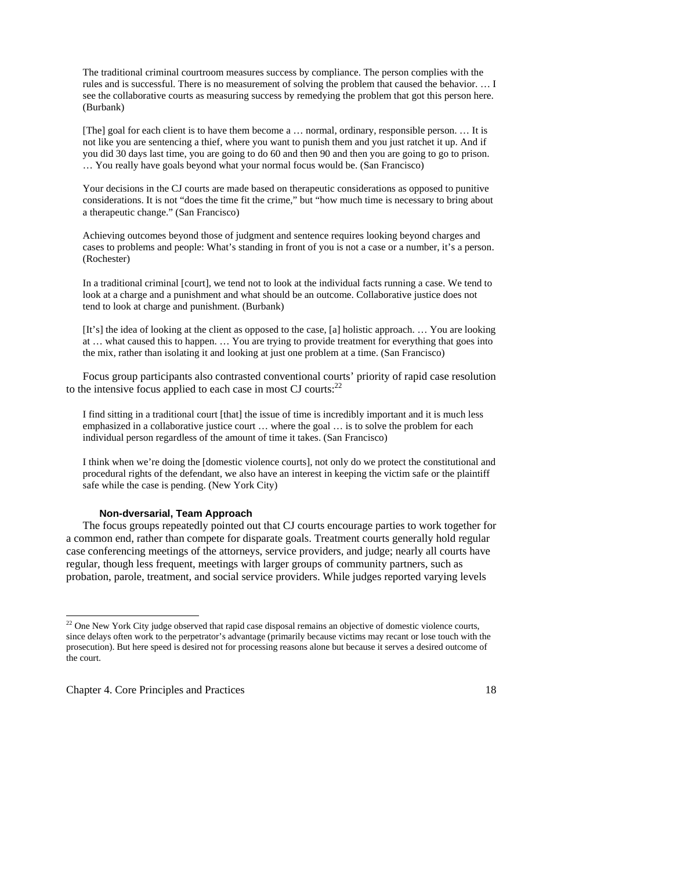The traditional criminal courtroom measures success by compliance. The person complies with the rules and is successful. There is no measurement of solving the problem that caused the behavior. … I see the collaborative courts as measuring success by remedying the problem that got this person here. (Burbank)

[The] goal for each client is to have them become a … normal, ordinary, responsible person. … It is not like you are sentencing a thief, where you want to punish them and you just ratchet it up. And if you did 30 days last time, you are going to do 60 and then 90 and then you are going to go to prison. … You really have goals beyond what your normal focus would be. (San Francisco)

Your decisions in the CJ courts are made based on therapeutic considerations as opposed to punitive considerations. It is not "does the time fit the crime," but "how much time is necessary to bring about a therapeutic change." (San Francisco)

Achieving outcomes beyond those of judgment and sentence requires looking beyond charges and cases to problems and people: What's standing in front of you is not a case or a number, it's a person. (Rochester)

In a traditional criminal [court], we tend not to look at the individual facts running a case. We tend to look at a charge and a punishment and what should be an outcome. Collaborative justice does not tend to look at charge and punishment. (Burbank)

[It's] the idea of looking at the client as opposed to the case, [a] holistic approach. … You are looking at … what caused this to happen. … You are trying to provide treatment for everything that goes into the mix, rather than isolating it and looking at just one problem at a time. (San Francisco)

 Focus group participants also contrasted conventional courts' priority of rapid case resolution to the intensive focus applied to each case in most  $CI$  courts:<sup>22</sup>

I find sitting in a traditional court [that] the issue of time is incredibly important and it is much less emphasized in a collaborative justice court … where the goal … is to solve the problem for each individual person regardless of the amount of time it takes. (San Francisco)

I think when we're doing the [domestic violence courts], not only do we protect the constitutional and procedural rights of the defendant, we also have an interest in keeping the victim safe or the plaintiff safe while the case is pending. (New York City)

#### **Non-dversarial, Team Approach**

 The focus groups repeatedly pointed out that CJ courts encourage parties to work together for a common end, rather than compete for disparate goals. Treatment courts generally hold regular case conferencing meetings of the attorneys, service providers, and judge; nearly all courts have regular, though less frequent, meetings with larger groups of community partners, such as probation, parole, treatment, and social service providers. While judges reported varying levels

Chapter 4. Core Principles and Practices 18

1

<sup>&</sup>lt;sup>22</sup> One New York City judge observed that rapid case disposal remains an objective of domestic violence courts, since delays often work to the perpetrator's advantage (primarily because victims may recant or lose touch with the prosecution). But here speed is desired not for processing reasons alone but because it serves a desired outcome of the court.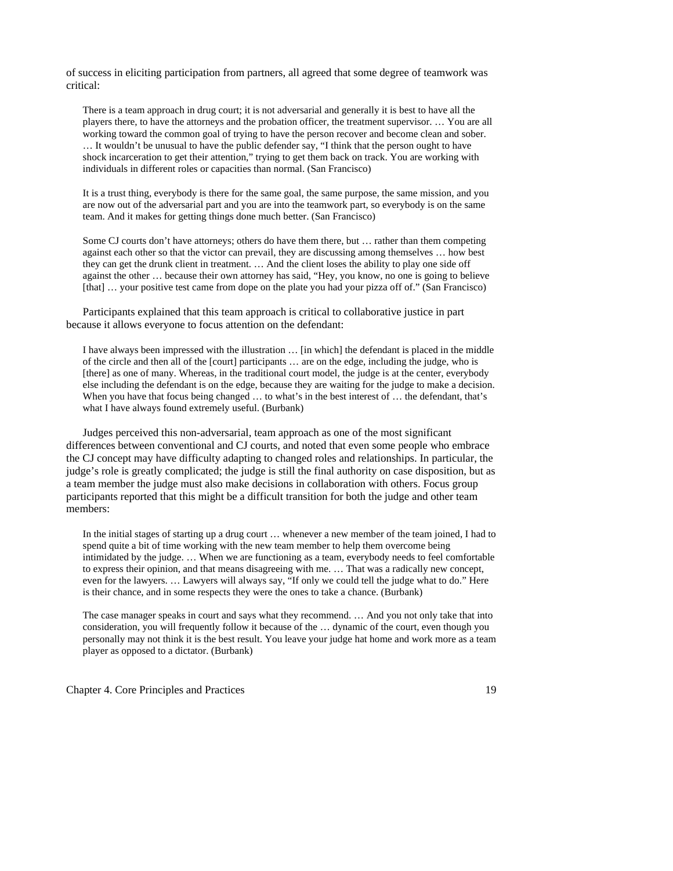of success in eliciting participation from partners, all agreed that some degree of teamwork was critical:

There is a team approach in drug court; it is not adversarial and generally it is best to have all the players there, to have the attorneys and the probation officer, the treatment supervisor. … You are all working toward the common goal of trying to have the person recover and become clean and sober. … It wouldn't be unusual to have the public defender say, "I think that the person ought to have shock incarceration to get their attention," trying to get them back on track. You are working with individuals in different roles or capacities than normal. (San Francisco)

It is a trust thing, everybody is there for the same goal, the same purpose, the same mission, and you are now out of the adversarial part and you are into the teamwork part, so everybody is on the same team. And it makes for getting things done much better. (San Francisco)

Some CJ courts don't have attorneys; others do have them there, but … rather than them competing against each other so that the victor can prevail, they are discussing among themselves … how best they can get the drunk client in treatment. … And the client loses the ability to play one side off against the other … because their own attorney has said, "Hey, you know, no one is going to believe [that] … your positive test came from dope on the plate you had your pizza off of." (San Francisco)

 Participants explained that this team approach is critical to collaborative justice in part because it allows everyone to focus attention on the defendant:

I have always been impressed with the illustration … [in which] the defendant is placed in the middle of the circle and then all of the [court] participants … are on the edge, including the judge, who is [there] as one of many. Whereas, in the traditional court model, the judge is at the center, everybody else including the defendant is on the edge, because they are waiting for the judge to make a decision. When you have that focus being changed ... to what's in the best interest of ... the defendant, that's what I have always found extremely useful. (Burbank)

 Judges perceived this non-adversarial, team approach as one of the most significant differences between conventional and CJ courts, and noted that even some people who embrace the CJ concept may have difficulty adapting to changed roles and relationships. In particular, the judge's role is greatly complicated; the judge is still the final authority on case disposition, but as a team member the judge must also make decisions in collaboration with others. Focus group participants reported that this might be a difficult transition for both the judge and other team members:

In the initial stages of starting up a drug court … whenever a new member of the team joined, I had to spend quite a bit of time working with the new team member to help them overcome being intimidated by the judge. … When we are functioning as a team, everybody needs to feel comfortable to express their opinion, and that means disagreeing with me. … That was a radically new concept, even for the lawyers. … Lawyers will always say, "If only we could tell the judge what to do." Here is their chance, and in some respects they were the ones to take a chance. (Burbank)

The case manager speaks in court and says what they recommend. … And you not only take that into consideration, you will frequently follow it because of the … dynamic of the court, even though you personally may not think it is the best result. You leave your judge hat home and work more as a team player as opposed to a dictator. (Burbank)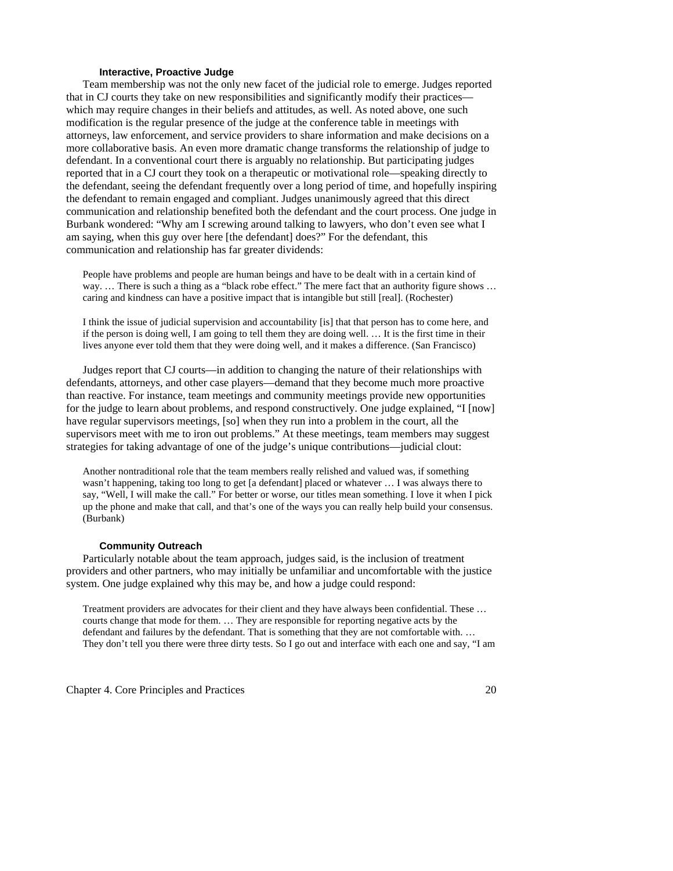#### **Interactive, Proactive Judge**

 Team membership was not the only new facet of the judicial role to emerge. Judges reported that in CJ courts they take on new responsibilities and significantly modify their practices which may require changes in their beliefs and attitudes, as well. As noted above, one such modification is the regular presence of the judge at the conference table in meetings with attorneys, law enforcement, and service providers to share information and make decisions on a more collaborative basis. An even more dramatic change transforms the relationship of judge to defendant. In a conventional court there is arguably no relationship. But participating judges reported that in a CJ court they took on a therapeutic or motivational role—speaking directly to the defendant, seeing the defendant frequently over a long period of time, and hopefully inspiring the defendant to remain engaged and compliant. Judges unanimously agreed that this direct communication and relationship benefited both the defendant and the court process. One judge in Burbank wondered: "Why am I screwing around talking to lawyers, who don't even see what I am saying, when this guy over here [the defendant] does?" For the defendant, this communication and relationship has far greater dividends:

People have problems and people are human beings and have to be dealt with in a certain kind of way. ... There is such a thing as a "black robe effect." The mere fact that an authority figure shows ... caring and kindness can have a positive impact that is intangible but still [real]. (Rochester)

I think the issue of judicial supervision and accountability [is] that that person has to come here, and if the person is doing well, I am going to tell them they are doing well. … It is the first time in their lives anyone ever told them that they were doing well, and it makes a difference. (San Francisco)

 Judges report that CJ courts—in addition to changing the nature of their relationships with defendants, attorneys, and other case players—demand that they become much more proactive than reactive. For instance, team meetings and community meetings provide new opportunities for the judge to learn about problems, and respond constructively. One judge explained, "I [now] have regular supervisors meetings, [so] when they run into a problem in the court, all the supervisors meet with me to iron out problems." At these meetings, team members may suggest strategies for taking advantage of one of the judge's unique contributions—judicial clout:

Another nontraditional role that the team members really relished and valued was, if something wasn't happening, taking too long to get [a defendant] placed or whatever … I was always there to say, "Well, I will make the call." For better or worse, our titles mean something. I love it when I pick up the phone and make that call, and that's one of the ways you can really help build your consensus. (Burbank)

#### **Community Outreach**

 Particularly notable about the team approach, judges said, is the inclusion of treatment providers and other partners, who may initially be unfamiliar and uncomfortable with the justice system. One judge explained why this may be, and how a judge could respond:

Treatment providers are advocates for their client and they have always been confidential. These … courts change that mode for them. … They are responsible for reporting negative acts by the defendant and failures by the defendant. That is something that they are not comfortable with. … They don't tell you there were three dirty tests. So I go out and interface with each one and say, "I am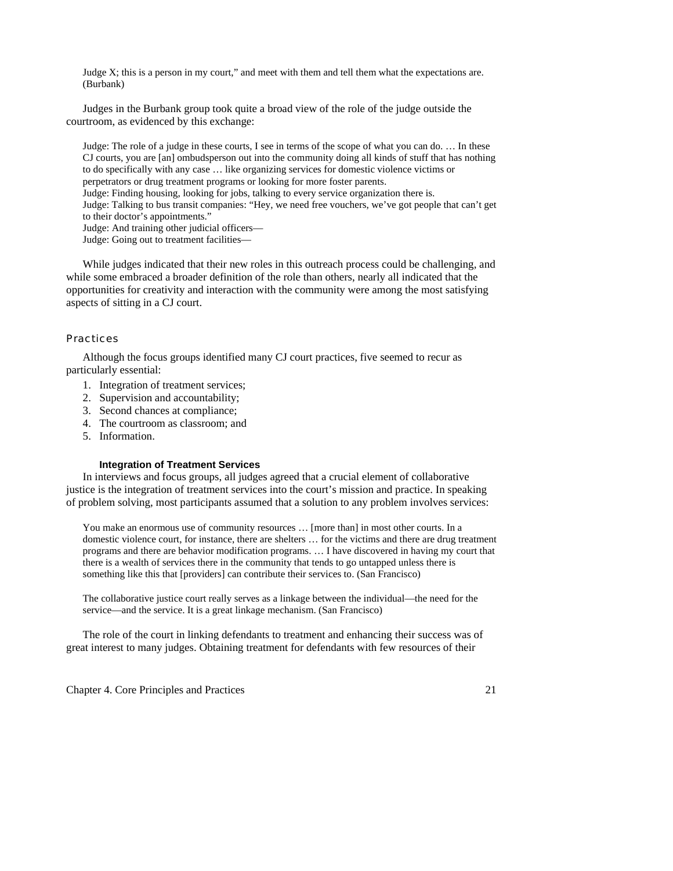Judge X; this is a person in my court," and meet with them and tell them what the expectations are. (Burbank)

 Judges in the Burbank group took quite a broad view of the role of the judge outside the courtroom, as evidenced by this exchange:

Judge: The role of a judge in these courts, I see in terms of the scope of what you can do. … In these CJ courts, you are [an] ombudsperson out into the community doing all kinds of stuff that has nothing to do specifically with any case … like organizing services for domestic violence victims or perpetrators or drug treatment programs or looking for more foster parents. Judge: Finding housing, looking for jobs, talking to every service organization there is. Judge: Talking to bus transit companies: "Hey, we need free vouchers, we've got people that can't get to their doctor's appointments." Judge: And training other judicial officers— Judge: Going out to treatment facilities—

 While judges indicated that their new roles in this outreach process could be challenging, and while some embraced a broader definition of the role than others, nearly all indicated that the opportunities for creativity and interaction with the community were among the most satisfying aspects of sitting in a CJ court.

#### **Practices**

 Although the focus groups identified many CJ court practices, five seemed to recur as particularly essential:

- 1. Integration of treatment services;
- 2. Supervision and accountability;
- 3. Second chances at compliance;
- 4. The courtroom as classroom; and
- 5. Information.

#### **Integration of Treatment Services**

 In interviews and focus groups, all judges agreed that a crucial element of collaborative justice is the integration of treatment services into the court's mission and practice. In speaking of problem solving, most participants assumed that a solution to any problem involves services:

You make an enormous use of community resources … [more than] in most other courts. In a domestic violence court, for instance, there are shelters … for the victims and there are drug treatment programs and there are behavior modification programs. … I have discovered in having my court that there is a wealth of services there in the community that tends to go untapped unless there is something like this that [providers] can contribute their services to. (San Francisco)

The collaborative justice court really serves as a linkage between the individual—the need for the service—and the service. It is a great linkage mechanism. (San Francisco)

 The role of the court in linking defendants to treatment and enhancing their success was of great interest to many judges. Obtaining treatment for defendants with few resources of their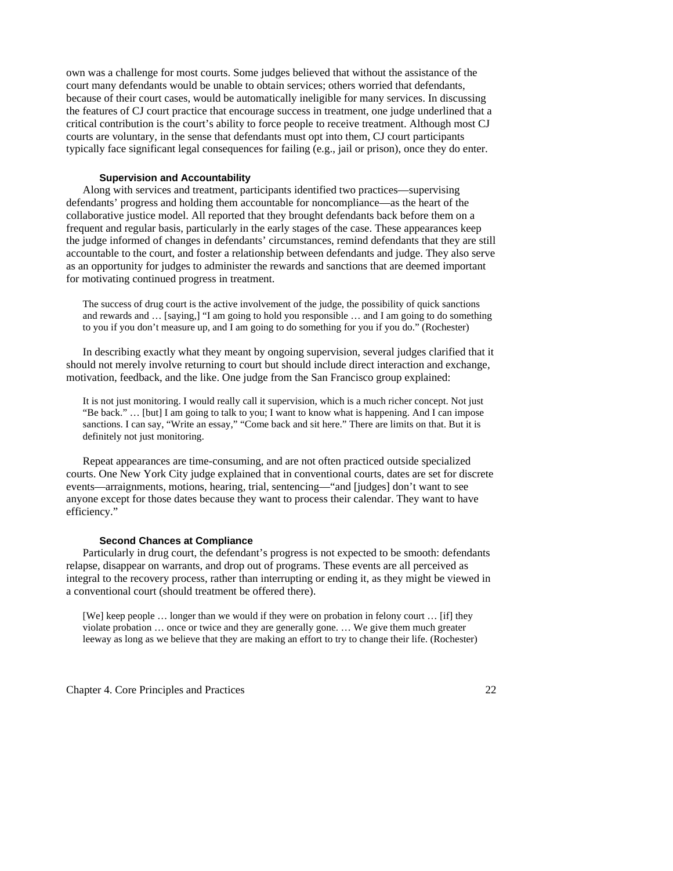own was a challenge for most courts. Some judges believed that without the assistance of the court many defendants would be unable to obtain services; others worried that defendants, because of their court cases, would be automatically ineligible for many services. In discussing the features of CJ court practice that encourage success in treatment, one judge underlined that a critical contribution is the court's ability to force people to receive treatment. Although most CJ courts are voluntary, in the sense that defendants must opt into them, CJ court participants typically face significant legal consequences for failing (e.g., jail or prison), once they do enter.

#### **Supervision and Accountability**

 Along with services and treatment, participants identified two practices—supervising defendants' progress and holding them accountable for noncompliance—as the heart of the collaborative justice model. All reported that they brought defendants back before them on a frequent and regular basis, particularly in the early stages of the case. These appearances keep the judge informed of changes in defendants' circumstances, remind defendants that they are still accountable to the court, and foster a relationship between defendants and judge. They also serve as an opportunity for judges to administer the rewards and sanctions that are deemed important for motivating continued progress in treatment.

The success of drug court is the active involvement of the judge, the possibility of quick sanctions and rewards and … [saying,] "I am going to hold you responsible … and I am going to do something to you if you don't measure up, and I am going to do something for you if you do." (Rochester)

In describing exactly what they meant by ongoing supervision, several judges clarified that it should not merely involve returning to court but should include direct interaction and exchange, motivation, feedback, and the like. One judge from the San Francisco group explained:

It is not just monitoring. I would really call it supervision, which is a much richer concept. Not just "Be back." … [but] I am going to talk to you; I want to know what is happening. And I can impose sanctions. I can say, "Write an essay," "Come back and sit here." There are limits on that. But it is definitely not just monitoring.

 Repeat appearances are time-consuming, and are not often practiced outside specialized courts. One New York City judge explained that in conventional courts, dates are set for discrete events—arraignments, motions, hearing, trial, sentencing—"and [judges] don't want to see anyone except for those dates because they want to process their calendar. They want to have efficiency."

#### **Second Chances at Compliance**

 Particularly in drug court, the defendant's progress is not expected to be smooth: defendants relapse, disappear on warrants, and drop out of programs. These events are all perceived as integral to the recovery process, rather than interrupting or ending it, as they might be viewed in a conventional court (should treatment be offered there).

[We] keep people … longer than we would if they were on probation in felony court … [if] they violate probation … once or twice and they are generally gone. … We give them much greater leeway as long as we believe that they are making an effort to try to change their life. (Rochester)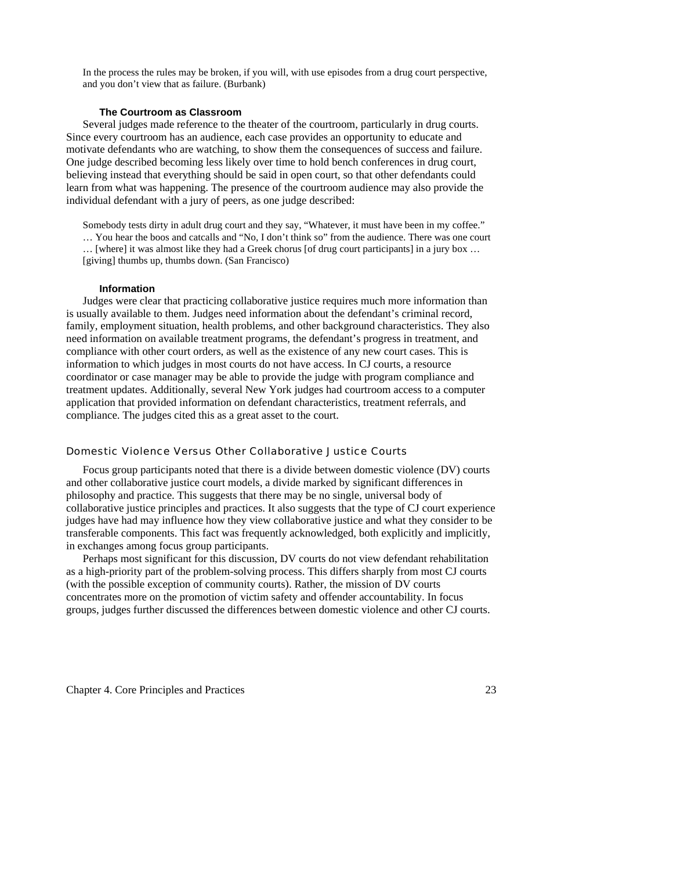In the process the rules may be broken, if you will, with use episodes from a drug court perspective, and you don't view that as failure. (Burbank)

#### **The Courtroom as Classroom**

 Several judges made reference to the theater of the courtroom, particularly in drug courts. Since every courtroom has an audience, each case provides an opportunity to educate and motivate defendants who are watching, to show them the consequences of success and failure. One judge described becoming less likely over time to hold bench conferences in drug court, believing instead that everything should be said in open court, so that other defendants could learn from what was happening. The presence of the courtroom audience may also provide the individual defendant with a jury of peers, as one judge described:

Somebody tests dirty in adult drug court and they say, "Whatever, it must have been in my coffee." … You hear the boos and catcalls and "No, I don't think so" from the audience. There was one court … [where] it was almost like they had a Greek chorus [of drug court participants] in a jury box … [giving] thumbs up, thumbs down. (San Francisco)

#### **Information**

 Judges were clear that practicing collaborative justice requires much more information than is usually available to them. Judges need information about the defendant's criminal record, family, employment situation, health problems, and other background characteristics. They also need information on available treatment programs, the defendant's progress in treatment, and compliance with other court orders, as well as the existence of any new court cases. This is information to which judges in most courts do not have access. In CJ courts, a resource coordinator or case manager may be able to provide the judge with program compliance and treatment updates. Additionally, several New York judges had courtroom access to a computer application that provided information on defendant characteristics, treatment referrals, and compliance. The judges cited this as a great asset to the court.

#### Domestic Violence Versus Other Collaborative Justice Courts

Focus group participants noted that there is a divide between domestic violence (DV) courts and other collaborative justice court models, a divide marked by significant differences in philosophy and practice. This suggests that there may be no single, universal body of collaborative justice principles and practices. It also suggests that the type of CJ court experience judges have had may influence how they view collaborative justice and what they consider to be transferable components. This fact was frequently acknowledged, both explicitly and implicitly, in exchanges among focus group participants.

 Perhaps most significant for this discussion, DV courts do not view defendant rehabilitation as a high-priority part of the problem-solving process. This differs sharply from most CJ courts (with the possible exception of community courts). Rather, the mission of DV courts concentrates more on the promotion of victim safety and offender accountability. In focus groups, judges further discussed the differences between domestic violence and other CJ courts.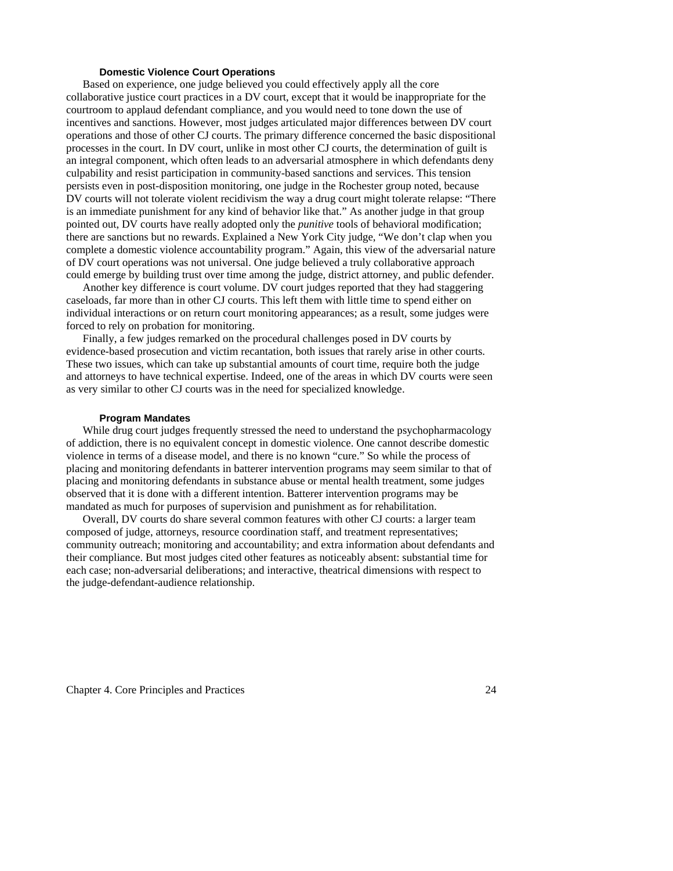#### **Domestic Violence Court Operations**

 Based on experience, one judge believed you could effectively apply all the core collaborative justice court practices in a DV court, except that it would be inappropriate for the courtroom to applaud defendant compliance, and you would need to tone down the use of incentives and sanctions. However, most judges articulated major differences between DV court operations and those of other CJ courts. The primary difference concerned the basic dispositional processes in the court. In DV court, unlike in most other CJ courts, the determination of guilt is an integral component, which often leads to an adversarial atmosphere in which defendants deny culpability and resist participation in community-based sanctions and services. This tension persists even in post-disposition monitoring, one judge in the Rochester group noted, because DV courts will not tolerate violent recidivism the way a drug court might tolerate relapse: "There is an immediate punishment for any kind of behavior like that." As another judge in that group pointed out, DV courts have really adopted only the *punitive* tools of behavioral modification; there are sanctions but no rewards. Explained a New York City judge, "We don't clap when you complete a domestic violence accountability program." Again, this view of the adversarial nature of DV court operations was not universal. One judge believed a truly collaborative approach could emerge by building trust over time among the judge, district attorney, and public defender.

 Another key difference is court volume. DV court judges reported that they had staggering caseloads, far more than in other CJ courts. This left them with little time to spend either on individual interactions or on return court monitoring appearances; as a result, some judges were forced to rely on probation for monitoring.

 Finally, a few judges remarked on the procedural challenges posed in DV courts by evidence-based prosecution and victim recantation, both issues that rarely arise in other courts. These two issues, which can take up substantial amounts of court time, require both the judge and attorneys to have technical expertise. Indeed, one of the areas in which DV courts were seen as very similar to other CJ courts was in the need for specialized knowledge.

#### **Program Mandates**

 While drug court judges frequently stressed the need to understand the psychopharmacology of addiction, there is no equivalent concept in domestic violence. One cannot describe domestic violence in terms of a disease model, and there is no known "cure." So while the process of placing and monitoring defendants in batterer intervention programs may seem similar to that of placing and monitoring defendants in substance abuse or mental health treatment, some judges observed that it is done with a different intention. Batterer intervention programs may be mandated as much for purposes of supervision and punishment as for rehabilitation.

 Overall, DV courts do share several common features with other CJ courts: a larger team composed of judge, attorneys, resource coordination staff, and treatment representatives; community outreach; monitoring and accountability; and extra information about defendants and their compliance. But most judges cited other features as noticeably absent: substantial time for each case; non-adversarial deliberations; and interactive, theatrical dimensions with respect to the judge-defendant-audience relationship.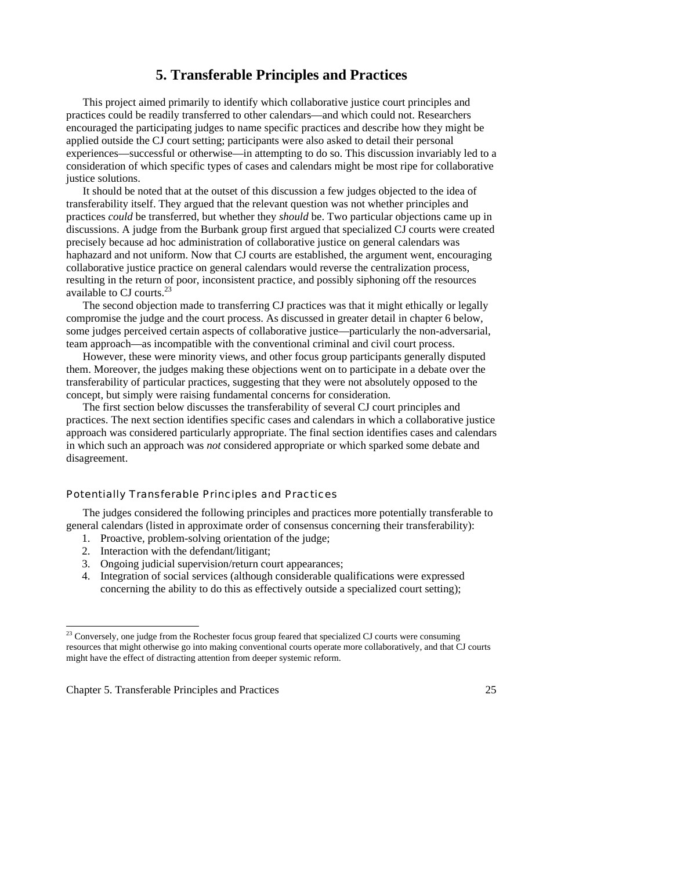# **5. Transferable Principles and Practices**

 This project aimed primarily to identify which collaborative justice court principles and practices could be readily transferred to other calendars—and which could not. Researchers encouraged the participating judges to name specific practices and describe how they might be applied outside the CJ court setting; participants were also asked to detail their personal experiences—successful or otherwise—in attempting to do so. This discussion invariably led to a consideration of which specific types of cases and calendars might be most ripe for collaborative justice solutions.

 It should be noted that at the outset of this discussion a few judges objected to the idea of transferability itself. They argued that the relevant question was not whether principles and practices *could* be transferred, but whether they *should* be. Two particular objections came up in discussions. A judge from the Burbank group first argued that specialized CJ courts were created precisely because ad hoc administration of collaborative justice on general calendars was haphazard and not uniform. Now that CJ courts are established, the argument went, encouraging collaborative justice practice on general calendars would reverse the centralization process, resulting in the return of poor, inconsistent practice, and possibly siphoning off the resources available to CJ courts.<sup>23</sup>

 The second objection made to transferring CJ practices was that it might ethically or legally compromise the judge and the court process. As discussed in greater detail in chapter 6 below, some judges perceived certain aspects of collaborative justice—particularly the non-adversarial, team approach—as incompatible with the conventional criminal and civil court process.

 However, these were minority views, and other focus group participants generally disputed them. Moreover, the judges making these objections went on to participate in a debate over the transferability of particular practices, suggesting that they were not absolutely opposed to the concept, but simply were raising fundamental concerns for consideration.

 The first section below discusses the transferability of several CJ court principles and practices. The next section identifies specific cases and calendars in which a collaborative justice approach was considered particularly appropriate. The final section identifies cases and calendars in which such an approach was *not* considered appropriate or which sparked some debate and disagreement.

# Potentially Transferable Principles and Practices

 The judges considered the following principles and practices more potentially transferable to general calendars (listed in approximate order of consensus concerning their transferability):

- 1. Proactive, problem-solving orientation of the judge;
- 2. Interaction with the defendant/litigant;
- 3. Ongoing judicial supervision/return court appearances;
- 4. Integration of social services (although considerable qualifications were expressed concerning the ability to do this as effectively outside a specialized court setting);

Chapter 5. Transferable Principles and Practices 25

-

 $2<sup>23</sup>$  Conversely, one judge from the Rochester focus group feared that specialized CJ courts were consuming resources that might otherwise go into making conventional courts operate more collaboratively, and that CJ courts might have the effect of distracting attention from deeper systemic reform.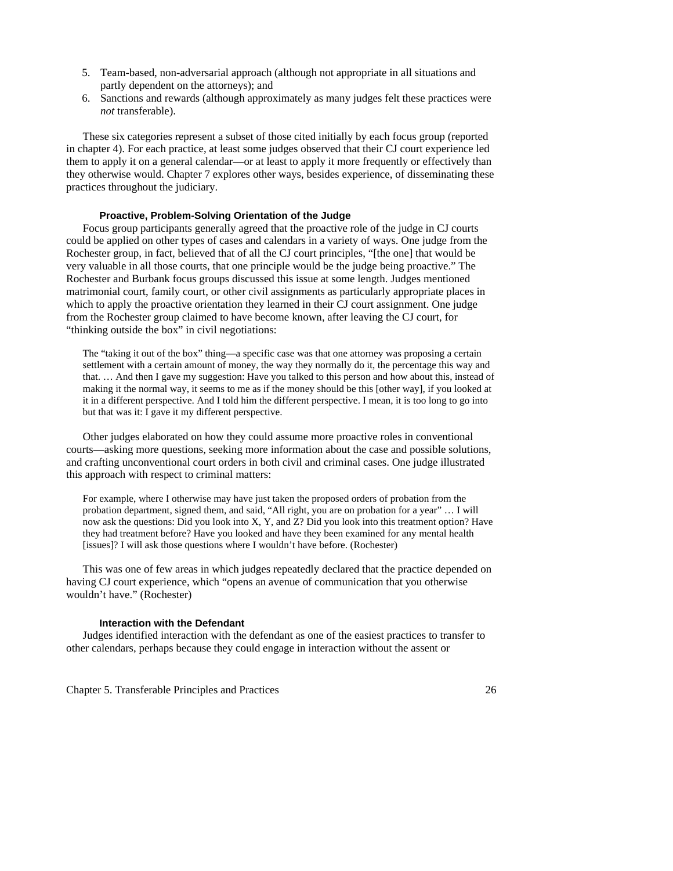- 5. Team-based, non-adversarial approach (although not appropriate in all situations and partly dependent on the attorneys); and
- 6. Sanctions and rewards (although approximately as many judges felt these practices were *not* transferable).

 These six categories represent a subset of those cited initially by each focus group (reported in chapter 4). For each practice, at least some judges observed that their CJ court experience led them to apply it on a general calendar—or at least to apply it more frequently or effectively than they otherwise would. Chapter 7 explores other ways, besides experience, of disseminating these practices throughout the judiciary.

# **Proactive, Problem-Solving Orientation of the Judge**

 Focus group participants generally agreed that the proactive role of the judge in CJ courts could be applied on other types of cases and calendars in a variety of ways. One judge from the Rochester group, in fact, believed that of all the CJ court principles, "[the one] that would be very valuable in all those courts, that one principle would be the judge being proactive." The Rochester and Burbank focus groups discussed this issue at some length. Judges mentioned matrimonial court, family court, or other civil assignments as particularly appropriate places in which to apply the proactive orientation they learned in their CJ court assignment. One judge from the Rochester group claimed to have become known, after leaving the CJ court, for "thinking outside the box" in civil negotiations:

The "taking it out of the box" thing—a specific case was that one attorney was proposing a certain settlement with a certain amount of money, the way they normally do it, the percentage this way and that. … And then I gave my suggestion: Have you talked to this person and how about this, instead of making it the normal way, it seems to me as if the money should be this [other way], if you looked at it in a different perspective. And I told him the different perspective. I mean, it is too long to go into but that was it: I gave it my different perspective.

 Other judges elaborated on how they could assume more proactive roles in conventional courts—asking more questions, seeking more information about the case and possible solutions, and crafting unconventional court orders in both civil and criminal cases. One judge illustrated this approach with respect to criminal matters:

For example, where I otherwise may have just taken the proposed orders of probation from the probation department, signed them, and said, "All right, you are on probation for a year" … I will now ask the questions: Did you look into X, Y, and Z? Did you look into this treatment option? Have they had treatment before? Have you looked and have they been examined for any mental health [issues]? I will ask those questions where I wouldn't have before. (Rochester)

 This was one of few areas in which judges repeatedly declared that the practice depended on having CJ court experience, which "opens an avenue of communication that you otherwise wouldn't have." (Rochester)

# **Interaction with the Defendant**

 Judges identified interaction with the defendant as one of the easiest practices to transfer to other calendars, perhaps because they could engage in interaction without the assent or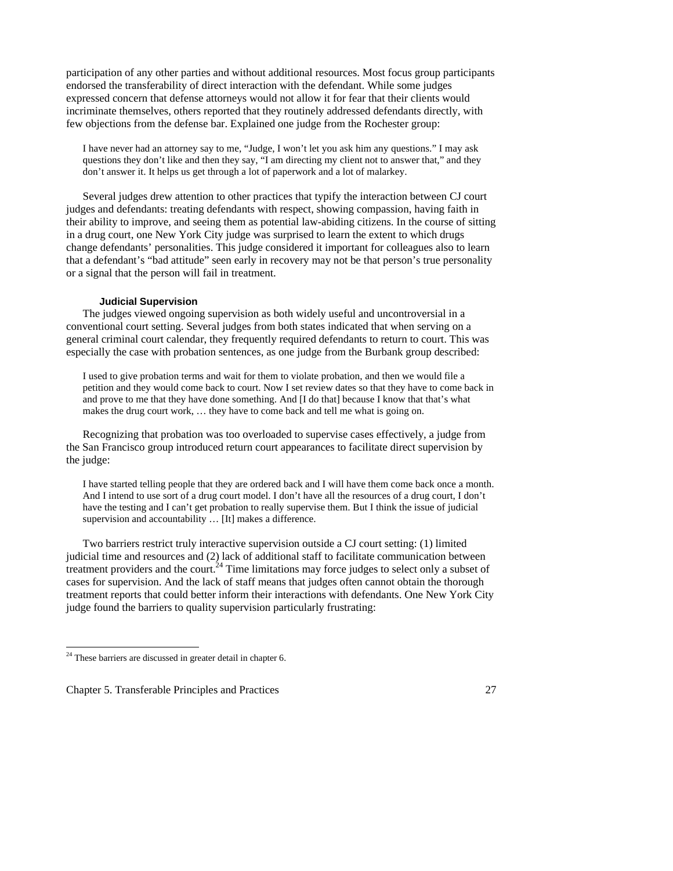participation of any other parties and without additional resources. Most focus group participants endorsed the transferability of direct interaction with the defendant. While some judges expressed concern that defense attorneys would not allow it for fear that their clients would incriminate themselves, others reported that they routinely addressed defendants directly, with few objections from the defense bar. Explained one judge from the Rochester group:

I have never had an attorney say to me, "Judge, I won't let you ask him any questions." I may ask questions they don't like and then they say, "I am directing my client not to answer that," and they don't answer it. It helps us get through a lot of paperwork and a lot of malarkey.

 Several judges drew attention to other practices that typify the interaction between CJ court judges and defendants: treating defendants with respect, showing compassion, having faith in their ability to improve, and seeing them as potential law-abiding citizens. In the course of sitting in a drug court, one New York City judge was surprised to learn the extent to which drugs change defendants' personalities. This judge considered it important for colleagues also to learn that a defendant's "bad attitude" seen early in recovery may not be that person's true personality or a signal that the person will fail in treatment.

## **Judicial Supervision**

 The judges viewed ongoing supervision as both widely useful and uncontroversial in a conventional court setting. Several judges from both states indicated that when serving on a general criminal court calendar, they frequently required defendants to return to court. This was especially the case with probation sentences, as one judge from the Burbank group described:

I used to give probation terms and wait for them to violate probation, and then we would file a petition and they would come back to court. Now I set review dates so that they have to come back in and prove to me that they have done something. And [I do that] because I know that that's what makes the drug court work, … they have to come back and tell me what is going on.

 Recognizing that probation was too overloaded to supervise cases effectively, a judge from the San Francisco group introduced return court appearances to facilitate direct supervision by the judge:

I have started telling people that they are ordered back and I will have them come back once a month. And I intend to use sort of a drug court model. I don't have all the resources of a drug court, I don't have the testing and I can't get probation to really supervise them. But I think the issue of judicial supervision and accountability … [It] makes a difference.

 Two barriers restrict truly interactive supervision outside a CJ court setting: (1) limited judicial time and resources and (2) lack of additional staff to facilitate communication between treatment providers and the court.<sup>24</sup> Time limitations may force judges to select only a subset of cases for supervision. And the lack of staff means that judges often cannot obtain the thorough treatment reports that could better inform their interactions with defendants. One New York City judge found the barriers to quality supervision particularly frustrating:

-

 $24$  These barriers are discussed in greater detail in chapter 6.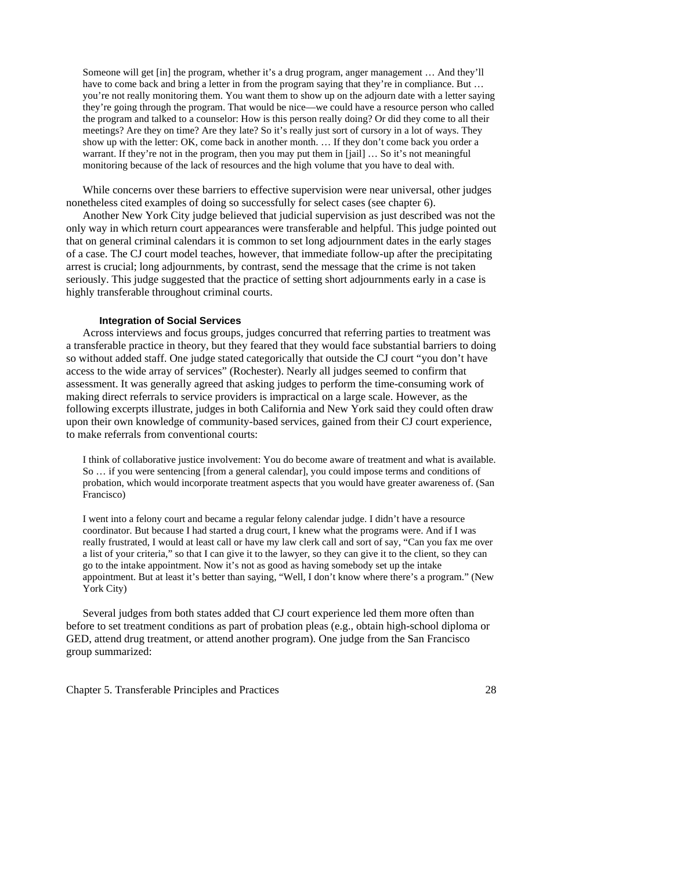Someone will get [in] the program, whether it's a drug program, anger management … And they'll have to come back and bring a letter in from the program saying that they're in compliance. But ... you're not really monitoring them. You want them to show up on the adjourn date with a letter saying they're going through the program. That would be nice—we could have a resource person who called the program and talked to a counselor: How is this person really doing? Or did they come to all their meetings? Are they on time? Are they late? So it's really just sort of cursory in a lot of ways. They show up with the letter: OK, come back in another month. … If they don't come back you order a warrant. If they're not in the program, then you may put them in [jail] ... So it's not meaningful monitoring because of the lack of resources and the high volume that you have to deal with.

 While concerns over these barriers to effective supervision were near universal, other judges nonetheless cited examples of doing so successfully for select cases (see chapter 6).

Another New York City judge believed that judicial supervision as just described was not the only way in which return court appearances were transferable and helpful. This judge pointed out that on general criminal calendars it is common to set long adjournment dates in the early stages of a case. The CJ court model teaches, however, that immediate follow-up after the precipitating arrest is crucial; long adjournments, by contrast, send the message that the crime is not taken seriously. This judge suggested that the practice of setting short adjournments early in a case is highly transferable throughout criminal courts.

# **Integration of Social Services**

Across interviews and focus groups, judges concurred that referring parties to treatment was a transferable practice in theory, but they feared that they would face substantial barriers to doing so without added staff. One judge stated categorically that outside the CJ court "you don't have access to the wide array of services" (Rochester). Nearly all judges seemed to confirm that assessment. It was generally agreed that asking judges to perform the time-consuming work of making direct referrals to service providers is impractical on a large scale. However, as the following excerpts illustrate, judges in both California and New York said they could often draw upon their own knowledge of community-based services, gained from their CJ court experience, to make referrals from conventional courts:

I think of collaborative justice involvement: You do become aware of treatment and what is available. So … if you were sentencing [from a general calendar], you could impose terms and conditions of probation, which would incorporate treatment aspects that you would have greater awareness of. (San Francisco)

I went into a felony court and became a regular felony calendar judge. I didn't have a resource coordinator. But because I had started a drug court, I knew what the programs were. And if I was really frustrated, I would at least call or have my law clerk call and sort of say, "Can you fax me over a list of your criteria," so that I can give it to the lawyer, so they can give it to the client, so they can go to the intake appointment. Now it's not as good as having somebody set up the intake appointment. But at least it's better than saying, "Well, I don't know where there's a program." (New York City)

Several judges from both states added that CJ court experience led them more often than before to set treatment conditions as part of probation pleas (e.g., obtain high-school diploma or GED, attend drug treatment, or attend another program). One judge from the San Francisco group summarized: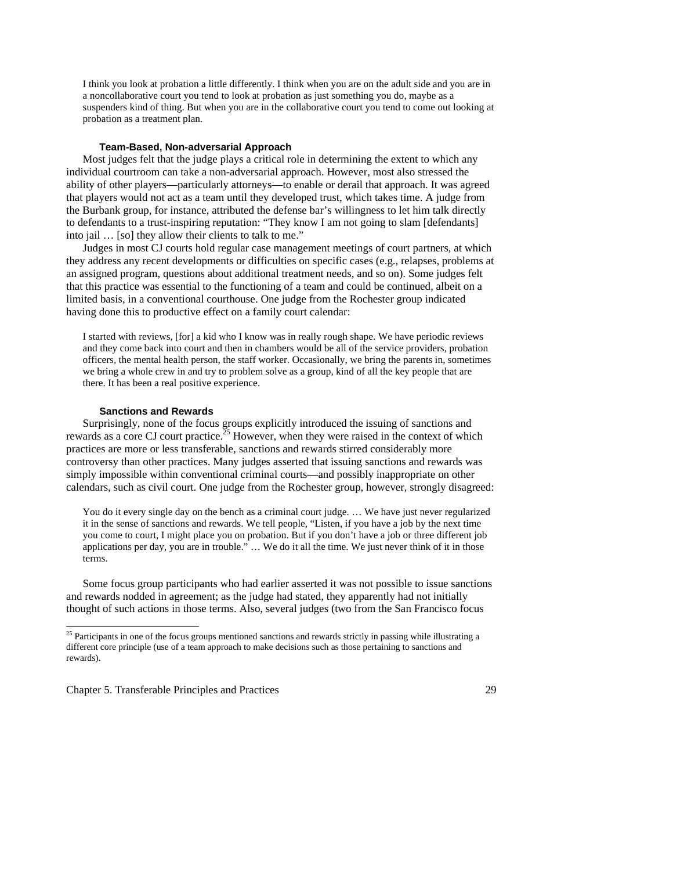I think you look at probation a little differently. I think when you are on the adult side and you are in a noncollaborative court you tend to look at probation as just something you do, maybe as a suspenders kind of thing. But when you are in the collaborative court you tend to come out looking at probation as a treatment plan.

# **Team-Based, Non-adversarial Approach**

 Most judges felt that the judge plays a critical role in determining the extent to which any individual courtroom can take a non-adversarial approach. However, most also stressed the ability of other players—particularly attorneys—to enable or derail that approach. It was agreed that players would not act as a team until they developed trust, which takes time. A judge from the Burbank group, for instance, attributed the defense bar's willingness to let him talk directly to defendants to a trust-inspiring reputation: "They know I am not going to slam [defendants] into jail … [so] they allow their clients to talk to me."

Judges in most CJ courts hold regular case management meetings of court partners, at which they address any recent developments or difficulties on specific cases (e.g., relapses, problems at an assigned program, questions about additional treatment needs, and so on). Some judges felt that this practice was essential to the functioning of a team and could be continued, albeit on a limited basis, in a conventional courthouse. One judge from the Rochester group indicated having done this to productive effect on a family court calendar:

I started with reviews, [for] a kid who I know was in really rough shape. We have periodic reviews and they come back into court and then in chambers would be all of the service providers, probation officers, the mental health person, the staff worker. Occasionally, we bring the parents in, sometimes we bring a whole crew in and try to problem solve as a group, kind of all the key people that are there. It has been a real positive experience.

#### **Sanctions and Rewards**

 Surprisingly, none of the focus groups explicitly introduced the issuing of sanctions and rewards as a core CJ court practice.<sup>25</sup> However, when they were raised in the context of which practices are more or less transferable, sanctions and rewards stirred considerably more controversy than other practices. Many judges asserted that issuing sanctions and rewards was simply impossible within conventional criminal courts—and possibly inappropriate on other calendars, such as civil court. One judge from the Rochester group, however, strongly disagreed:

You do it every single day on the bench as a criminal court judge. ... We have just never regularized it in the sense of sanctions and rewards. We tell people, "Listen, if you have a job by the next time you come to court, I might place you on probation. But if you don't have a job or three different job applications per day, you are in trouble." … We do it all the time. We just never think of it in those terms.

 Some focus group participants who had earlier asserted it was not possible to issue sanctions and rewards nodded in agreement; as the judge had stated, they apparently had not initially thought of such actions in those terms. Also, several judges (two from the San Francisco focus

Chapter 5. Transferable Principles and Practices 29

-

 $25$  Participants in one of the focus groups mentioned sanctions and rewards strictly in passing while illustrating a different core principle (use of a team approach to make decisions such as those pertaining to sanctions and rewards).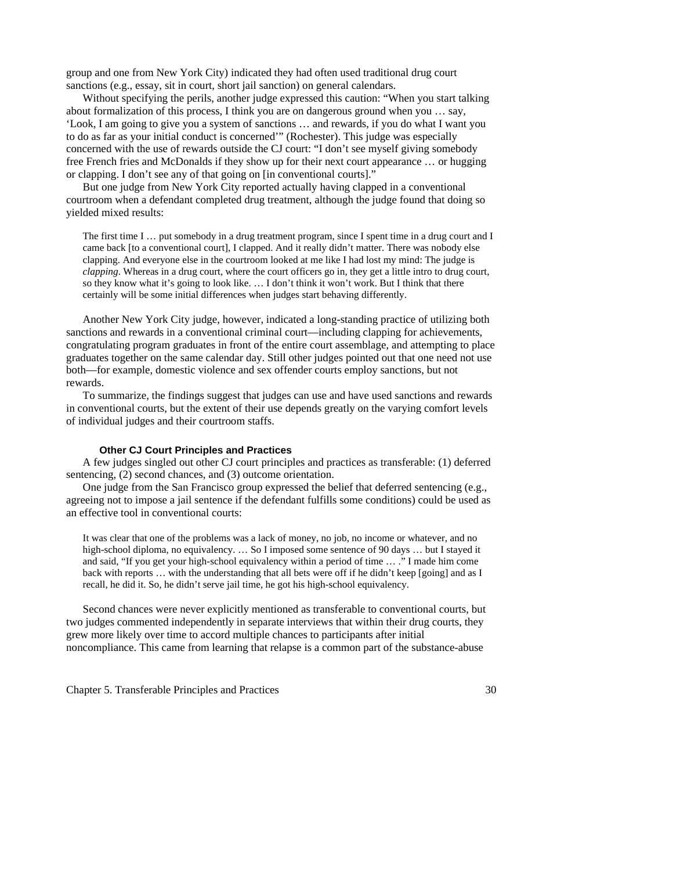group and one from New York City) indicated they had often used traditional drug court sanctions (e.g., essay, sit in court, short jail sanction) on general calendars.

 Without specifying the perils, another judge expressed this caution: "When you start talking about formalization of this process, I think you are on dangerous ground when you … say, 'Look, I am going to give you a system of sanctions … and rewards, if you do what I want you to do as far as your initial conduct is concerned'" (Rochester). This judge was especially concerned with the use of rewards outside the CJ court: "I don't see myself giving somebody free French fries and McDonalds if they show up for their next court appearance … or hugging or clapping. I don't see any of that going on [in conventional courts]."

 But one judge from New York City reported actually having clapped in a conventional courtroom when a defendant completed drug treatment, although the judge found that doing so yielded mixed results:

The first time I ... put somebody in a drug treatment program, since I spent time in a drug court and I came back [to a conventional court], I clapped. And it really didn't matter. There was nobody else clapping. And everyone else in the courtroom looked at me like I had lost my mind: The judge is *clapping*. Whereas in a drug court, where the court officers go in, they get a little intro to drug court, so they know what it's going to look like. … I don't think it won't work. But I think that there certainly will be some initial differences when judges start behaving differently.

 Another New York City judge, however, indicated a long-standing practice of utilizing both sanctions and rewards in a conventional criminal court—including clapping for achievements, congratulating program graduates in front of the entire court assemblage, and attempting to place graduates together on the same calendar day. Still other judges pointed out that one need not use both—for example, domestic violence and sex offender courts employ sanctions, but not rewards.

 To summarize, the findings suggest that judges can use and have used sanctions and rewards in conventional courts, but the extent of their use depends greatly on the varying comfort levels of individual judges and their courtroom staffs.

# **Other CJ Court Principles and Practices**

 A few judges singled out other CJ court principles and practices as transferable: (1) deferred sentencing, (2) second chances, and (3) outcome orientation.

 One judge from the San Francisco group expressed the belief that deferred sentencing (e.g., agreeing not to impose a jail sentence if the defendant fulfills some conditions) could be used as an effective tool in conventional courts:

It was clear that one of the problems was a lack of money, no job, no income or whatever, and no high-school diploma, no equivalency. ... So I imposed some sentence of 90 days ... but I stayed it and said, "If you get your high-school equivalency within a period of time … ." I made him come back with reports … with the understanding that all bets were off if he didn't keep [going] and as I recall, he did it. So, he didn't serve jail time, he got his high-school equivalency.

 Second chances were never explicitly mentioned as transferable to conventional courts, but two judges commented independently in separate interviews that within their drug courts, they grew more likely over time to accord multiple chances to participants after initial noncompliance. This came from learning that relapse is a common part of the substance-abuse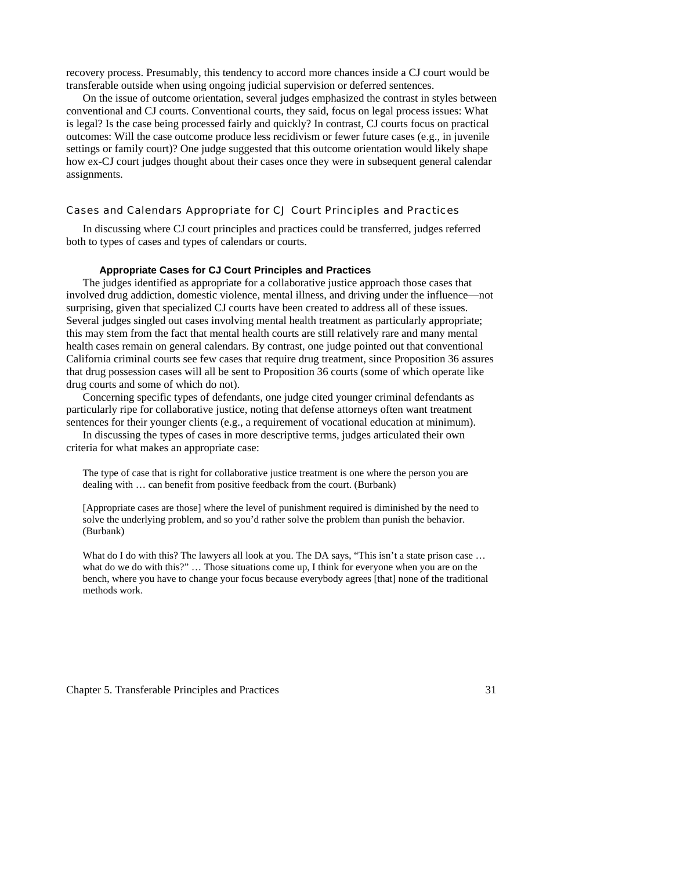recovery process. Presumably, this tendency to accord more chances inside a CJ court would be transferable outside when using ongoing judicial supervision or deferred sentences.

 On the issue of outcome orientation, several judges emphasized the contrast in styles between conventional and CJ courts. Conventional courts, they said, focus on legal process issues: What is legal? Is the case being processed fairly and quickly? In contrast, CJ courts focus on practical outcomes: Will the case outcome produce less recidivism or fewer future cases (e.g., in juvenile settings or family court)? One judge suggested that this outcome orientation would likely shape how ex-CJ court judges thought about their cases once they were in subsequent general calendar assignments.

# Cases and Calendars Appropriate for CJ Court Principles and Practices

 In discussing where CJ court principles and practices could be transferred, judges referred both to types of cases and types of calendars or courts.

### **Appropriate Cases for CJ Court Principles and Practices**

 The judges identified as appropriate for a collaborative justice approach those cases that involved drug addiction, domestic violence, mental illness, and driving under the influence—not surprising, given that specialized CJ courts have been created to address all of these issues. Several judges singled out cases involving mental health treatment as particularly appropriate; this may stem from the fact that mental health courts are still relatively rare and many mental health cases remain on general calendars. By contrast, one judge pointed out that conventional California criminal courts see few cases that require drug treatment, since Proposition 36 assures that drug possession cases will all be sent to Proposition 36 courts (some of which operate like drug courts and some of which do not).

 Concerning specific types of defendants, one judge cited younger criminal defendants as particularly ripe for collaborative justice, noting that defense attorneys often want treatment sentences for their younger clients (e.g., a requirement of vocational education at minimum).

 In discussing the types of cases in more descriptive terms, judges articulated their own criteria for what makes an appropriate case:

The type of case that is right for collaborative justice treatment is one where the person you are dealing with … can benefit from positive feedback from the court. (Burbank)

[Appropriate cases are those] where the level of punishment required is diminished by the need to solve the underlying problem, and so you'd rather solve the problem than punish the behavior. (Burbank)

What do I do with this? The lawyers all look at you. The DA says, "This isn't a state prison case ... what do we do with this?" … Those situations come up, I think for everyone when you are on the bench, where you have to change your focus because everybody agrees [that] none of the traditional methods work.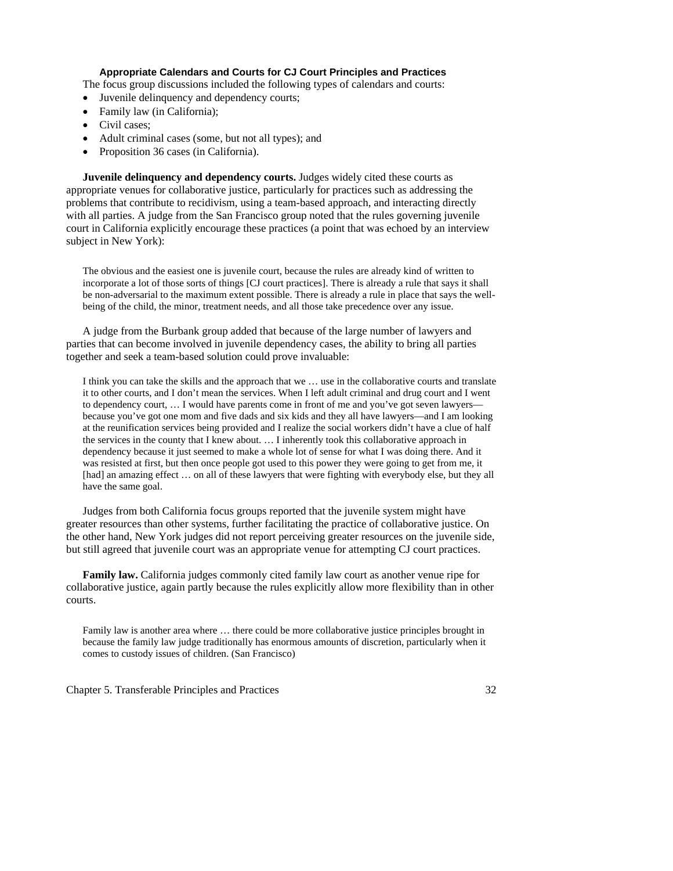# **Appropriate Calendars and Courts for CJ Court Principles and Practices**

The focus group discussions included the following types of calendars and courts:

- Juvenile delinquency and dependency courts;
- Family law (in California);
- Civil cases;
- Adult criminal cases (some, but not all types); and
- Proposition 36 cases (in California).

**Juvenile delinquency and dependency courts.** Judges widely cited these courts as appropriate venues for collaborative justice, particularly for practices such as addressing the problems that contribute to recidivism, using a team-based approach, and interacting directly with all parties. A judge from the San Francisco group noted that the rules governing juvenile court in California explicitly encourage these practices (a point that was echoed by an interview subject in New York):

The obvious and the easiest one is juvenile court, because the rules are already kind of written to incorporate a lot of those sorts of things [CJ court practices]. There is already a rule that says it shall be non-adversarial to the maximum extent possible. There is already a rule in place that says the wellbeing of the child, the minor, treatment needs, and all those take precedence over any issue.

 A judge from the Burbank group added that because of the large number of lawyers and parties that can become involved in juvenile dependency cases, the ability to bring all parties together and seek a team-based solution could prove invaluable:

I think you can take the skills and the approach that we … use in the collaborative courts and translate it to other courts, and I don't mean the services. When I left adult criminal and drug court and I went to dependency court, … I would have parents come in front of me and you've got seven lawyers because you've got one mom and five dads and six kids and they all have lawyers—and I am looking at the reunification services being provided and I realize the social workers didn't have a clue of half the services in the county that I knew about. … I inherently took this collaborative approach in dependency because it just seemed to make a whole lot of sense for what I was doing there. And it was resisted at first, but then once people got used to this power they were going to get from me, it [had] an amazing effect … on all of these lawyers that were fighting with everybody else, but they all have the same goal.

 Judges from both California focus groups reported that the juvenile system might have greater resources than other systems, further facilitating the practice of collaborative justice. On the other hand, New York judges did not report perceiving greater resources on the juvenile side, but still agreed that juvenile court was an appropriate venue for attempting CJ court practices.

**Family law.** California judges commonly cited family law court as another venue ripe for collaborative justice, again partly because the rules explicitly allow more flexibility than in other courts.

Family law is another area where … there could be more collaborative justice principles brought in because the family law judge traditionally has enormous amounts of discretion, particularly when it comes to custody issues of children. (San Francisco)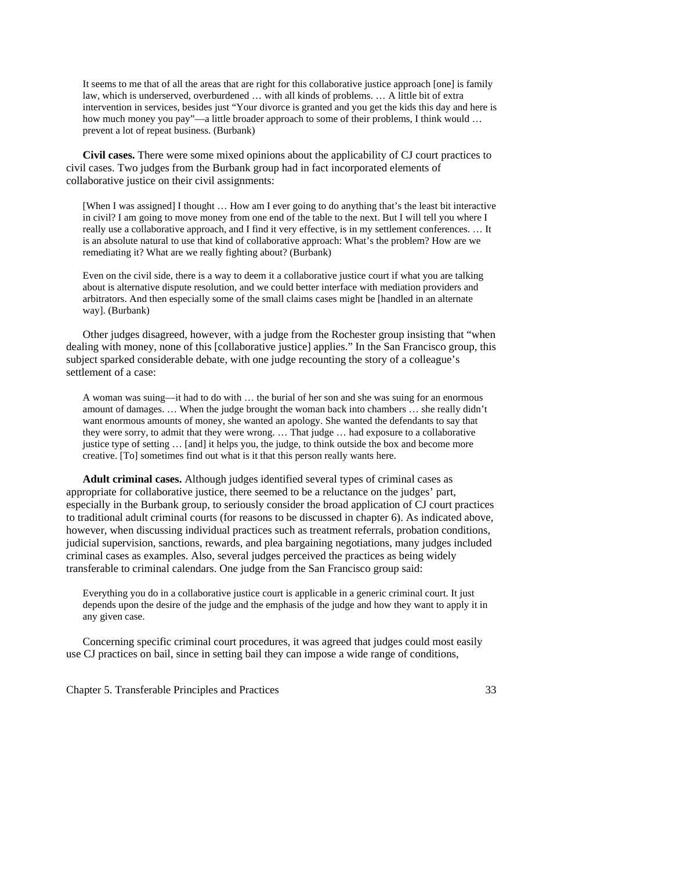It seems to me that of all the areas that are right for this collaborative justice approach [one] is family law, which is underserved, overburdened … with all kinds of problems. … A little bit of extra intervention in services, besides just "Your divorce is granted and you get the kids this day and here is how much money you pay"—a little broader approach to some of their problems, I think would ... prevent a lot of repeat business. (Burbank)

**Civil cases.** There were some mixed opinions about the applicability of CJ court practices to civil cases. Two judges from the Burbank group had in fact incorporated elements of collaborative justice on their civil assignments:

[When I was assigned] I thought … How am I ever going to do anything that's the least bit interactive in civil? I am going to move money from one end of the table to the next. But I will tell you where I really use a collaborative approach, and I find it very effective, is in my settlement conferences. … It is an absolute natural to use that kind of collaborative approach: What's the problem? How are we remediating it? What are we really fighting about? (Burbank)

Even on the civil side, there is a way to deem it a collaborative justice court if what you are talking about is alternative dispute resolution, and we could better interface with mediation providers and arbitrators. And then especially some of the small claims cases might be [handled in an alternate way]. (Burbank)

 Other judges disagreed, however, with a judge from the Rochester group insisting that "when dealing with money, none of this [collaborative justice] applies." In the San Francisco group, this subject sparked considerable debate, with one judge recounting the story of a colleague's settlement of a case:

A woman was suing—it had to do with … the burial of her son and she was suing for an enormous amount of damages. … When the judge brought the woman back into chambers … she really didn't want enormous amounts of money, she wanted an apology. She wanted the defendants to say that they were sorry, to admit that they were wrong. … That judge … had exposure to a collaborative justice type of setting … [and] it helps you, the judge, to think outside the box and become more creative. [To] sometimes find out what is it that this person really wants here.

**Adult criminal cases.** Although judges identified several types of criminal cases as appropriate for collaborative justice, there seemed to be a reluctance on the judges' part, especially in the Burbank group, to seriously consider the broad application of CJ court practices to traditional adult criminal courts (for reasons to be discussed in chapter 6). As indicated above, however, when discussing individual practices such as treatment referrals, probation conditions, judicial supervision, sanctions, rewards, and plea bargaining negotiations, many judges included criminal cases as examples. Also, several judges perceived the practices as being widely transferable to criminal calendars. One judge from the San Francisco group said:

Everything you do in a collaborative justice court is applicable in a generic criminal court. It just depends upon the desire of the judge and the emphasis of the judge and how they want to apply it in any given case.

 Concerning specific criminal court procedures, it was agreed that judges could most easily use CJ practices on bail, since in setting bail they can impose a wide range of conditions,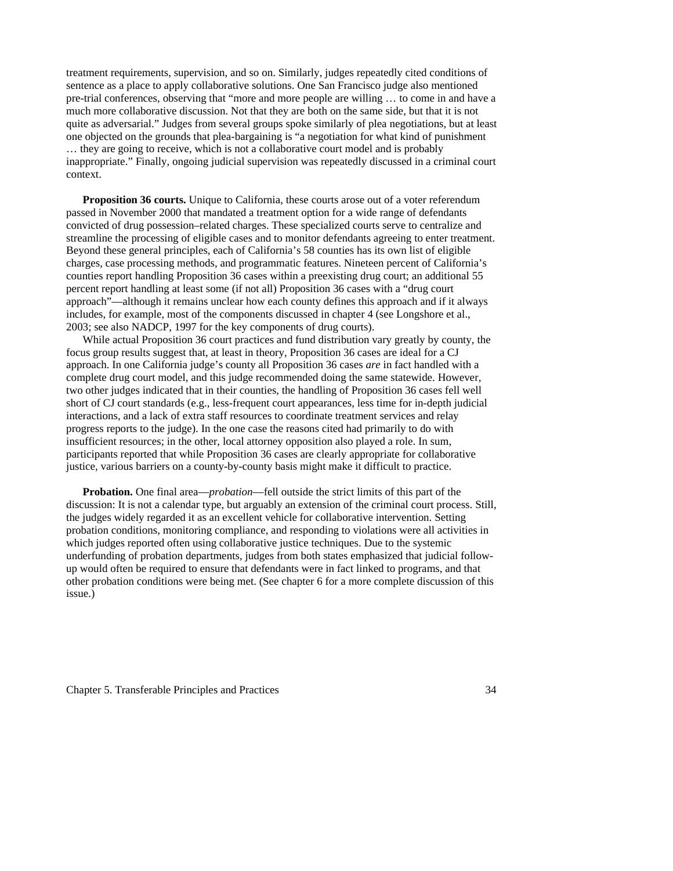treatment requirements, supervision, and so on. Similarly, judges repeatedly cited conditions of sentence as a place to apply collaborative solutions. One San Francisco judge also mentioned pre-trial conferences, observing that "more and more people are willing … to come in and have a much more collaborative discussion. Not that they are both on the same side, but that it is not quite as adversarial." Judges from several groups spoke similarly of plea negotiations, but at least one objected on the grounds that plea-bargaining is "a negotiation for what kind of punishment … they are going to receive, which is not a collaborative court model and is probably inappropriate." Finally, ongoing judicial supervision was repeatedly discussed in a criminal court context.

**Proposition 36 courts.** Unique to California, these courts arose out of a voter referendum passed in November 2000 that mandated a treatment option for a wide range of defendants convicted of drug possession–related charges. These specialized courts serve to centralize and streamline the processing of eligible cases and to monitor defendants agreeing to enter treatment. Beyond these general principles, each of California's 58 counties has its own list of eligible charges, case processing methods, and programmatic features. Nineteen percent of California's counties report handling Proposition 36 cases within a preexisting drug court; an additional 55 percent report handling at least some (if not all) Proposition 36 cases with a "drug court approach"—although it remains unclear how each county defines this approach and if it always includes, for example, most of the components discussed in chapter 4 (see Longshore et al., 2003; see also NADCP, 1997 for the key components of drug courts).

 While actual Proposition 36 court practices and fund distribution vary greatly by county, the focus group results suggest that, at least in theory, Proposition 36 cases are ideal for a CJ approach. In one California judge's county all Proposition 36 cases *are* in fact handled with a complete drug court model, and this judge recommended doing the same statewide. However, two other judges indicated that in their counties, the handling of Proposition 36 cases fell well short of CJ court standards (e.g., less-frequent court appearances, less time for in-depth judicial interactions, and a lack of extra staff resources to coordinate treatment services and relay progress reports to the judge). In the one case the reasons cited had primarily to do with insufficient resources; in the other, local attorney opposition also played a role. In sum, participants reported that while Proposition 36 cases are clearly appropriate for collaborative justice, various barriers on a county-by-county basis might make it difficult to practice.

**Probation.** One final area—*probation*—fell outside the strict limits of this part of the discussion: It is not a calendar type, but arguably an extension of the criminal court process. Still, the judges widely regarded it as an excellent vehicle for collaborative intervention. Setting probation conditions, monitoring compliance, and responding to violations were all activities in which judges reported often using collaborative justice techniques. Due to the systemic underfunding of probation departments, judges from both states emphasized that judicial followup would often be required to ensure that defendants were in fact linked to programs, and that other probation conditions were being met. (See chapter 6 for a more complete discussion of this issue.)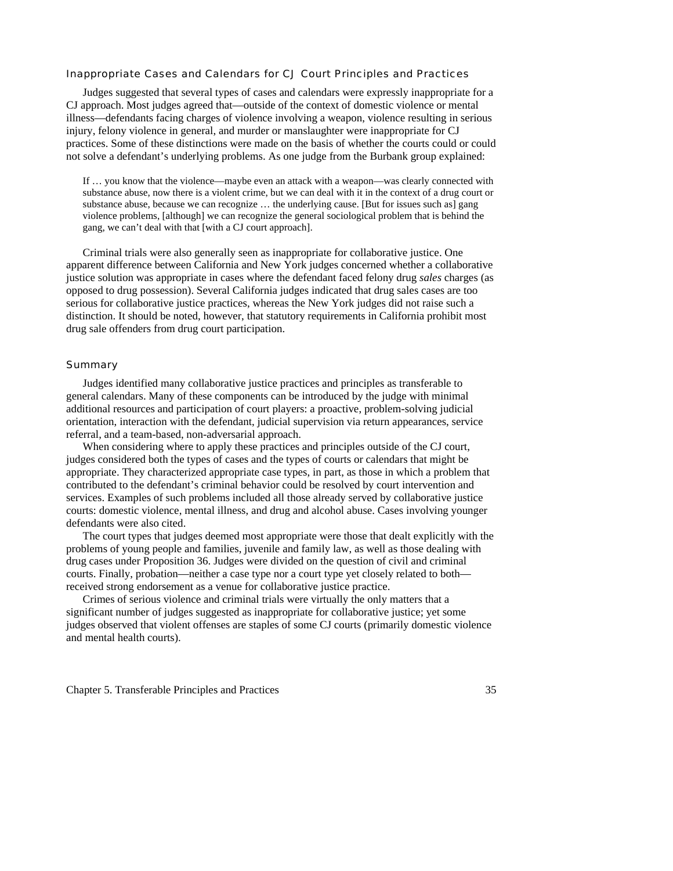## Inappropriate Cases and Calendars for CJ Court Principles and Practices

 Judges suggested that several types of cases and calendars were expressly inappropriate for a CJ approach. Most judges agreed that—outside of the context of domestic violence or mental illness—defendants facing charges of violence involving a weapon, violence resulting in serious injury, felony violence in general, and murder or manslaughter were inappropriate for CJ practices. Some of these distinctions were made on the basis of whether the courts could or could not solve a defendant's underlying problems. As one judge from the Burbank group explained:

If … you know that the violence—maybe even an attack with a weapon—was clearly connected with substance abuse, now there is a violent crime, but we can deal with it in the context of a drug court or substance abuse, because we can recognize ... the underlying cause. [But for issues such as] gang violence problems, [although] we can recognize the general sociological problem that is behind the gang, we can't deal with that [with a CJ court approach].

 Criminal trials were also generally seen as inappropriate for collaborative justice. One apparent difference between California and New York judges concerned whether a collaborative justice solution was appropriate in cases where the defendant faced felony drug *sales* charges (as opposed to drug possession). Several California judges indicated that drug sales cases are too serious for collaborative justice practices, whereas the New York judges did not raise such a distinction. It should be noted, however, that statutory requirements in California prohibit most drug sale offenders from drug court participation.

## **Summary**

 Judges identified many collaborative justice practices and principles as transferable to general calendars. Many of these components can be introduced by the judge with minimal additional resources and participation of court players: a proactive, problem-solving judicial orientation, interaction with the defendant, judicial supervision via return appearances, service referral, and a team-based, non-adversarial approach.

 When considering where to apply these practices and principles outside of the CJ court, judges considered both the types of cases and the types of courts or calendars that might be appropriate. They characterized appropriate case types, in part, as those in which a problem that contributed to the defendant's criminal behavior could be resolved by court intervention and services. Examples of such problems included all those already served by collaborative justice courts: domestic violence, mental illness, and drug and alcohol abuse. Cases involving younger defendants were also cited.

 The court types that judges deemed most appropriate were those that dealt explicitly with the problems of young people and families, juvenile and family law, as well as those dealing with drug cases under Proposition 36. Judges were divided on the question of civil and criminal courts. Finally, probation—neither a case type nor a court type yet closely related to both received strong endorsement as a venue for collaborative justice practice.

 Crimes of serious violence and criminal trials were virtually the only matters that a significant number of judges suggested as inappropriate for collaborative justice; yet some judges observed that violent offenses are staples of some CJ courts (primarily domestic violence and mental health courts).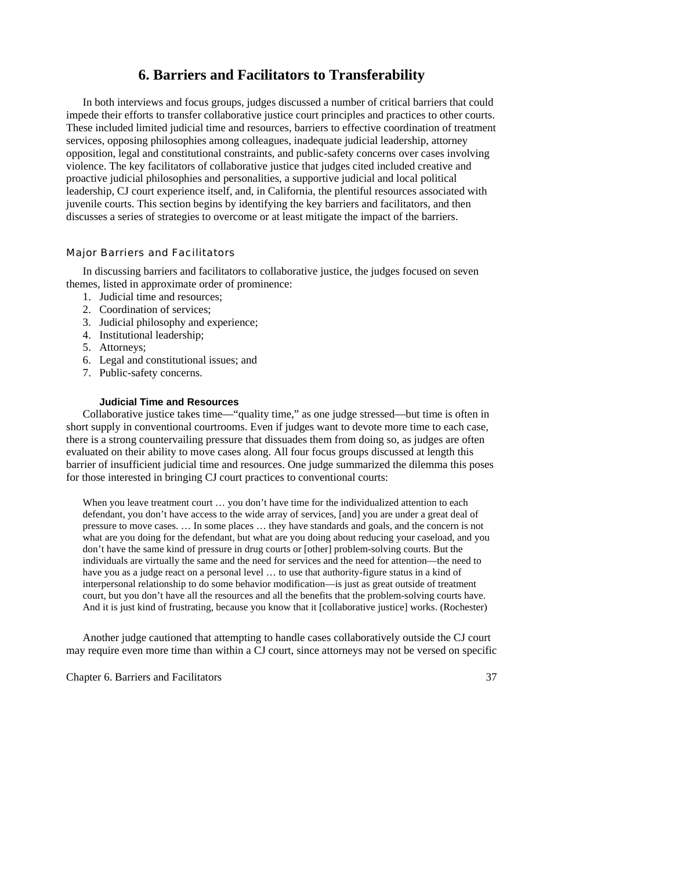# **6. Barriers and Facilitators to Transferability**

 In both interviews and focus groups, judges discussed a number of critical barriers that could impede their efforts to transfer collaborative justice court principles and practices to other courts. These included limited judicial time and resources, barriers to effective coordination of treatment services, opposing philosophies among colleagues, inadequate judicial leadership, attorney opposition, legal and constitutional constraints, and public-safety concerns over cases involving violence. The key facilitators of collaborative justice that judges cited included creative and proactive judicial philosophies and personalities, a supportive judicial and local political leadership, CJ court experience itself, and, in California, the plentiful resources associated with juvenile courts. This section begins by identifying the key barriers and facilitators, and then discusses a series of strategies to overcome or at least mitigate the impact of the barriers.

# Major Barriers and Facilitators

 In discussing barriers and facilitators to collaborative justice, the judges focused on seven themes, listed in approximate order of prominence:

- 1. Judicial time and resources;
- 2. Coordination of services;
- 3. Judicial philosophy and experience;
- 4. Institutional leadership;
- 5. Attorneys;
- 6. Legal and constitutional issues; and
- 7. Public-safety concerns.

## **Judicial Time and Resources**

 Collaborative justice takes time—"quality time," as one judge stressed—but time is often in short supply in conventional courtrooms. Even if judges want to devote more time to each case, there is a strong countervailing pressure that dissuades them from doing so, as judges are often evaluated on their ability to move cases along. All four focus groups discussed at length this barrier of insufficient judicial time and resources. One judge summarized the dilemma this poses for those interested in bringing CJ court practices to conventional courts:

When you leave treatment court ... you don't have time for the individualized attention to each defendant, you don't have access to the wide array of services, [and] you are under a great deal of pressure to move cases. … In some places … they have standards and goals, and the concern is not what are you doing for the defendant, but what are you doing about reducing your caseload, and you don't have the same kind of pressure in drug courts or [other] problem-solving courts. But the individuals are virtually the same and the need for services and the need for attention—the need to have you as a judge react on a personal level … to use that authority-figure status in a kind of interpersonal relationship to do some behavior modification—is just as great outside of treatment court, but you don't have all the resources and all the benefits that the problem-solving courts have. And it is just kind of frustrating, because you know that it [collaborative justice] works. (Rochester)

 Another judge cautioned that attempting to handle cases collaboratively outside the CJ court may require even more time than within a CJ court, since attorneys may not be versed on specific

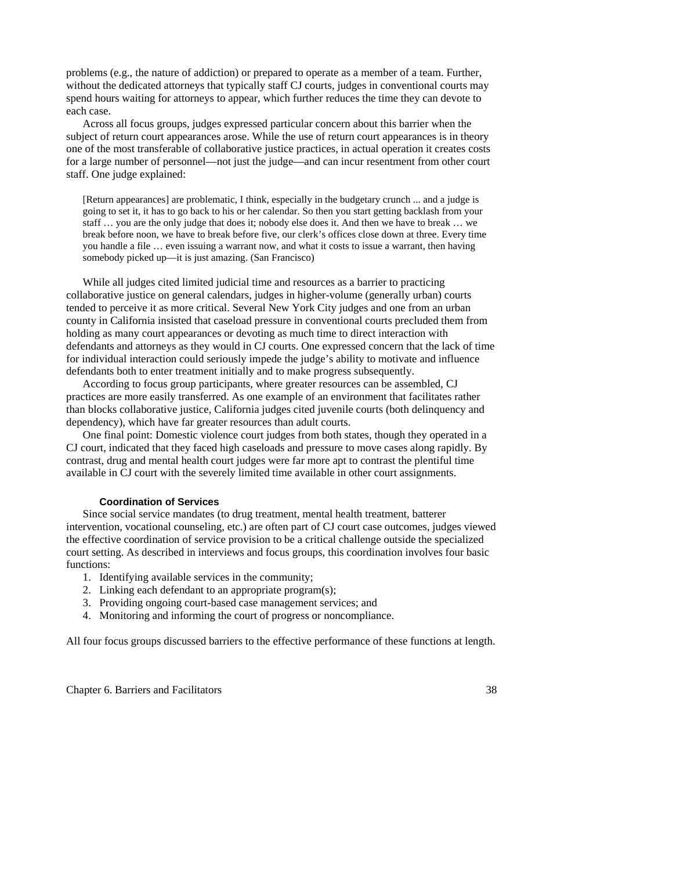problems (e.g., the nature of addiction) or prepared to operate as a member of a team. Further, without the dedicated attorneys that typically staff CJ courts, judges in conventional courts may spend hours waiting for attorneys to appear, which further reduces the time they can devote to each case.

 Across all focus groups, judges expressed particular concern about this barrier when the subject of return court appearances arose. While the use of return court appearances is in theory one of the most transferable of collaborative justice practices, in actual operation it creates costs for a large number of personnel—not just the judge—and can incur resentment from other court staff. One judge explained:

[Return appearances] are problematic, I think, especially in the budgetary crunch ... and a judge is going to set it, it has to go back to his or her calendar. So then you start getting backlash from your staff … you are the only judge that does it; nobody else does it. And then we have to break … we break before noon, we have to break before five, our clerk's offices close down at three. Every time you handle a file … even issuing a warrant now, and what it costs to issue a warrant, then having somebody picked up—it is just amazing. (San Francisco)

 While all judges cited limited judicial time and resources as a barrier to practicing collaborative justice on general calendars, judges in higher-volume (generally urban) courts tended to perceive it as more critical. Several New York City judges and one from an urban county in California insisted that caseload pressure in conventional courts precluded them from holding as many court appearances or devoting as much time to direct interaction with defendants and attorneys as they would in CJ courts. One expressed concern that the lack of time for individual interaction could seriously impede the judge's ability to motivate and influence defendants both to enter treatment initially and to make progress subsequently.

 According to focus group participants, where greater resources can be assembled, CJ practices are more easily transferred. As one example of an environment that facilitates rather than blocks collaborative justice, California judges cited juvenile courts (both delinquency and dependency), which have far greater resources than adult courts.

 One final point: Domestic violence court judges from both states, though they operated in a CJ court, indicated that they faced high caseloads and pressure to move cases along rapidly. By contrast, drug and mental health court judges were far more apt to contrast the plentiful time available in CJ court with the severely limited time available in other court assignments.

# **Coordination of Services**

Since social service mandates (to drug treatment, mental health treatment, batterer intervention, vocational counseling, etc.) are often part of CJ court case outcomes, judges viewed the effective coordination of service provision to be a critical challenge outside the specialized court setting. As described in interviews and focus groups, this coordination involves four basic functions:

- 1. Identifying available services in the community;
- 2. Linking each defendant to an appropriate program(s);
- 3. Providing ongoing court-based case management services; and
- 4. Monitoring and informing the court of progress or noncompliance.

All four focus groups discussed barriers to the effective performance of these functions at length.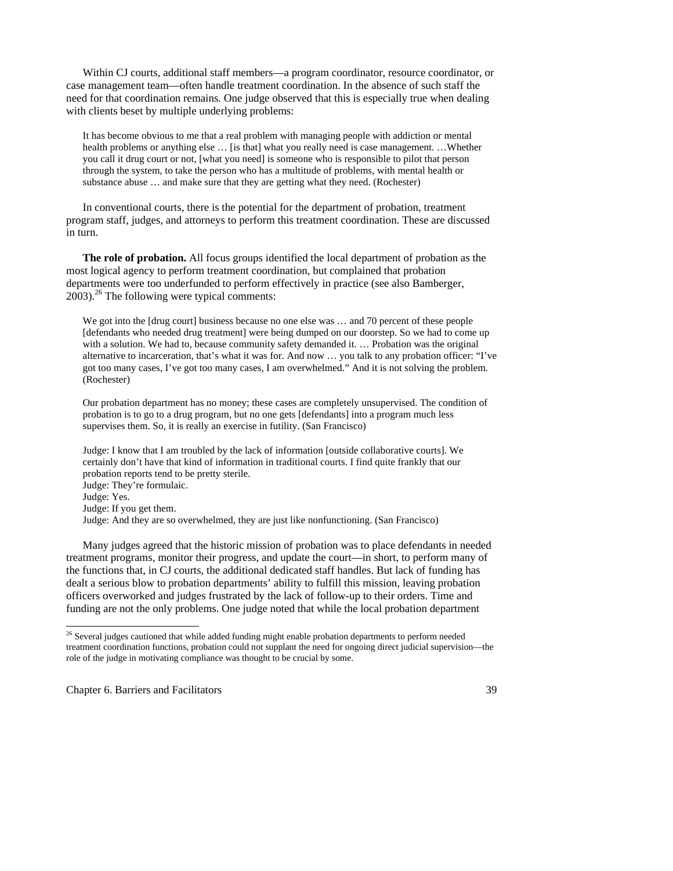Within CJ courts, additional staff members—a program coordinator, resource coordinator, or case management team—often handle treatment coordination. In the absence of such staff the need for that coordination remains*.* One judge observed that this is especially true when dealing with clients beset by multiple underlying problems:

It has become obvious to me that a real problem with managing people with addiction or mental health problems or anything else ... [is that] what you really need is case management. ... Whether you call it drug court or not, [what you need] is someone who is responsible to pilot that person through the system, to take the person who has a multitude of problems, with mental health or substance abuse … and make sure that they are getting what they need. (Rochester)

In conventional courts, there is the potential for the department of probation, treatment program staff, judges, and attorneys to perform this treatment coordination. These are discussed in turn.

**The role of probation.** All focus groups identified the local department of probation as the most logical agency to perform treatment coordination, but complained that probation departments were too underfunded to perform effectively in practice (see also Bamberger,  $2003$ .<sup>26</sup> The following were typical comments:

We got into the [drug court] business because no one else was ... and 70 percent of these people [defendants who needed drug treatment] were being dumped on our doorstep. So we had to come up with a solution. We had to, because community safety demanded it. ... Probation was the original alternative to incarceration, that's what it was for. And now … you talk to any probation officer: "I've got too many cases, I've got too many cases, I am overwhelmed." And it is not solving the problem. (Rochester)

Our probation department has no money; these cases are completely unsupervised. The condition of probation is to go to a drug program, but no one gets [defendants] into a program much less supervises them. So, it is really an exercise in futility. (San Francisco)

Judge: I know that I am troubled by the lack of information [outside collaborative courts]. We certainly don't have that kind of information in traditional courts. I find quite frankly that our probation reports tend to be pretty sterile. Judge: They're formulaic.

-

Many judges agreed that the historic mission of probation was to place defendants in needed treatment programs, monitor their progress, and update the court—in short, to perform many of the functions that, in CJ courts, the additional dedicated staff handles. But lack of funding has dealt a serious blow to probation departments' ability to fulfill this mission, leaving probation officers overworked and judges frustrated by the lack of follow-up to their orders. Time and funding are not the only problems. One judge noted that while the local probation department

Judge: Yes.

Judge: If you get them.

Judge: And they are so overwhelmed, they are just like nonfunctioning. (San Francisco)

 $26$  Several judges cautioned that while added funding might enable probation departments to perform needed treatment coordination functions, probation could not supplant the need for ongoing direct judicial supervision—the role of the judge in motivating compliance was thought to be crucial by some.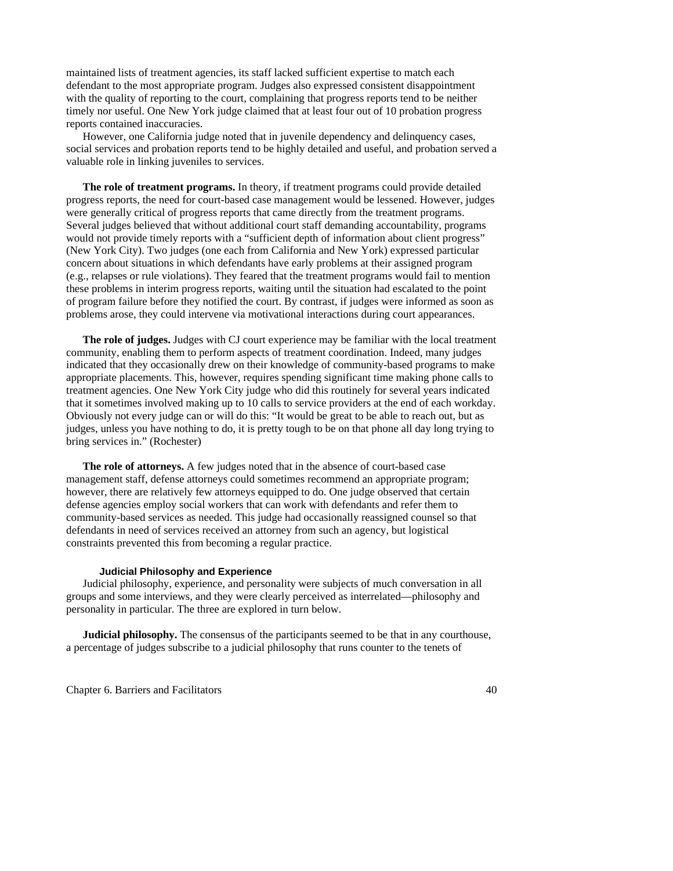maintained lists of treatment agencies, its staff lacked sufficient expertise to match each defendant to the most appropriate program. Judges also expressed consistent disappointment with the quality of reporting to the court, complaining that progress reports tend to be neither timely nor useful. One New York judge claimed that at least four out of 10 probation progress reports contained inaccuracies.

However, one California judge noted that in juvenile dependency and delinquency cases, social services and probation reports tend to be highly detailed and useful, and probation served a valuable role in linking juveniles to services.

**The role of treatment programs.** In theory, if treatment programs could provide detailed progress reports, the need for court-based case management would be lessened. However, judges were generally critical of progress reports that came directly from the treatment programs. Several judges believed that without additional court staff demanding accountability, programs would not provide timely reports with a "sufficient depth of information about client progress" (New York City). Two judges (one each from California and New York) expressed particular concern about situations in which defendants have early problems at their assigned program (e.g., relapses or rule violations). They feared that the treatment programs would fail to mention these problems in interim progress reports, waiting until the situation had escalated to the point of program failure before they notified the court. By contrast, if judges were informed as soon as problems arose, they could intervene via motivational interactions during court appearances.

**The role of judges.** Judges with CJ court experience may be familiar with the local treatment community, enabling them to perform aspects of treatment coordination. Indeed, many judges indicated that they occasionally drew on their knowledge of community-based programs to make appropriate placements. This, however, requires spending significant time making phone calls to treatment agencies. One New York City judge who did this routinely for several years indicated that it sometimes involved making up to 10 calls to service providers at the end of each workday. Obviously not every judge can or will do this: "It would be great to be able to reach out, but as judges, unless you have nothing to do, it is pretty tough to be on that phone all day long trying to bring services in." (Rochester)

**The role of attorneys.** A few judges noted that in the absence of court-based case management staff, defense attorneys could sometimes recommend an appropriate program; however, there are relatively few attorneys equipped to do. One judge observed that certain defense agencies employ social workers that can work with defendants and refer them to community-based services as needed. This judge had occasionally reassigned counsel so that defendants in need of services received an attorney from such an agency, but logistical constraints prevented this from becoming a regular practice.

#### **Judicial Philosophy and Experience**

Judicial philosophy, experience, and personality were subjects of much conversation in all groups and some interviews, and they were clearly perceived as interrelated—philosophy and personality in particular. The three are explored in turn below.

**Judicial philosophy.** The consensus of the participants seemed to be that in any courthouse, a percentage of judges subscribe to a judicial philosophy that runs counter to the tenets of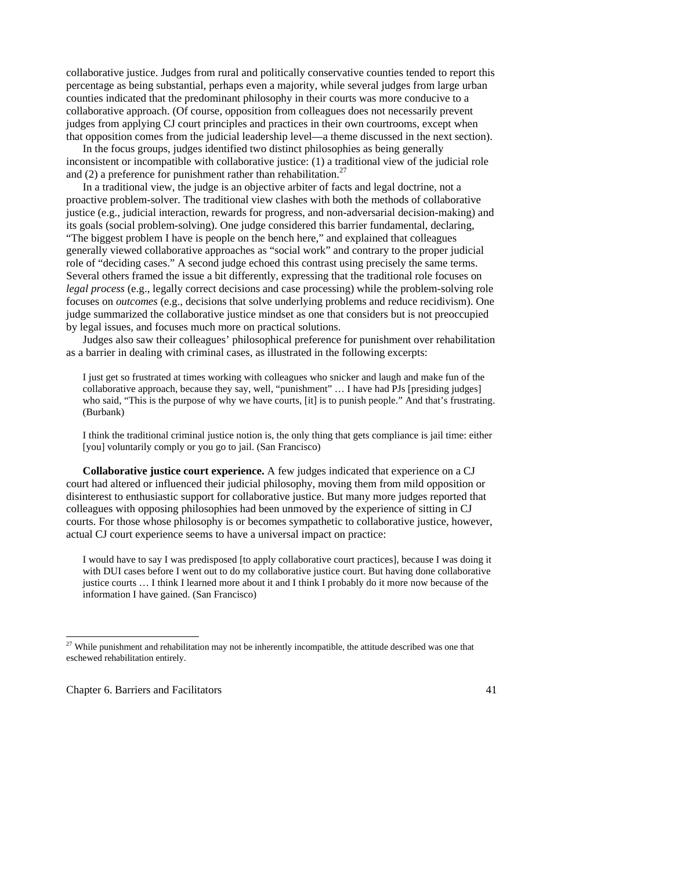collaborative justice. Judges from rural and politically conservative counties tended to report this percentage as being substantial, perhaps even a majority, while several judges from large urban counties indicated that the predominant philosophy in their courts was more conducive to a collaborative approach. (Of course, opposition from colleagues does not necessarily prevent judges from applying CJ court principles and practices in their own courtrooms, except when that opposition comes from the judicial leadership level—a theme discussed in the next section).

In the focus groups, judges identified two distinct philosophies as being generally inconsistent or incompatible with collaborative justice: (1) a traditional view of the judicial role and (2) a preference for punishment rather than rehabilitation.<sup>27</sup>

In a traditional view, the judge is an objective arbiter of facts and legal doctrine, not a proactive problem-solver. The traditional view clashes with both the methods of collaborative justice (e.g., judicial interaction, rewards for progress, and non-adversarial decision-making) and its goals (social problem-solving). One judge considered this barrier fundamental, declaring, "The biggest problem I have is people on the bench here," and explained that colleagues generally viewed collaborative approaches as "social work" and contrary to the proper judicial role of "deciding cases." A second judge echoed this contrast using precisely the same terms. Several others framed the issue a bit differently, expressing that the traditional role focuses on *legal process* (e.g., legally correct decisions and case processing) while the problem-solving role focuses on *outcomes* (e.g., decisions that solve underlying problems and reduce recidivism). One judge summarized the collaborative justice mindset as one that considers but is not preoccupied by legal issues, and focuses much more on practical solutions.

Judges also saw their colleagues' philosophical preference for punishment over rehabilitation as a barrier in dealing with criminal cases, as illustrated in the following excerpts:

I just get so frustrated at times working with colleagues who snicker and laugh and make fun of the collaborative approach, because they say, well, "punishment" … I have had PJs [presiding judges] who said, "This is the purpose of why we have courts, [it] is to punish people." And that's frustrating. (Burbank)

I think the traditional criminal justice notion is, the only thing that gets compliance is jail time: either [you] voluntarily comply or you go to jail. (San Francisco)

**Collaborative justice court experience.** A few judges indicated that experience on a CJ court had altered or influenced their judicial philosophy, moving them from mild opposition or disinterest to enthusiastic support for collaborative justice. But many more judges reported that colleagues with opposing philosophies had been unmoved by the experience of sitting in CJ courts. For those whose philosophy is or becomes sympathetic to collaborative justice, however, actual CJ court experience seems to have a universal impact on practice:

I would have to say I was predisposed [to apply collaborative court practices], because I was doing it with DUI cases before I went out to do my collaborative justice court. But having done collaborative justice courts … I think I learned more about it and I think I probably do it more now because of the information I have gained. (San Francisco)

Chapter 6. Barriers and Facilitators 41

-

 $27$  While punishment and rehabilitation may not be inherently incompatible, the attitude described was one that eschewed rehabilitation entirely.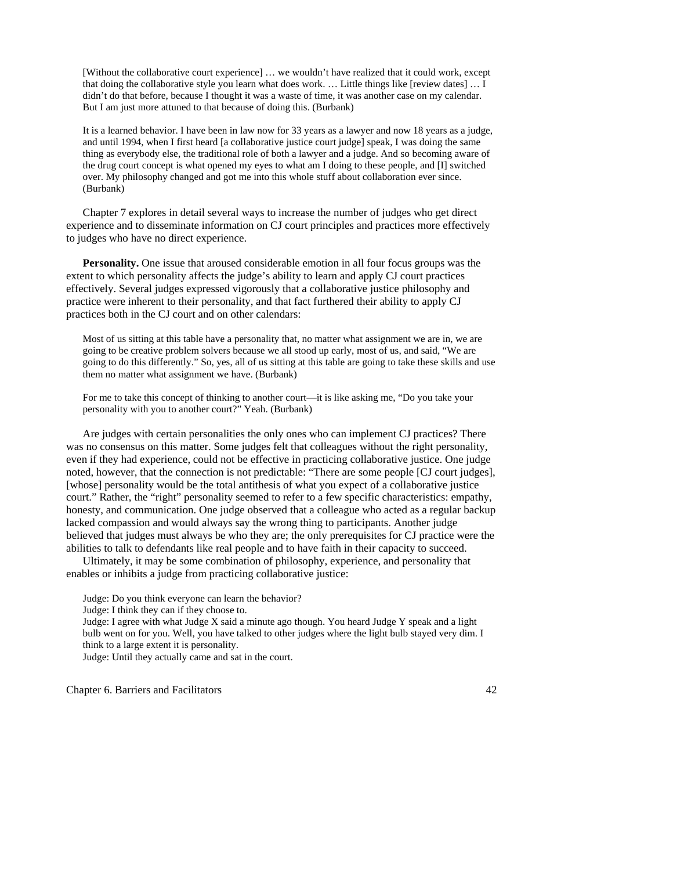[Without the collaborative court experience] … we wouldn't have realized that it could work, except that doing the collaborative style you learn what does work. … Little things like [review dates] … I didn't do that before, because I thought it was a waste of time, it was another case on my calendar. But I am just more attuned to that because of doing this. (Burbank)

It is a learned behavior. I have been in law now for 33 years as a lawyer and now 18 years as a judge, and until 1994, when I first heard [a collaborative justice court judge] speak, I was doing the same thing as everybody else, the traditional role of both a lawyer and a judge. And so becoming aware of the drug court concept is what opened my eyes to what am I doing to these people, and [I] switched over. My philosophy changed and got me into this whole stuff about collaboration ever since. (Burbank)

Chapter 7 explores in detail several ways to increase the number of judges who get direct experience and to disseminate information on CJ court principles and practices more effectively to judges who have no direct experience.

**Personality.** One issue that aroused considerable emotion in all four focus groups was the extent to which personality affects the judge's ability to learn and apply CJ court practices effectively. Several judges expressed vigorously that a collaborative justice philosophy and practice were inherent to their personality, and that fact furthered their ability to apply CJ practices both in the CJ court and on other calendars:

Most of us sitting at this table have a personality that, no matter what assignment we are in, we are going to be creative problem solvers because we all stood up early, most of us, and said, "We are going to do this differently." So, yes, all of us sitting at this table are going to take these skills and use them no matter what assignment we have. (Burbank)

For me to take this concept of thinking to another court—it is like asking me, "Do you take your personality with you to another court?" Yeah. (Burbank)

Are judges with certain personalities the only ones who can implement CJ practices? There was no consensus on this matter. Some judges felt that colleagues without the right personality, even if they had experience, could not be effective in practicing collaborative justice. One judge noted, however, that the connection is not predictable: "There are some people [CJ court judges], [whose] personality would be the total antithesis of what you expect of a collaborative justice court." Rather, the "right" personality seemed to refer to a few specific characteristics: empathy, honesty, and communication. One judge observed that a colleague who acted as a regular backup lacked compassion and would always say the wrong thing to participants. Another judge believed that judges must always be who they are; the only prerequisites for CJ practice were the abilities to talk to defendants like real people and to have faith in their capacity to succeed.

Ultimately, it may be some combination of philosophy, experience, and personality that enables or inhibits a judge from practicing collaborative justice:

Judge: Do you think everyone can learn the behavior?

Judge: I think they can if they choose to.

Judge: I agree with what Judge X said a minute ago though. You heard Judge Y speak and a light bulb went on for you. Well, you have talked to other judges where the light bulb stayed very dim. I think to a large extent it is personality.

Judge: Until they actually came and sat in the court.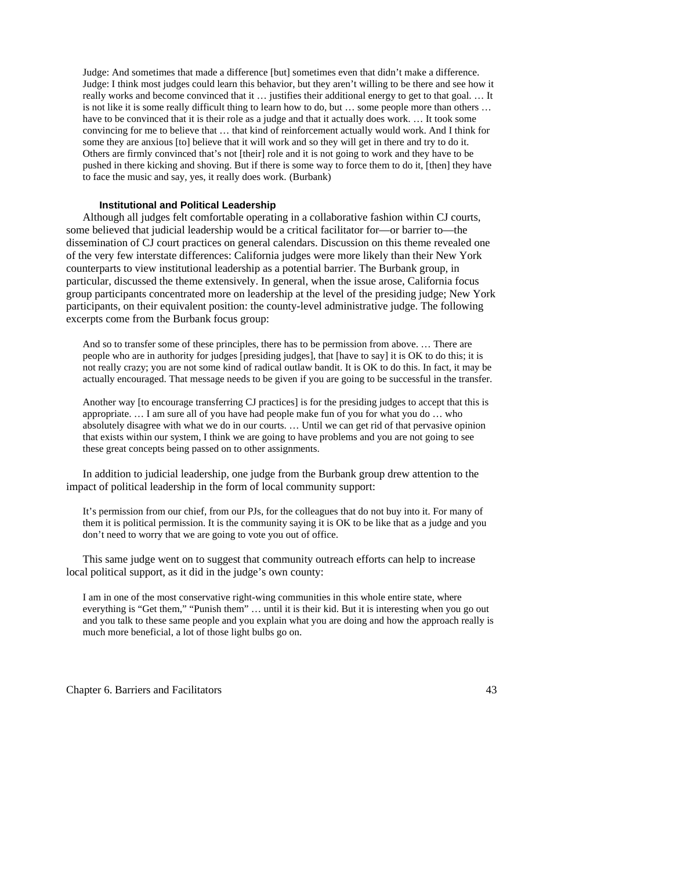Judge: And sometimes that made a difference [but] sometimes even that didn't make a difference. Judge: I think most judges could learn this behavior, but they aren't willing to be there and see how it really works and become convinced that it … justifies their additional energy to get to that goal. … It is not like it is some really difficult thing to learn how to do, but … some people more than others … have to be convinced that it is their role as a judge and that it actually does work. … It took some convincing for me to believe that … that kind of reinforcement actually would work. And I think for some they are anxious [to] believe that it will work and so they will get in there and try to do it. Others are firmly convinced that's not [their] role and it is not going to work and they have to be pushed in there kicking and shoving. But if there is some way to force them to do it, [then] they have to face the music and say, yes, it really does work. (Burbank)

#### **Institutional and Political Leadership**

Although all judges felt comfortable operating in a collaborative fashion within CJ courts, some believed that judicial leadership would be a critical facilitator for—or barrier to—the dissemination of CJ court practices on general calendars. Discussion on this theme revealed one of the very few interstate differences: California judges were more likely than their New York counterparts to view institutional leadership as a potential barrier. The Burbank group, in particular, discussed the theme extensively. In general, when the issue arose, California focus group participants concentrated more on leadership at the level of the presiding judge; New York participants, on their equivalent position: the county-level administrative judge. The following excerpts come from the Burbank focus group:

And so to transfer some of these principles, there has to be permission from above. … There are people who are in authority for judges [presiding judges], that [have to say] it is OK to do this; it is not really crazy; you are not some kind of radical outlaw bandit. It is OK to do this. In fact, it may be actually encouraged. That message needs to be given if you are going to be successful in the transfer.

Another way [to encourage transferring CJ practices] is for the presiding judges to accept that this is appropriate. … I am sure all of you have had people make fun of you for what you do … who absolutely disagree with what we do in our courts. … Until we can get rid of that pervasive opinion that exists within our system, I think we are going to have problems and you are not going to see these great concepts being passed on to other assignments.

In addition to judicial leadership, one judge from the Burbank group drew attention to the impact of political leadership in the form of local community support:

It's permission from our chief, from our PJs, for the colleagues that do not buy into it. For many of them it is political permission. It is the community saying it is OK to be like that as a judge and you don't need to worry that we are going to vote you out of office.

This same judge went on to suggest that community outreach efforts can help to increase local political support, as it did in the judge's own county:

I am in one of the most conservative right-wing communities in this whole entire state, where everything is "Get them," "Punish them" … until it is their kid. But it is interesting when you go out and you talk to these same people and you explain what you are doing and how the approach really is much more beneficial, a lot of those light bulbs go on.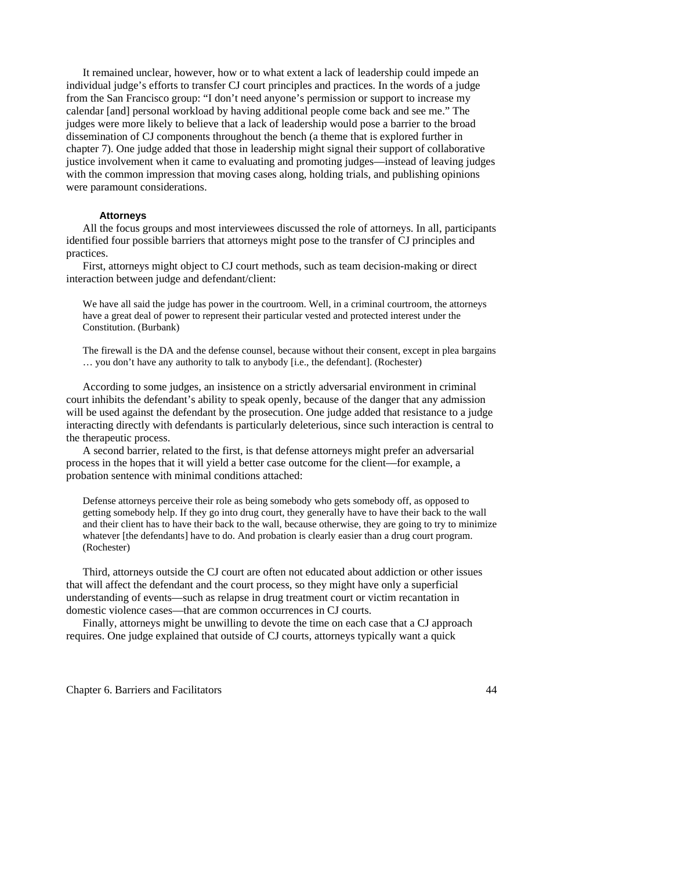It remained unclear, however, how or to what extent a lack of leadership could impede an individual judge's efforts to transfer CJ court principles and practices. In the words of a judge from the San Francisco group: "I don't need anyone's permission or support to increase my calendar [and] personal workload by having additional people come back and see me." The judges were more likely to believe that a lack of leadership would pose a barrier to the broad dissemination of CJ components throughout the bench (a theme that is explored further in chapter 7). One judge added that those in leadership might signal their support of collaborative justice involvement when it came to evaluating and promoting judges—instead of leaving judges with the common impression that moving cases along, holding trials, and publishing opinions were paramount considerations.

# **Attorneys**

 All the focus groups and most interviewees discussed the role of attorneys. In all, participants identified four possible barriers that attorneys might pose to the transfer of CJ principles and practices.

 First, attorneys might object to CJ court methods, such as team decision-making or direct interaction between judge and defendant/client:

We have all said the judge has power in the courtroom. Well, in a criminal courtroom, the attorneys have a great deal of power to represent their particular vested and protected interest under the Constitution. (Burbank)

The firewall is the DA and the defense counsel, because without their consent, except in plea bargains … you don't have any authority to talk to anybody [i.e., the defendant]. (Rochester)

According to some judges, an insistence on a strictly adversarial environment in criminal court inhibits the defendant's ability to speak openly, because of the danger that any admission will be used against the defendant by the prosecution. One judge added that resistance to a judge interacting directly with defendants is particularly deleterious, since such interaction is central to the therapeutic process.

A second barrier, related to the first, is that defense attorneys might prefer an adversarial process in the hopes that it will yield a better case outcome for the client—for example, a probation sentence with minimal conditions attached:

Defense attorneys perceive their role as being somebody who gets somebody off, as opposed to getting somebody help. If they go into drug court, they generally have to have their back to the wall and their client has to have their back to the wall, because otherwise, they are going to try to minimize whatever [the defendants] have to do. And probation is clearly easier than a drug court program. (Rochester)

Third, attorneys outside the CJ court are often not educated about addiction or other issues that will affect the defendant and the court process, so they might have only a superficial understanding of events—such as relapse in drug treatment court or victim recantation in domestic violence cases—that are common occurrences in CJ courts.

Finally, attorneys might be unwilling to devote the time on each case that a CJ approach requires. One judge explained that outside of CJ courts, attorneys typically want a quick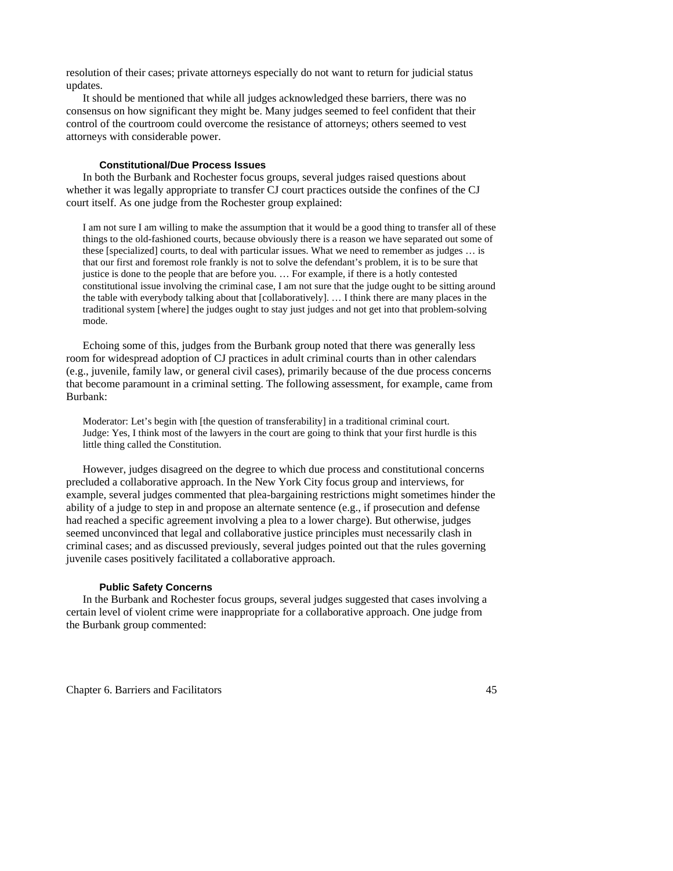resolution of their cases; private attorneys especially do not want to return for judicial status updates.

It should be mentioned that while all judges acknowledged these barriers, there was no consensus on how significant they might be. Many judges seemed to feel confident that their control of the courtroom could overcome the resistance of attorneys; others seemed to vest attorneys with considerable power.

# **Constitutional/Due Process Issues**

In both the Burbank and Rochester focus groups, several judges raised questions about whether it was legally appropriate to transfer CJ court practices outside the confines of the CJ court itself. As one judge from the Rochester group explained:

I am not sure I am willing to make the assumption that it would be a good thing to transfer all of these things to the old-fashioned courts, because obviously there is a reason we have separated out some of these [specialized] courts, to deal with particular issues. What we need to remember as judges … is that our first and foremost role frankly is not to solve the defendant's problem, it is to be sure that justice is done to the people that are before you. … For example, if there is a hotly contested constitutional issue involving the criminal case, I am not sure that the judge ought to be sitting around the table with everybody talking about that [collaboratively]. … I think there are many places in the traditional system [where] the judges ought to stay just judges and not get into that problem-solving mode.

 Echoing some of this, judges from the Burbank group noted that there was generally less room for widespread adoption of CJ practices in adult criminal courts than in other calendars (e.g., juvenile, family law, or general civil cases), primarily because of the due process concerns that become paramount in a criminal setting. The following assessment, for example, came from Burbank:

Moderator: Let's begin with [the question of transferability] in a traditional criminal court. Judge: Yes, I think most of the lawyers in the court are going to think that your first hurdle is this little thing called the Constitution.

However, judges disagreed on the degree to which due process and constitutional concerns precluded a collaborative approach. In the New York City focus group and interviews, for example, several judges commented that plea-bargaining restrictions might sometimes hinder the ability of a judge to step in and propose an alternate sentence (e.g., if prosecution and defense had reached a specific agreement involving a plea to a lower charge). But otherwise, judges seemed unconvinced that legal and collaborative justice principles must necessarily clash in criminal cases; and as discussed previously, several judges pointed out that the rules governing juvenile cases positively facilitated a collaborative approach.

# **Public Safety Concerns**

In the Burbank and Rochester focus groups, several judges suggested that cases involving a certain level of violent crime were inappropriate for a collaborative approach. One judge from the Burbank group commented: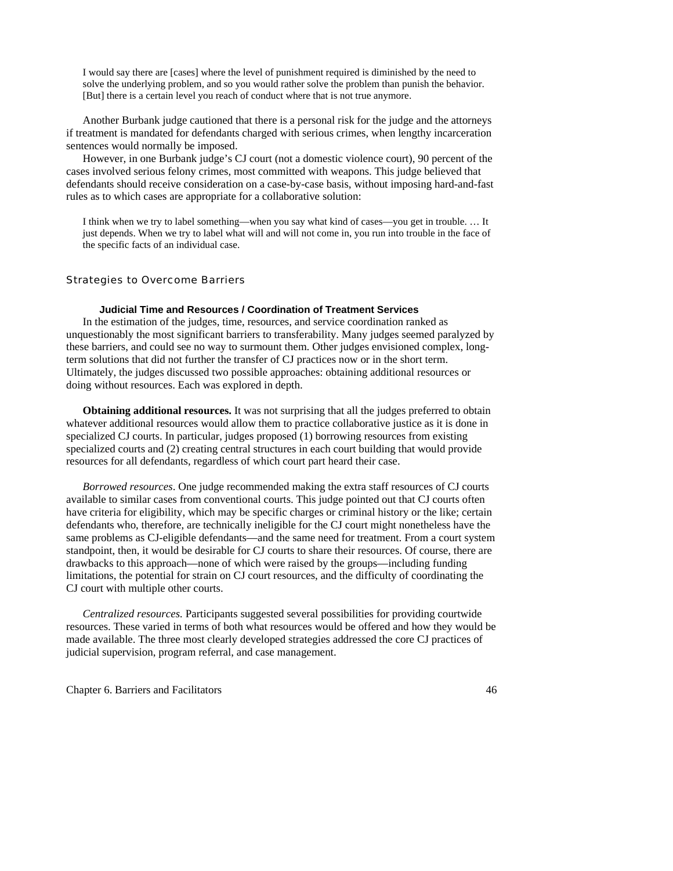I would say there are [cases] where the level of punishment required is diminished by the need to solve the underlying problem, and so you would rather solve the problem than punish the behavior. [But] there is a certain level you reach of conduct where that is not true anymore.

Another Burbank judge cautioned that there is a personal risk for the judge and the attorneys if treatment is mandated for defendants charged with serious crimes, when lengthy incarceration sentences would normally be imposed.

However, in one Burbank judge's CJ court (not a domestic violence court), 90 percent of the cases involved serious felony crimes, most committed with weapons. This judge believed that defendants should receive consideration on a case-by-case basis, without imposing hard-and-fast rules as to which cases are appropriate for a collaborative solution:

I think when we try to label something—when you say what kind of cases—you get in trouble. … It just depends. When we try to label what will and will not come in, you run into trouble in the face of the specific facts of an individual case.

## Strategies to Overcome Barriers

# **Judicial Time and Resources / Coordination of Treatment Services**

 In the estimation of the judges, time, resources, and service coordination ranked as unquestionably the most significant barriers to transferability. Many judges seemed paralyzed by these barriers, and could see no way to surmount them. Other judges envisioned complex, longterm solutions that did not further the transfer of CJ practices now or in the short term. Ultimately, the judges discussed two possible approaches: obtaining additional resources or doing without resources. Each was explored in depth.

**Obtaining additional resources.** It was not surprising that all the judges preferred to obtain whatever additional resources would allow them to practice collaborative justice as it is done in specialized CJ courts. In particular, judges proposed (1) borrowing resources from existing specialized courts and (2) creating central structures in each court building that would provide resources for all defendants, regardless of which court part heard their case.

*Borrowed resources*. One judge recommended making the extra staff resources of CJ courts available to similar cases from conventional courts. This judge pointed out that CJ courts often have criteria for eligibility, which may be specific charges or criminal history or the like; certain defendants who, therefore, are technically ineligible for the CJ court might nonetheless have the same problems as CJ-eligible defendants—and the same need for treatment. From a court system standpoint, then, it would be desirable for CJ courts to share their resources. Of course, there are drawbacks to this approach—none of which were raised by the groups—including funding limitations, the potential for strain on CJ court resources, and the difficulty of coordinating the CJ court with multiple other courts.

 *Centralized resources.* Participants suggested several possibilities for providing courtwide resources. These varied in terms of both what resources would be offered and how they would be made available. The three most clearly developed strategies addressed the core CJ practices of judicial supervision, program referral, and case management.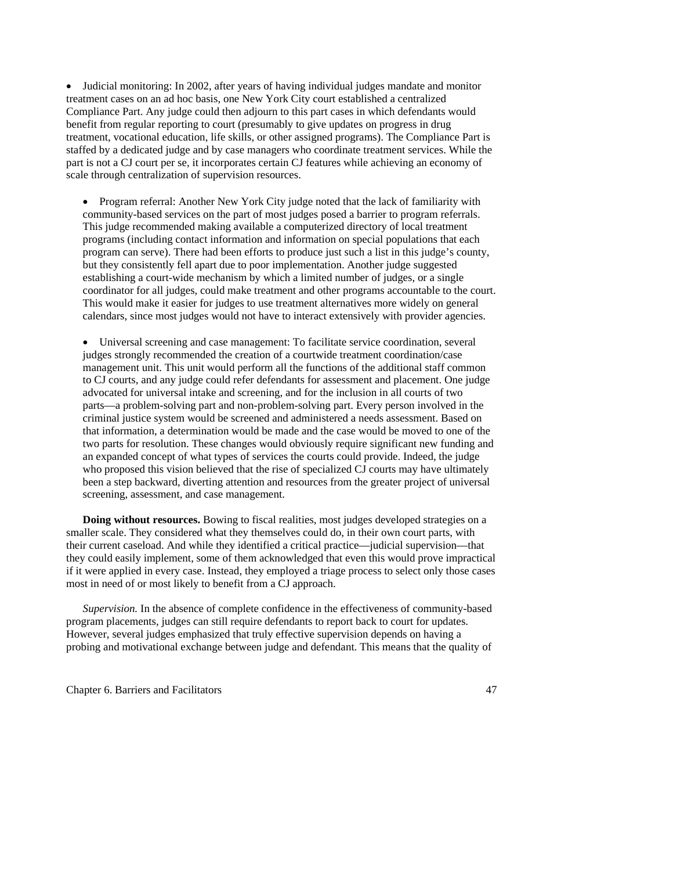• Judicial monitoring: In 2002, after years of having individual judges mandate and monitor treatment cases on an ad hoc basis, one New York City court established a centralized Compliance Part. Any judge could then adjourn to this part cases in which defendants would benefit from regular reporting to court (presumably to give updates on progress in drug treatment, vocational education, life skills, or other assigned programs). The Compliance Part is staffed by a dedicated judge and by case managers who coordinate treatment services. While the part is not a CJ court per se, it incorporates certain CJ features while achieving an economy of scale through centralization of supervision resources.

• Program referral: Another New York City judge noted that the lack of familiarity with community-based services on the part of most judges posed a barrier to program referrals. This judge recommended making available a computerized directory of local treatment programs (including contact information and information on special populations that each program can serve). There had been efforts to produce just such a list in this judge's county, but they consistently fell apart due to poor implementation. Another judge suggested establishing a court-wide mechanism by which a limited number of judges, or a single coordinator for all judges, could make treatment and other programs accountable to the court. This would make it easier for judges to use treatment alternatives more widely on general calendars, since most judges would not have to interact extensively with provider agencies.

• Universal screening and case management: To facilitate service coordination, several judges strongly recommended the creation of a courtwide treatment coordination/case management unit. This unit would perform all the functions of the additional staff common to CJ courts, and any judge could refer defendants for assessment and placement. One judge advocated for universal intake and screening, and for the inclusion in all courts of two parts—a problem-solving part and non-problem-solving part. Every person involved in the criminal justice system would be screened and administered a needs assessment. Based on that information, a determination would be made and the case would be moved to one of the two parts for resolution. These changes would obviously require significant new funding and an expanded concept of what types of services the courts could provide. Indeed, the judge who proposed this vision believed that the rise of specialized CJ courts may have ultimately been a step backward, diverting attention and resources from the greater project of universal screening, assessment, and case management.

**Doing without resources.** Bowing to fiscal realities, most judges developed strategies on a smaller scale. They considered what they themselves could do, in their own court parts, with their current caseload. And while they identified a critical practice—judicial supervision—that they could easily implement, some of them acknowledged that even this would prove impractical if it were applied in every case. Instead, they employed a triage process to select only those cases most in need of or most likely to benefit from a CJ approach.

*Supervision.* In the absence of complete confidence in the effectiveness of community-based program placements, judges can still require defendants to report back to court for updates. However, several judges emphasized that truly effective supervision depends on having a probing and motivational exchange between judge and defendant. This means that the quality of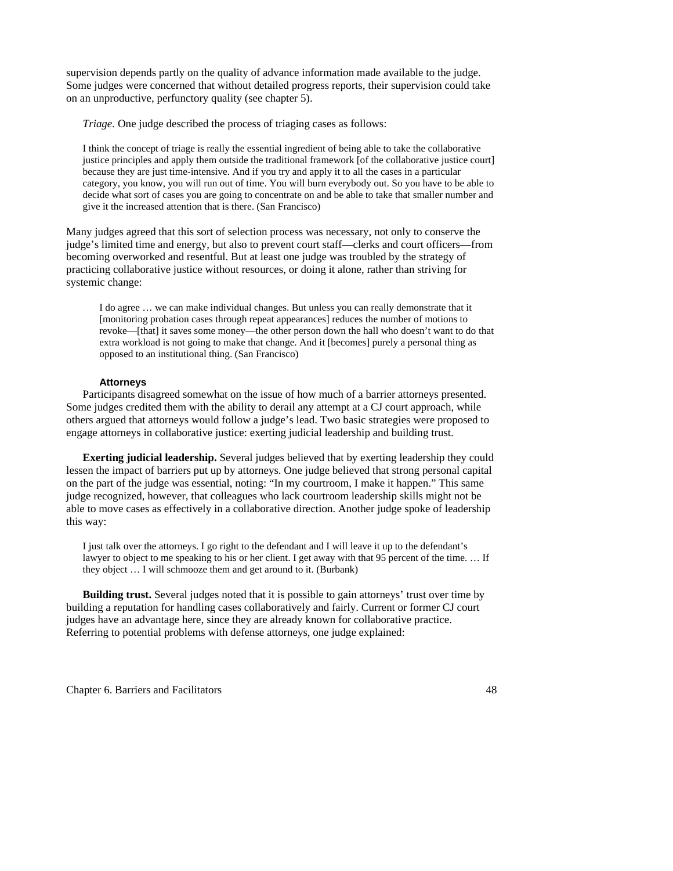supervision depends partly on the quality of advance information made available to the judge. Some judges were concerned that without detailed progress reports, their supervision could take on an unproductive, perfunctory quality (see chapter 5).

*Triage.* One judge described the process of triaging cases as follows:

I think the concept of triage is really the essential ingredient of being able to take the collaborative justice principles and apply them outside the traditional framework [of the collaborative justice court] because they are just time-intensive. And if you try and apply it to all the cases in a particular category, you know, you will run out of time. You will burn everybody out. So you have to be able to decide what sort of cases you are going to concentrate on and be able to take that smaller number and give it the increased attention that is there. (San Francisco)

Many judges agreed that this sort of selection process was necessary, not only to conserve the judge's limited time and energy, but also to prevent court staff—clerks and court officers—from becoming overworked and resentful. But at least one judge was troubled by the strategy of practicing collaborative justice without resources, or doing it alone, rather than striving for systemic change:

I do agree … we can make individual changes. But unless you can really demonstrate that it [monitoring probation cases through repeat appearances] reduces the number of motions to revoke—[that] it saves some money—the other person down the hall who doesn't want to do that extra workload is not going to make that change. And it [becomes] purely a personal thing as opposed to an institutional thing. (San Francisco)

# **Attorneys**

Participants disagreed somewhat on the issue of how much of a barrier attorneys presented. Some judges credited them with the ability to derail any attempt at a CJ court approach, while others argued that attorneys would follow a judge's lead. Two basic strategies were proposed to engage attorneys in collaborative justice: exerting judicial leadership and building trust.

**Exerting judicial leadership.** Several judges believed that by exerting leadership they could lessen the impact of barriers put up by attorneys. One judge believed that strong personal capital on the part of the judge was essential, noting: "In my courtroom, I make it happen." This same judge recognized, however, that colleagues who lack courtroom leadership skills might not be able to move cases as effectively in a collaborative direction. Another judge spoke of leadership this way:

I just talk over the attorneys. I go right to the defendant and I will leave it up to the defendant's lawyer to object to me speaking to his or her client. I get away with that 95 percent of the time. ... If they object … I will schmooze them and get around to it. (Burbank)

**Building trust.** Several judges noted that it is possible to gain attorneys' trust over time by building a reputation for handling cases collaboratively and fairly. Current or former CJ court judges have an advantage here, since they are already known for collaborative practice. Referring to potential problems with defense attorneys, one judge explained: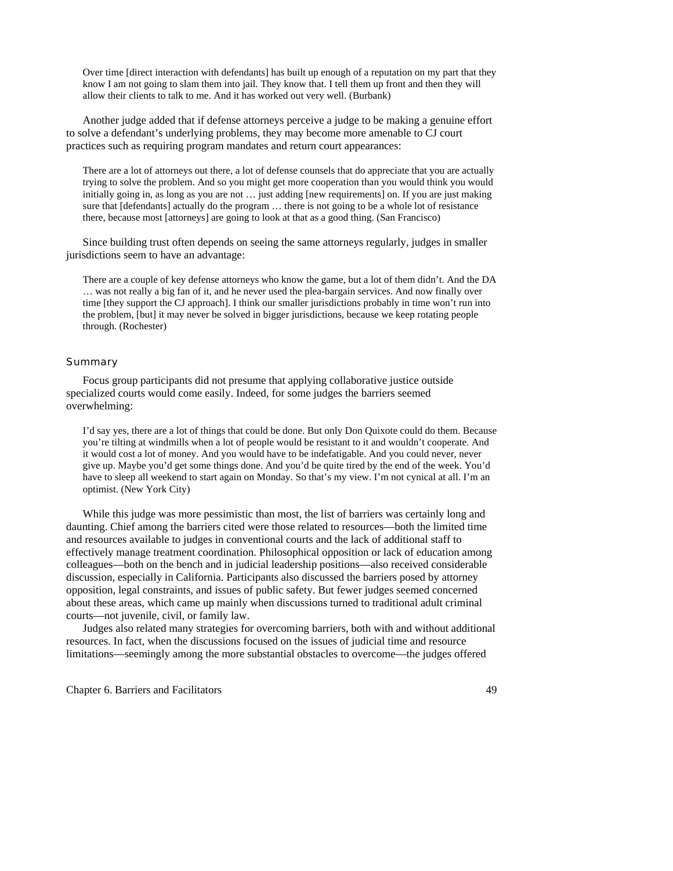Over time [direct interaction with defendants] has built up enough of a reputation on my part that they know I am not going to slam them into jail. They know that. I tell them up front and then they will allow their clients to talk to me. And it has worked out very well. (Burbank)

Another judge added that if defense attorneys perceive a judge to be making a genuine effort to solve a defendant's underlying problems, they may become more amenable to CJ court practices such as requiring program mandates and return court appearances:

There are a lot of attorneys out there, a lot of defense counsels that do appreciate that you are actually trying to solve the problem. And so you might get more cooperation than you would think you would initially going in, as long as you are not … just adding [new requirements] on. If you are just making sure that [defendants] actually do the program … there is not going to be a whole lot of resistance there, because most [attorneys] are going to look at that as a good thing. (San Francisco)

Since building trust often depends on seeing the same attorneys regularly, judges in smaller jurisdictions seem to have an advantage:

There are a couple of key defense attorneys who know the game, but a lot of them didn't. And the DA … was not really a big fan of it, and he never used the plea-bargain services. And now finally over time [they support the CJ approach]. I think our smaller jurisdictions probably in time won't run into the problem, [but] it may never be solved in bigger jurisdictions, because we keep rotating people through. (Rochester)

# **Summary**

Focus group participants did not presume that applying collaborative justice outside specialized courts would come easily. Indeed, for some judges the barriers seemed overwhelming:

I'd say yes, there are a lot of things that could be done. But only Don Quixote could do them. Because you're tilting at windmills when a lot of people would be resistant to it and wouldn't cooperate. And it would cost a lot of money. And you would have to be indefatigable. And you could never, never give up. Maybe you'd get some things done. And you'd be quite tired by the end of the week. You'd have to sleep all weekend to start again on Monday. So that's my view. I'm not cynical at all. I'm an optimist. (New York City)

While this judge was more pessimistic than most, the list of barriers was certainly long and daunting. Chief among the barriers cited were those related to resources—both the limited time and resources available to judges in conventional courts and the lack of additional staff to effectively manage treatment coordination. Philosophical opposition or lack of education among colleagues—both on the bench and in judicial leadership positions—also received considerable discussion, especially in California. Participants also discussed the barriers posed by attorney opposition, legal constraints, and issues of public safety. But fewer judges seemed concerned about these areas, which came up mainly when discussions turned to traditional adult criminal courts—not juvenile, civil, or family law.

Judges also related many strategies for overcoming barriers, both with and without additional resources. In fact, when the discussions focused on the issues of judicial time and resource limitations—seemingly among the more substantial obstacles to overcome—the judges offered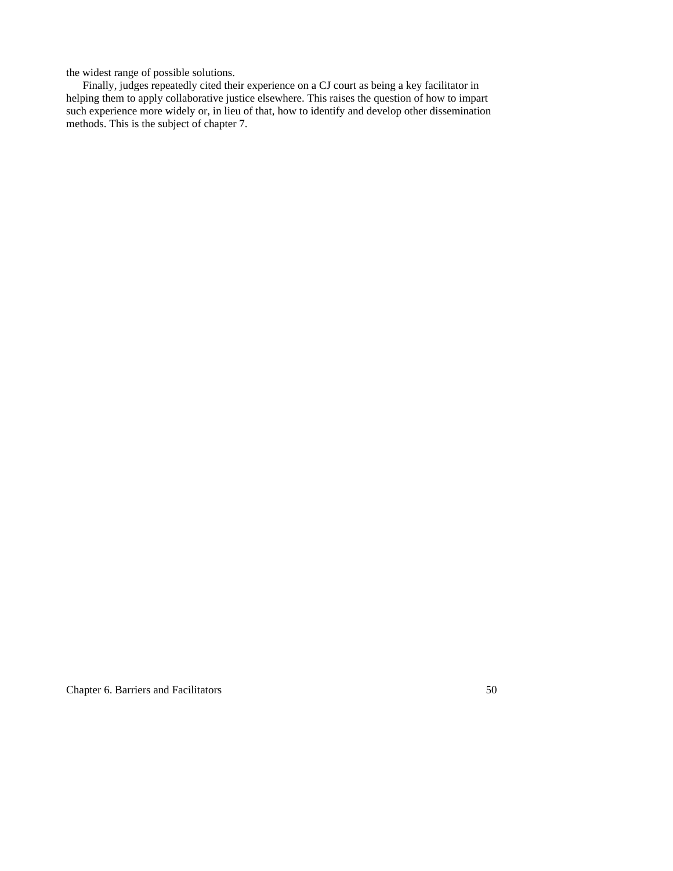the widest range of possible solutions.

Finally, judges repeatedly cited their experience on a CJ court as being a key facilitator in helping them to apply collaborative justice elsewhere. This raises the question of how to impart such experience more widely or, in lieu of that, how to identify and develop other dissemination methods. This is the subject of chapter 7.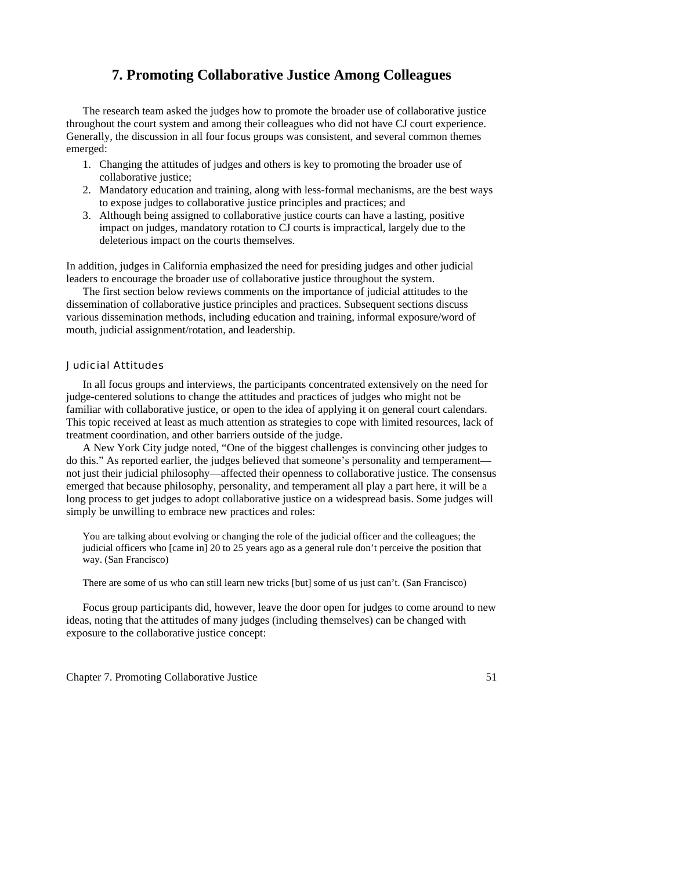# **7. Promoting Collaborative Justice Among Colleagues**

 The research team asked the judges how to promote the broader use of collaborative justice throughout the court system and among their colleagues who did not have CJ court experience. Generally, the discussion in all four focus groups was consistent, and several common themes emerged:

- 1. Changing the attitudes of judges and others is key to promoting the broader use of collaborative justice;
- 2. Mandatory education and training, along with less-formal mechanisms, are the best ways to expose judges to collaborative justice principles and practices; and
- 3. Although being assigned to collaborative justice courts can have a lasting, positive impact on judges, mandatory rotation to CJ courts is impractical, largely due to the deleterious impact on the courts themselves.

In addition, judges in California emphasized the need for presiding judges and other judicial leaders to encourage the broader use of collaborative justice throughout the system.

 The first section below reviews comments on the importance of judicial attitudes to the dissemination of collaborative justice principles and practices. Subsequent sections discuss various dissemination methods, including education and training, informal exposure/word of mouth, judicial assignment/rotation, and leadership.

# Judicial Attitudes

 In all focus groups and interviews, the participants concentrated extensively on the need for judge-centered solutions to change the attitudes and practices of judges who might not be familiar with collaborative justice, or open to the idea of applying it on general court calendars. This topic received at least as much attention as strategies to cope with limited resources, lack of treatment coordination, and other barriers outside of the judge.

 A New York City judge noted, "One of the biggest challenges is convincing other judges to do this." As reported earlier, the judges believed that someone's personality and temperament not just their judicial philosophy—affected their openness to collaborative justice. The consensus emerged that because philosophy, personality, and temperament all play a part here, it will be a long process to get judges to adopt collaborative justice on a widespread basis. Some judges will simply be unwilling to embrace new practices and roles:

You are talking about evolving or changing the role of the judicial officer and the colleagues; the judicial officers who [came in] 20 to 25 years ago as a general rule don't perceive the position that way. (San Francisco)

There are some of us who can still learn new tricks [but] some of us just can't. (San Francisco)

 Focus group participants did, however, leave the door open for judges to come around to new ideas, noting that the attitudes of many judges (including themselves) can be changed with exposure to the collaborative justice concept: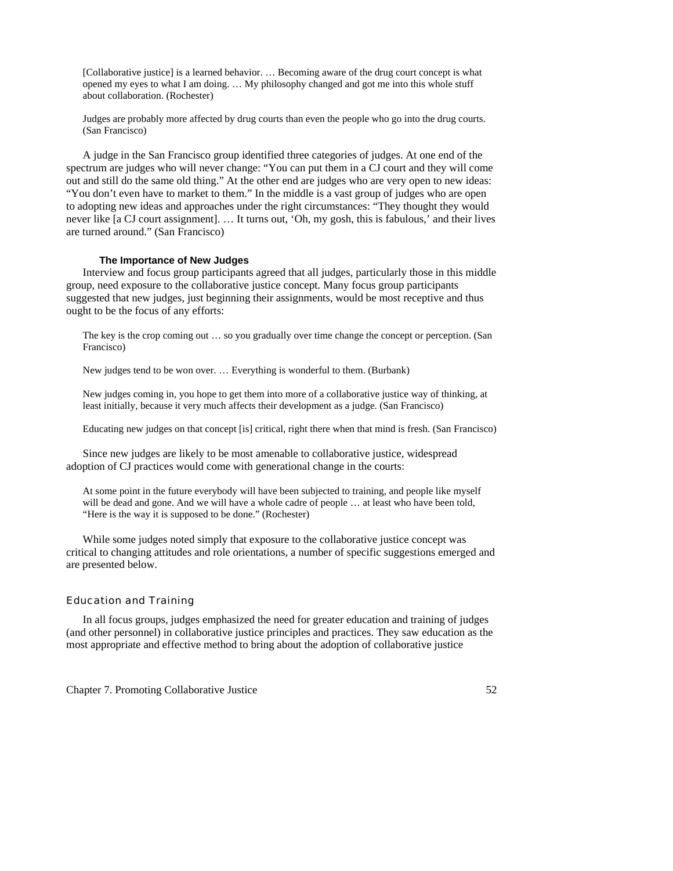[Collaborative justice] is a learned behavior. … Becoming aware of the drug court concept is what opened my eyes to what I am doing. … My philosophy changed and got me into this whole stuff about collaboration. (Rochester)

Judges are probably more affected by drug courts than even the people who go into the drug courts. (San Francisco)

 A judge in the San Francisco group identified three categories of judges. At one end of the spectrum are judges who will never change: "You can put them in a CJ court and they will come out and still do the same old thing." At the other end are judges who are very open to new ideas: "You don't even have to market to them." In the middle is a vast group of judges who are open to adopting new ideas and approaches under the right circumstances: "They thought they would never like [a CJ court assignment]. … It turns out, 'Oh, my gosh, this is fabulous,' and their lives are turned around." (San Francisco)

## **The Importance of New Judges**

 Interview and focus group participants agreed that all judges, particularly those in this middle group, need exposure to the collaborative justice concept. Many focus group participants suggested that new judges, just beginning their assignments, would be most receptive and thus ought to be the focus of any efforts:

The key is the crop coming out … so you gradually over time change the concept or perception. (San Francisco)

New judges tend to be won over. … Everything is wonderful to them. (Burbank)

New judges coming in, you hope to get them into more of a collaborative justice way of thinking, at least initially, because it very much affects their development as a judge. (San Francisco)

Educating new judges on that concept [is] critical, right there when that mind is fresh. (San Francisco)

 Since new judges are likely to be most amenable to collaborative justice, widespread adoption of CJ practices would come with generational change in the courts:

At some point in the future everybody will have been subjected to training, and people like myself will be dead and gone. And we will have a whole cadre of people ... at least who have been told, "Here is the way it is supposed to be done." (Rochester)

While some judges noted simply that exposure to the collaborative justice concept was critical to changing attitudes and role orientations, a number of specific suggestions emerged and are presented below.

# Education and Training

 In all focus groups, judges emphasized the need for greater education and training of judges (and other personnel) in collaborative justice principles and practices. They saw education as the most appropriate and effective method to bring about the adoption of collaborative justice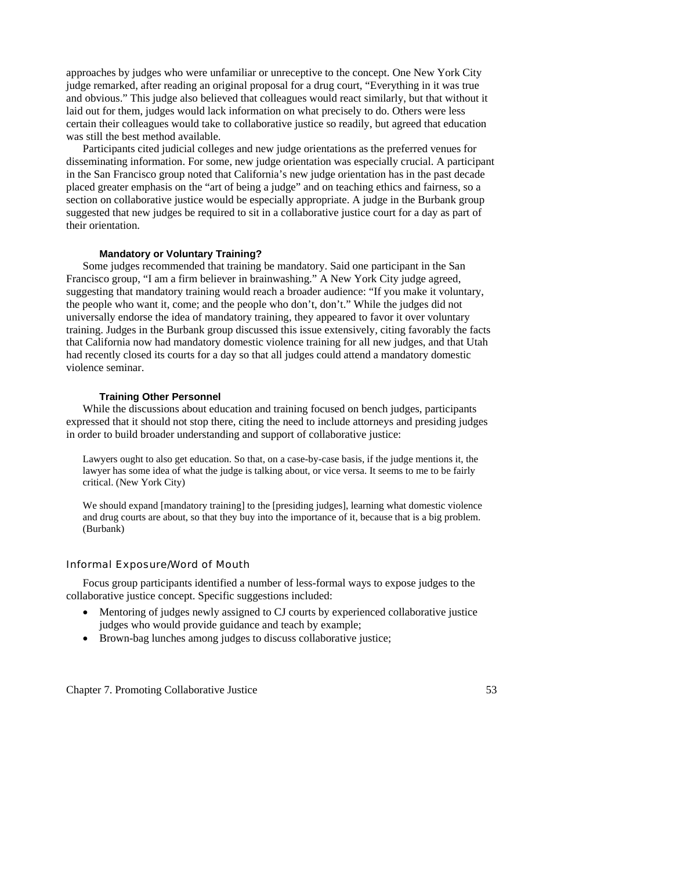approaches by judges who were unfamiliar or unreceptive to the concept. One New York City judge remarked, after reading an original proposal for a drug court, "Everything in it was true and obvious." This judge also believed that colleagues would react similarly, but that without it laid out for them, judges would lack information on what precisely to do. Others were less certain their colleagues would take to collaborative justice so readily, but agreed that education was still the best method available.

 Participants cited judicial colleges and new judge orientations as the preferred venues for disseminating information. For some, new judge orientation was especially crucial. A participant in the San Francisco group noted that California's new judge orientation has in the past decade placed greater emphasis on the "art of being a judge" and on teaching ethics and fairness, so a section on collaborative justice would be especially appropriate. A judge in the Burbank group suggested that new judges be required to sit in a collaborative justice court for a day as part of their orientation.

# **Mandatory or Voluntary Training?**

 Some judges recommended that training be mandatory. Said one participant in the San Francisco group, "I am a firm believer in brainwashing." A New York City judge agreed, suggesting that mandatory training would reach a broader audience: "If you make it voluntary, the people who want it, come; and the people who don't, don't." While the judges did not universally endorse the idea of mandatory training, they appeared to favor it over voluntary training. Judges in the Burbank group discussed this issue extensively, citing favorably the facts that California now had mandatory domestic violence training for all new judges, and that Utah had recently closed its courts for a day so that all judges could attend a mandatory domestic violence seminar.

#### **Training Other Personnel**

 While the discussions about education and training focused on bench judges, participants expressed that it should not stop there, citing the need to include attorneys and presiding judges in order to build broader understanding and support of collaborative justice:

Lawyers ought to also get education. So that, on a case-by-case basis, if the judge mentions it, the lawyer has some idea of what the judge is talking about, or vice versa. It seems to me to be fairly critical. (New York City)

We should expand [mandatory training] to the [presiding judges], learning what domestic violence and drug courts are about, so that they buy into the importance of it, because that is a big problem. (Burbank)

### Informal Exposure/Word of Mouth

 Focus group participants identified a number of less-formal ways to expose judges to the collaborative justice concept. Specific suggestions included:

- Mentoring of judges newly assigned to CJ courts by experienced collaborative justice judges who would provide guidance and teach by example;
- Brown-bag lunches among judges to discuss collaborative justice;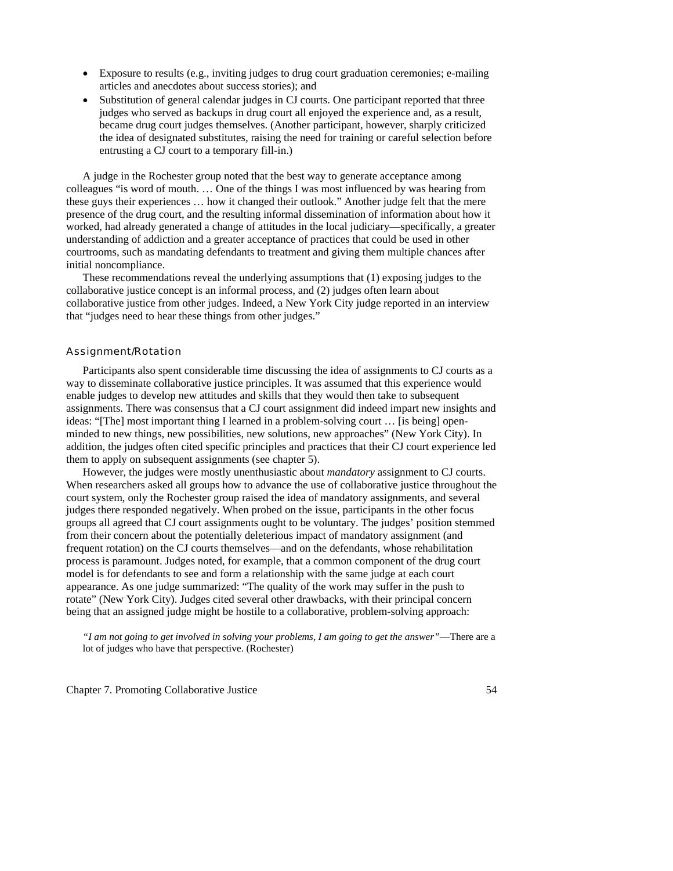- Exposure to results (e.g., inviting judges to drug court graduation ceremonies; e-mailing articles and anecdotes about success stories); and
- Substitution of general calendar judges in CJ courts. One participant reported that three judges who served as backups in drug court all enjoyed the experience and, as a result, became drug court judges themselves. (Another participant, however, sharply criticized the idea of designated substitutes, raising the need for training or careful selection before entrusting a CJ court to a temporary fill-in.)

 A judge in the Rochester group noted that the best way to generate acceptance among colleagues "is word of mouth. … One of the things I was most influenced by was hearing from these guys their experiences … how it changed their outlook." Another judge felt that the mere presence of the drug court, and the resulting informal dissemination of information about how it worked, had already generated a change of attitudes in the local judiciary—specifically, a greater understanding of addiction and a greater acceptance of practices that could be used in other courtrooms, such as mandating defendants to treatment and giving them multiple chances after initial noncompliance.

 These recommendations reveal the underlying assumptions that (1) exposing judges to the collaborative justice concept is an informal process, and (2) judges often learn about collaborative justice from other judges. Indeed, a New York City judge reported in an interview that "judges need to hear these things from other judges."

# Assignment/Rotation

 Participants also spent considerable time discussing the idea of assignments to CJ courts as a way to disseminate collaborative justice principles. It was assumed that this experience would enable judges to develop new attitudes and skills that they would then take to subsequent assignments. There was consensus that a CJ court assignment did indeed impart new insights and ideas: "[The] most important thing I learned in a problem-solving court … [is being] openminded to new things, new possibilities, new solutions, new approaches" (New York City). In addition, the judges often cited specific principles and practices that their CJ court experience led them to apply on subsequent assignments (see chapter 5).

 However, the judges were mostly unenthusiastic about *mandatory* assignment to CJ courts. When researchers asked all groups how to advance the use of collaborative justice throughout the court system, only the Rochester group raised the idea of mandatory assignments, and several judges there responded negatively. When probed on the issue, participants in the other focus groups all agreed that CJ court assignments ought to be voluntary. The judges' position stemmed from their concern about the potentially deleterious impact of mandatory assignment (and frequent rotation) on the CJ courts themselves—and on the defendants, whose rehabilitation process is paramount. Judges noted, for example, that a common component of the drug court model is for defendants to see and form a relationship with the same judge at each court appearance. As one judge summarized: "The quality of the work may suffer in the push to rotate" (New York City). Judges cited several other drawbacks, with their principal concern being that an assigned judge might be hostile to a collaborative, problem-solving approach:

*"I am not going to get involved in solving your problems, I am going to get the answer"*—There are a lot of judges who have that perspective. (Rochester)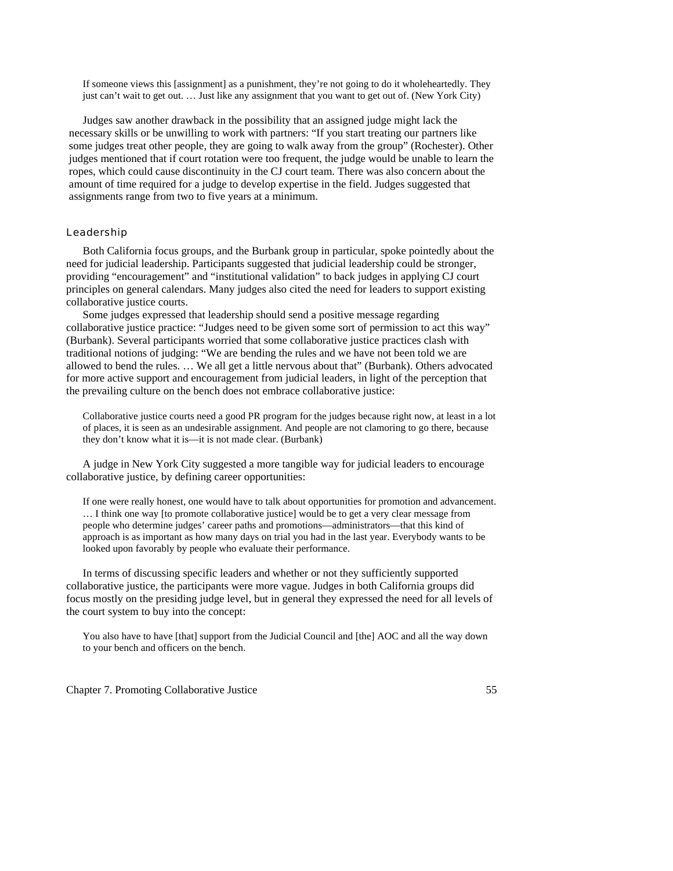If someone views this [assignment] as a punishment, they're not going to do it wholeheartedly. They just can't wait to get out. … Just like any assignment that you want to get out of. (New York City)

 Judges saw another drawback in the possibility that an assigned judge might lack the necessary skills or be unwilling to work with partners: "If you start treating our partners like some judges treat other people, they are going to walk away from the group" (Rochester). Other judges mentioned that if court rotation were too frequent, the judge would be unable to learn the ropes, which could cause discontinuity in the CJ court team. There was also concern about the amount of time required for a judge to develop expertise in the field. Judges suggested that assignments range from two to five years at a minimum.

# Leadership

 Both California focus groups, and the Burbank group in particular, spoke pointedly about the need for judicial leadership. Participants suggested that judicial leadership could be stronger, providing "encouragement" and "institutional validation" to back judges in applying CJ court principles on general calendars. Many judges also cited the need for leaders to support existing collaborative justice courts.

 Some judges expressed that leadership should send a positive message regarding collaborative justice practice: "Judges need to be given some sort of permission to act this way" (Burbank). Several participants worried that some collaborative justice practices clash with traditional notions of judging: "We are bending the rules and we have not been told we are allowed to bend the rules. … We all get a little nervous about that" (Burbank). Others advocated for more active support and encouragement from judicial leaders, in light of the perception that the prevailing culture on the bench does not embrace collaborative justice:

Collaborative justice courts need a good PR program for the judges because right now, at least in a lot of places, it is seen as an undesirable assignment. And people are not clamoring to go there, because they don't know what it is—it is not made clear. (Burbank)

 A judge in New York City suggested a more tangible way for judicial leaders to encourage collaborative justice, by defining career opportunities:

If one were really honest, one would have to talk about opportunities for promotion and advancement. … I think one way [to promote collaborative justice] would be to get a very clear message from people who determine judges' career paths and promotions—administrators—that this kind of approach is as important as how many days on trial you had in the last year. Everybody wants to be looked upon favorably by people who evaluate their performance.

 In terms of discussing specific leaders and whether or not they sufficiently supported collaborative justice, the participants were more vague. Judges in both California groups did focus mostly on the presiding judge level, but in general they expressed the need for all levels of the court system to buy into the concept:

You also have to have [that] support from the Judicial Council and [the] AOC and all the way down to your bench and officers on the bench.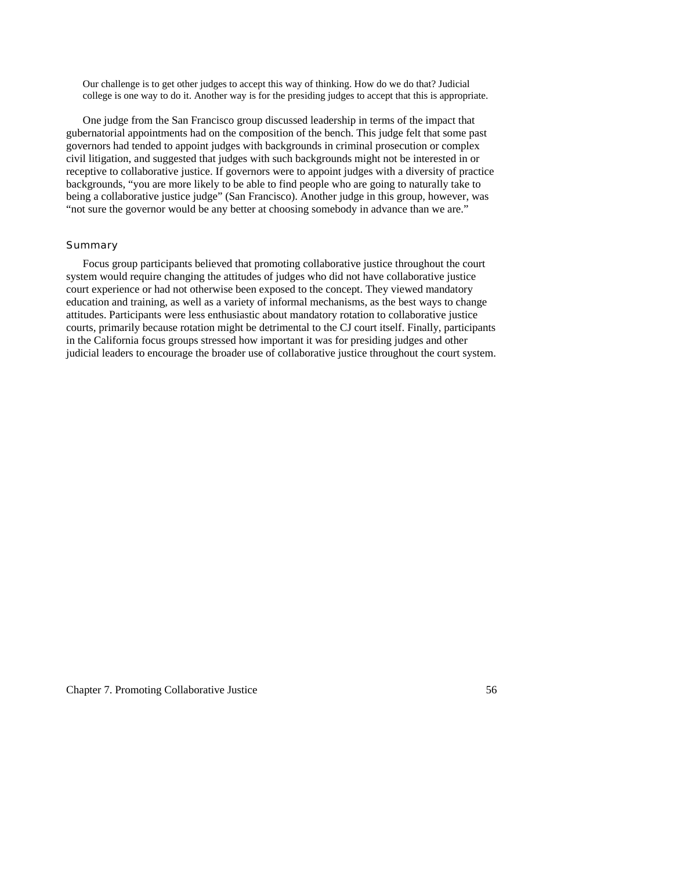Our challenge is to get other judges to accept this way of thinking. How do we do that? Judicial college is one way to do it. Another way is for the presiding judges to accept that this is appropriate.

 One judge from the San Francisco group discussed leadership in terms of the impact that gubernatorial appointments had on the composition of the bench. This judge felt that some past governors had tended to appoint judges with backgrounds in criminal prosecution or complex civil litigation, and suggested that judges with such backgrounds might not be interested in or receptive to collaborative justice. If governors were to appoint judges with a diversity of practice backgrounds, "you are more likely to be able to find people who are going to naturally take to being a collaborative justice judge" (San Francisco). Another judge in this group, however, was "not sure the governor would be any better at choosing somebody in advance than we are."

# **Summary**

Focus group participants believed that promoting collaborative justice throughout the court system would require changing the attitudes of judges who did not have collaborative justice court experience or had not otherwise been exposed to the concept. They viewed mandatory education and training, as well as a variety of informal mechanisms, as the best ways to change attitudes. Participants were less enthusiastic about mandatory rotation to collaborative justice courts, primarily because rotation might be detrimental to the CJ court itself. Finally, participants in the California focus groups stressed how important it was for presiding judges and other judicial leaders to encourage the broader use of collaborative justice throughout the court system.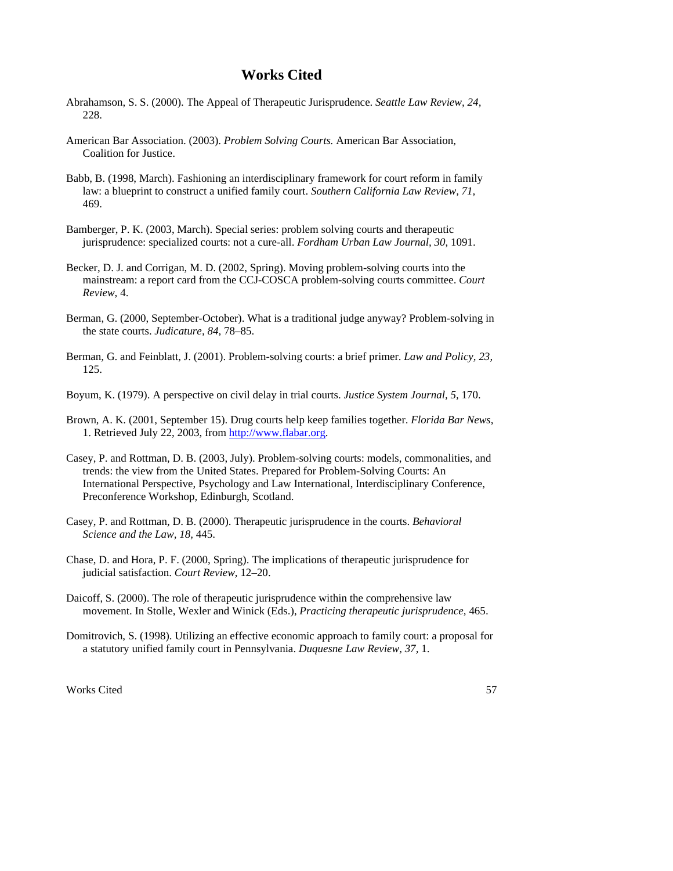# **Works Cited**

- Abrahamson, S. S. (2000). The Appeal of Therapeutic Jurisprudence. *Seattle Law Review, 24,* 228.
- American Bar Association. (2003). *Problem Solving Courts.* American Bar Association, Coalition for Justice.
- Babb, B. (1998, March). Fashioning an interdisciplinary framework for court reform in family law: a blueprint to construct a unified family court. *Southern California Law Review, 71,*  469.
- Bamberger, P. K. (2003, March). Special series: problem solving courts and therapeutic jurisprudence: specialized courts: not a cure-all. *Fordham Urban Law Journal, 30*, 1091.
- Becker, D. J. and Corrigan, M. D. (2002, Spring). Moving problem-solving courts into the mainstream: a report card from the CCJ-COSCA problem-solving courts committee. *Court Review*, 4.
- Berman, G. (2000, September-October). What is a traditional judge anyway? Problem-solving in the state courts. *Judicature, 84,* 78–85.
- Berman, G. and Feinblatt, J. (2001). Problem-solving courts: a brief primer. *Law and Policy, 23,* 125.
- Boyum, K. (1979). A perspective on civil delay in trial courts. *Justice System Journal, 5,* 170.
- Brown, A. K. (2001, September 15). Drug courts help keep families together. *Florida Bar News*, 1. Retrieved July 22, 2003, from http://www.flabar.org.
- Casey, P. and Rottman, D. B. (2003, July). Problem-solving courts: models, commonalities, and trends: the view from the United States. Prepared for Problem-Solving Courts: An International Perspective, Psychology and Law International, Interdisciplinary Conference, Preconference Workshop, Edinburgh, Scotland.
- Casey, P. and Rottman, D. B. (2000). Therapeutic jurisprudence in the courts. *Behavioral Science and the Law, 18,* 445.
- Chase, D. and Hora, P. F. (2000, Spring). The implications of therapeutic jurisprudence for judicial satisfaction. *Court Review*, 12–20.
- Daicoff, S. (2000). The role of therapeutic jurisprudence within the comprehensive law movement. In Stolle, Wexler and Winick (Eds.), *Practicing therapeutic jurisprudence,* 465.
- Domitrovich, S. (1998). Utilizing an effective economic approach to family court: a proposal for a statutory unified family court in Pennsylvania. *Duquesne Law Review, 37,* 1.

Works Cited 57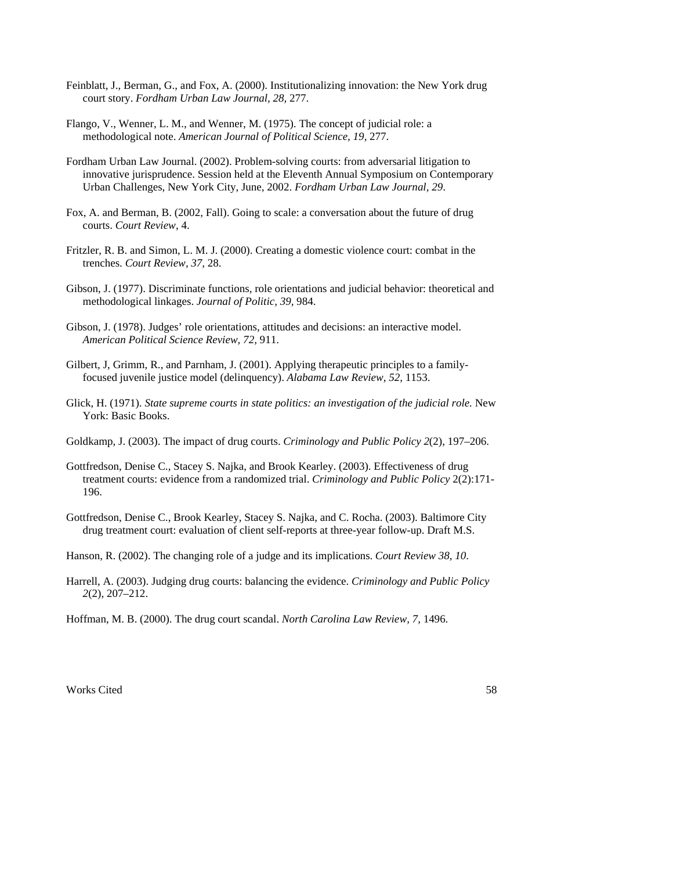- Feinblatt, J., Berman, G., and Fox, A. (2000). Institutionalizing innovation: the New York drug court story. *Fordham Urban Law Journal, 28,* 277.
- Flango, V., Wenner, L. M., and Wenner, M. (1975). The concept of judicial role: a methodological note. *American Journal of Political Science, 19,* 277.
- Fordham Urban Law Journal. (2002). Problem-solving courts: from adversarial litigation to innovative jurisprudence. Session held at the Eleventh Annual Symposium on Contemporary Urban Challenges, New York City, June, 2002. *Fordham Urban Law Journal, 29*.
- Fox, A. and Berman, B. (2002, Fall). Going to scale: a conversation about the future of drug courts. *Court Review*, 4.
- Fritzler, R. B. and Simon, L. M. J. (2000). Creating a domestic violence court: combat in the trenches. *Court Review, 37,* 28.
- Gibson, J. (1977). Discriminate functions, role orientations and judicial behavior: theoretical and methodological linkages. *Journal of Politic, 39,* 984.
- Gibson, J. (1978). Judges' role orientations, attitudes and decisions: an interactive model. *American Political Science Review, 72,* 911.
- Gilbert, J, Grimm, R., and Parnham, J. (2001). Applying therapeutic principles to a familyfocused juvenile justice model (delinquency). *Alabama Law Review, 52,* 1153.
- Glick, H. (1971). *State supreme courts in state politics: an investigation of the judicial role*. New York: Basic Books.
- Goldkamp, J. (2003). The impact of drug courts. *Criminology and Public Policy 2*(2), 197–206.
- Gottfredson, Denise C., Stacey S. Najka, and Brook Kearley. (2003). Effectiveness of drug treatment courts: evidence from a randomized trial. *Criminology and Public Policy* 2(2):171- 196.

Gottfredson, Denise C., Brook Kearley, Stacey S. Najka, and C. Rocha. (2003). Baltimore City drug treatment court: evaluation of client self-reports at three-year follow-up. Draft M.S.

Hanson, R. (2002). The changing role of a judge and its implications. *Court Review 38, 10*.

Harrell, A. (2003). Judging drug courts: balancing the evidence. *Criminology and Public Policy 2*(2), 207–212.

Hoffman, M. B. (2000). The drug court scandal. *North Carolina Law Review, 7,* 1496.

Works Cited 58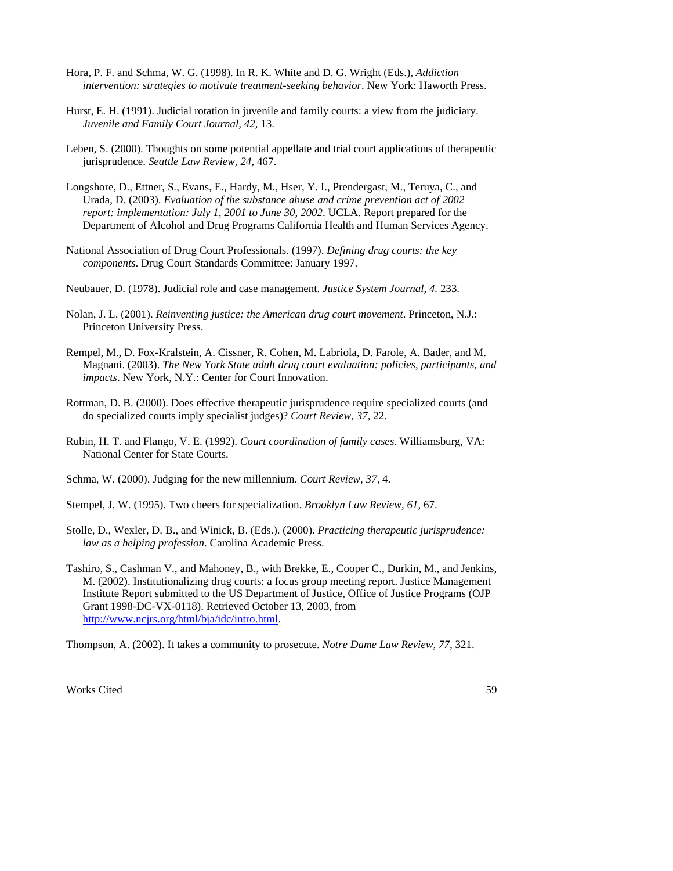- Hora, P. F. and Schma, W. G. (1998). In R. K. White and D. G. Wright (Eds.), *Addiction intervention: strategies to motivate treatment-seeking behavior*. New York: Haworth Press.
- Hurst, E. H. (1991). Judicial rotation in juvenile and family courts: a view from the judiciary. *Juvenile and Family Court Journal, 42,* 13.
- Leben, S. (2000). Thoughts on some potential appellate and trial court applications of therapeutic jurisprudence. *Seattle Law Review, 24,* 467.
- Longshore, D., Ettner, S., Evans, E., Hardy, M., Hser, Y. I., Prendergast, M., Teruya, C., and Urada, D. (2003). *Evaluation of the substance abuse and crime prevention act of 2002 report: implementation: July 1, 2001 to June 30, 2002*. UCLA. Report prepared for the Department of Alcohol and Drug Programs California Health and Human Services Agency.
- National Association of Drug Court Professionals. (1997). *Defining drug courts: the key components*. Drug Court Standards Committee: January 1997.
- Neubauer, D. (1978). Judicial role and case management. *Justice System Journal, 4.* 233.
- Nolan, J. L. (2001). *Reinventing justice: the American drug court movement*. Princeton, N.J.: Princeton University Press.
- Rempel, M., D. Fox-Kralstein, A. Cissner, R. Cohen, M. Labriola, D. Farole, A. Bader, and M. Magnani. (2003). *The New York State adult drug court evaluation: policies, participants, and impacts*. New York, N.Y.: Center for Court Innovation.
- Rottman, D. B. (2000). Does effective therapeutic jurisprudence require specialized courts (and do specialized courts imply specialist judges)? *Court Review, 37,* 22.
- Rubin, H. T. and Flango, V. E. (1992). *Court coordination of family cases*. Williamsburg, VA: National Center for State Courts.
- Schma, W. (2000). Judging for the new millennium. *Court Review, 37,* 4.
- Stempel, J. W. (1995). Two cheers for specialization. *Brooklyn Law Review, 61,* 67.
- Stolle, D., Wexler, D. B., and Winick, B. (Eds.). (2000). *Practicing therapeutic jurisprudence: law as a helping profession*. Carolina Academic Press.
- Tashiro, S., Cashman V., and Mahoney, B., with Brekke, E., Cooper C., Durkin, M., and Jenkins, M. (2002). Institutionalizing drug courts: a focus group meeting report. Justice Management Institute Report submitted to the US Department of Justice, Office of Justice Programs (OJP Grant 1998-DC-VX-0118). Retrieved October 13, 2003, from http://www.ncjrs.org/html/bja/idc/intro.html.

Thompson, A. (2002). It takes a community to prosecute. *Notre Dame Law Review, 77,* 321.

Works Cited 59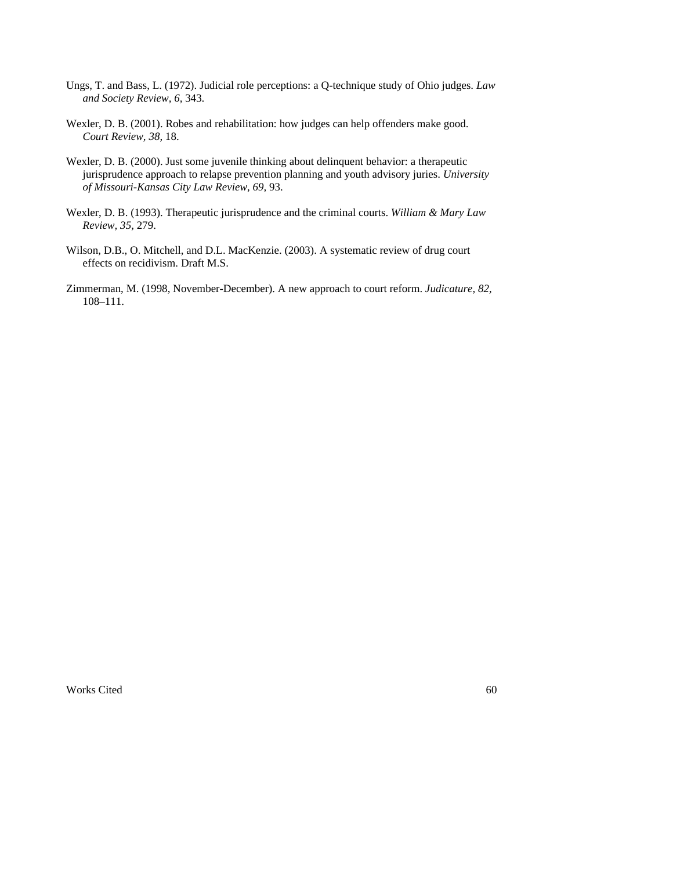- Ungs, T. and Bass, L. (1972). Judicial role perceptions: a Q-technique study of Ohio judges. *Law and Society Review, 6,* 343.
- Wexler, D. B. (2001). Robes and rehabilitation: how judges can help offenders make good. *Court Review, 38,* 18.
- Wexler, D. B. (2000). Just some juvenile thinking about delinquent behavior: a therapeutic jurisprudence approach to relapse prevention planning and youth advisory juries. *University of Missouri-Kansas City Law Review, 69,* 93.
- Wexler, D. B. (1993). Therapeutic jurisprudence and the criminal courts. *William & Mary Law Review, 35,* 279.
- Wilson, D.B., O. Mitchell, and D.L. MacKenzie. (2003). A systematic review of drug court effects on recidivism. Draft M.S.
- Zimmerman, M. (1998, November-December). A new approach to court reform. *Judicature, 82,* 108–111.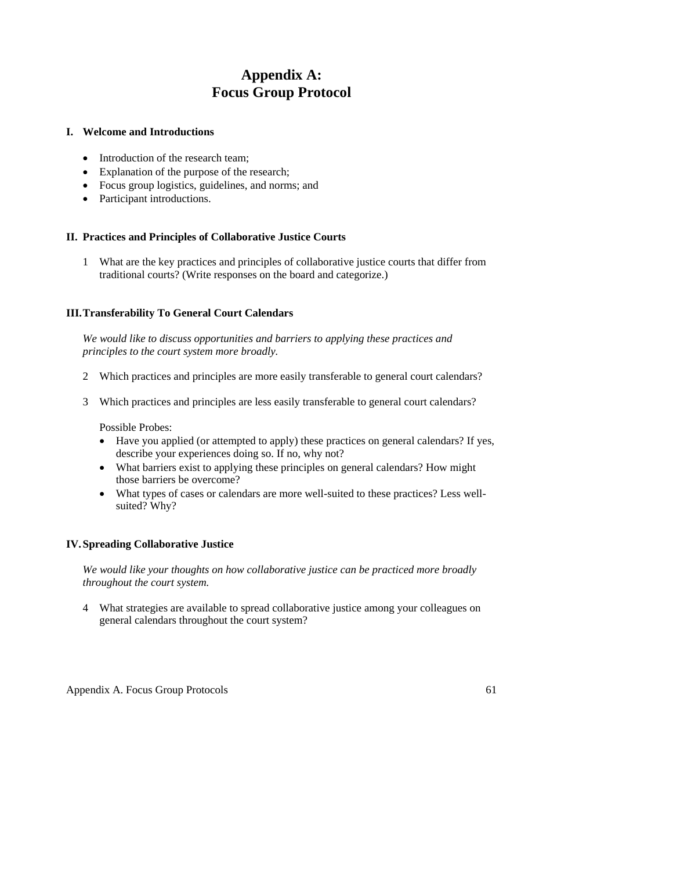# **Appendix A: Focus Group Protocol**

## **I. Welcome and Introductions**

- Introduction of the research team;
- Explanation of the purpose of the research;
- Focus group logistics, guidelines, and norms; and
- Participant introductions.

## **II. Practices and Principles of Collaborative Justice Courts**

1 What are the key practices and principles of collaborative justice courts that differ from traditional courts? (Write responses on the board and categorize.)

### **III. Transferability To General Court Calendars**

*We would like to discuss opportunities and barriers to applying these practices and principles to the court system more broadly.* 

- 2 Which practices and principles are more easily transferable to general court calendars?
- 3 Which practices and principles are less easily transferable to general court calendars?

Possible Probes:

- Have you applied (or attempted to apply) these practices on general calendars? If yes, describe your experiences doing so. If no, why not?
- What barriers exist to applying these principles on general calendars? How might those barriers be overcome?
- What types of cases or calendars are more well-suited to these practices? Less wellsuited? Why?

## **IV. Spreading Collaborative Justice**

*We would like your thoughts on how collaborative justice can be practiced more broadly throughout the court system.* 

4 What strategies are available to spread collaborative justice among your colleagues on general calendars throughout the court system?

Appendix A. Focus Group Protocols 61